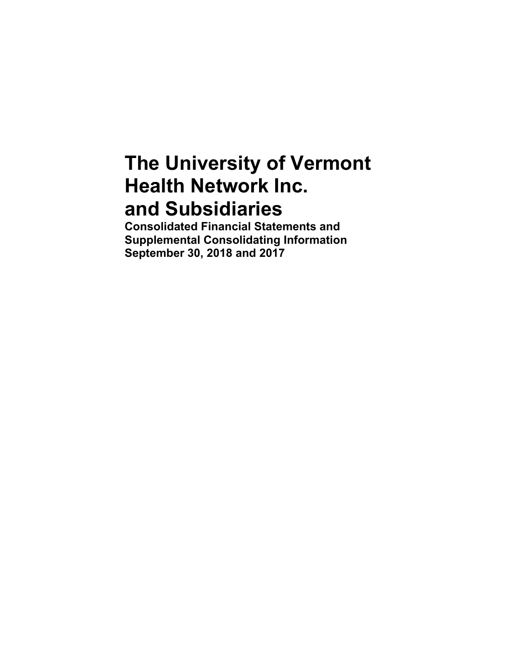# **The University of Vermont Health Network Inc. and Subsidiaries**

**Consolidated Financial Statements and Supplemental Consolidating Information September 30, 2018 and 2017**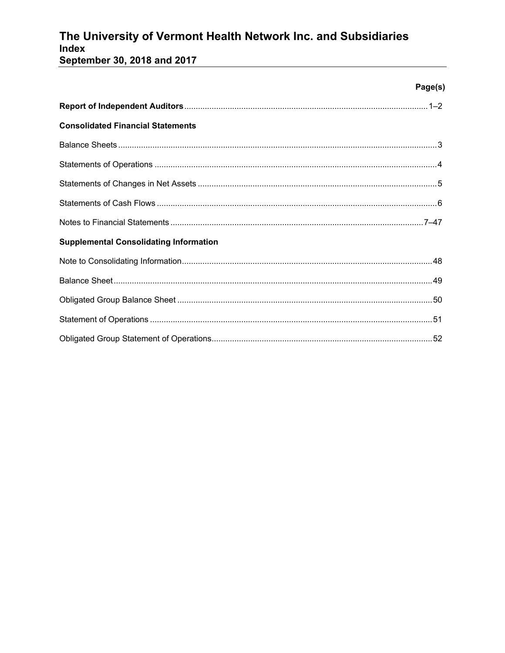# The University of Vermont Health Network Inc. and Subsidiaries Index

September 30, 2018 and 2017

|                                               | Page(s) |
|-----------------------------------------------|---------|
|                                               |         |
| <b>Consolidated Financial Statements</b>      |         |
|                                               |         |
|                                               |         |
|                                               |         |
|                                               |         |
|                                               |         |
| <b>Supplemental Consolidating Information</b> |         |
|                                               |         |
|                                               |         |
|                                               |         |
|                                               |         |
|                                               |         |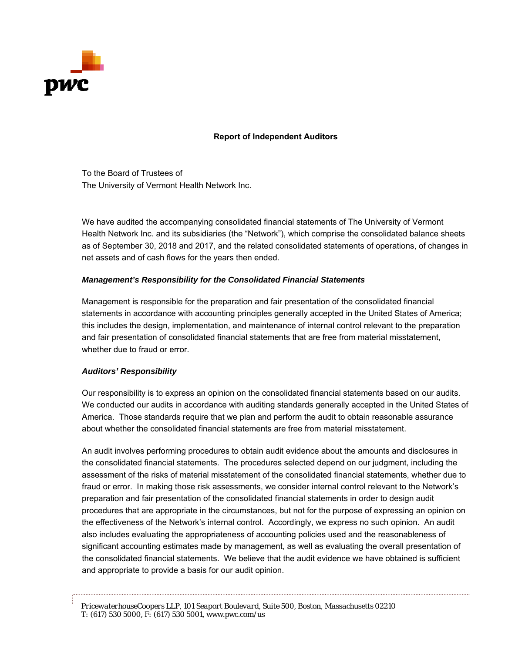

### **Report of Independent Auditors**

To the Board of Trustees of The University of Vermont Health Network Inc.

We have audited the accompanying consolidated financial statements of The University of Vermont Health Network Inc. and its subsidiaries (the "Network"), which comprise the consolidated balance sheets as of September 30, 2018 and 2017, and the related consolidated statements of operations, of changes in net assets and of cash flows for the years then ended.

### *Management's Responsibility for the Consolidated Financial Statements*

Management is responsible for the preparation and fair presentation of the consolidated financial statements in accordance with accounting principles generally accepted in the United States of America; this includes the design, implementation, and maintenance of internal control relevant to the preparation and fair presentation of consolidated financial statements that are free from material misstatement, whether due to fraud or error.

### *Auditors' Responsibility*

Our responsibility is to express an opinion on the consolidated financial statements based on our audits. We conducted our audits in accordance with auditing standards generally accepted in the United States of America. Those standards require that we plan and perform the audit to obtain reasonable assurance about whether the consolidated financial statements are free from material misstatement.

An audit involves performing procedures to obtain audit evidence about the amounts and disclosures in the consolidated financial statements. The procedures selected depend on our judgment, including the assessment of the risks of material misstatement of the consolidated financial statements, whether due to fraud or error. In making those risk assessments, we consider internal control relevant to the Network's preparation and fair presentation of the consolidated financial statements in order to design audit procedures that are appropriate in the circumstances, but not for the purpose of expressing an opinion on the effectiveness of the Network's internal control. Accordingly, we express no such opinion. An audit also includes evaluating the appropriateness of accounting policies used and the reasonableness of significant accounting estimates made by management, as well as evaluating the overall presentation of the consolidated financial statements. We believe that the audit evidence we have obtained is sufficient and appropriate to provide a basis for our audit opinion.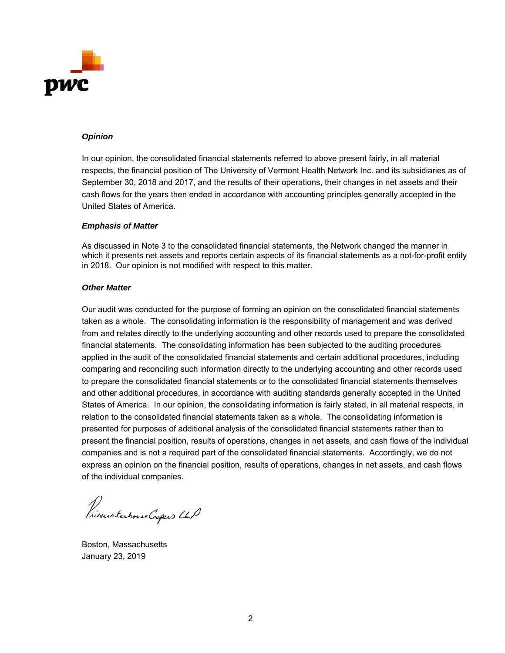

### *Opinion*

In our opinion, the consolidated financial statements referred to above present fairly, in all material respects, the financial position of The University of Vermont Health Network Inc. and its subsidiaries as of September 30, 2018 and 2017, and the results of their operations, their changes in net assets and their cash flows for the years then ended in accordance with accounting principles generally accepted in the United States of America.

#### *Emphasis of Matter*

As discussed in Note 3 to the consolidated financial statements, the Network changed the manner in which it presents net assets and reports certain aspects of its financial statements as a not-for-profit entity in 2018. Our opinion is not modified with respect to this matter.

### *Other Matter*

Our audit was conducted for the purpose of forming an opinion on the consolidated financial statements taken as a whole. The consolidating information is the responsibility of management and was derived from and relates directly to the underlying accounting and other records used to prepare the consolidated financial statements. The consolidating information has been subjected to the auditing procedures applied in the audit of the consolidated financial statements and certain additional procedures, including comparing and reconciling such information directly to the underlying accounting and other records used to prepare the consolidated financial statements or to the consolidated financial statements themselves and other additional procedures, in accordance with auditing standards generally accepted in the United States of America. In our opinion, the consolidating information is fairly stated, in all material respects, in relation to the consolidated financial statements taken as a whole. The consolidating information is presented for purposes of additional analysis of the consolidated financial statements rather than to present the financial position, results of operations, changes in net assets, and cash flows of the individual companies and is not a required part of the consolidated financial statements. Accordingly, we do not express an opinion on the financial position, results of operations, changes in net assets, and cash flows of the individual companies.

Prieuaterhorse Coopers UP

Boston, Massachusetts January 23, 2019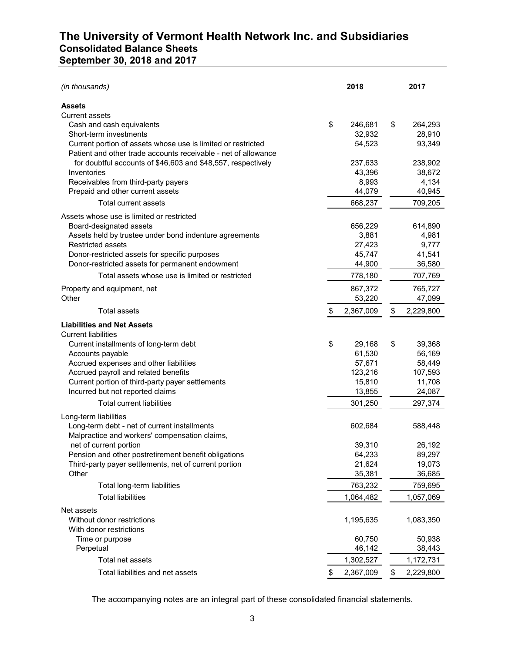# **The University of Vermont Health Network Inc. and Subsidiaries Consolidated Balance Sheets September 30, 2018 and 2017**

| (in thousands)                                                                                                                 |    | 2018      | 2017            |
|--------------------------------------------------------------------------------------------------------------------------------|----|-----------|-----------------|
| <b>Assets</b>                                                                                                                  |    |           |                 |
| <b>Current assets</b>                                                                                                          |    |           |                 |
| Cash and cash equivalents                                                                                                      | \$ | 246,681   | \$<br>264,293   |
| Short-term investments                                                                                                         |    | 32,932    | 28,910          |
| Current portion of assets whose use is limited or restricted<br>Patient and other trade accounts receivable - net of allowance |    | 54,523    | 93,349          |
| for doubtful accounts of \$46,603 and \$48,557, respectively                                                                   |    | 237,633   | 238,902         |
| Inventories                                                                                                                    |    | 43,396    | 38,672          |
| Receivables from third-party payers                                                                                            |    | 8,993     | 4,134           |
| Prepaid and other current assets                                                                                               |    | 44,079    | 40,945          |
| Total current assets                                                                                                           |    | 668,237   | 709,205         |
| Assets whose use is limited or restricted                                                                                      |    |           |                 |
| Board-designated assets                                                                                                        |    | 656,229   | 614,890         |
| Assets held by trustee under bond indenture agreements                                                                         |    | 3,881     | 4,981           |
| <b>Restricted assets</b>                                                                                                       |    | 27,423    | 9,777           |
| Donor-restricted assets for specific purposes                                                                                  |    | 45,747    | 41,541          |
| Donor-restricted assets for permanent endowment                                                                                |    | 44,900    | 36,580          |
| Total assets whose use is limited or restricted                                                                                |    | 778,180   | 707,769         |
| Property and equipment, net                                                                                                    |    | 867,372   | 765,727         |
| Other                                                                                                                          |    | 53,220    | 47,099          |
| <b>Total assets</b>                                                                                                            | \$ | 2,367,009 | \$<br>2,229,800 |
| <b>Liabilities and Net Assets</b>                                                                                              |    |           |                 |
| <b>Current liabilities</b>                                                                                                     |    |           |                 |
| Current installments of long-term debt                                                                                         | \$ | 29,168    | \$<br>39,368    |
| Accounts payable                                                                                                               |    | 61,530    | 56,169          |
| Accrued expenses and other liabilities                                                                                         |    | 57,671    | 58,449          |
| Accrued payroll and related benefits                                                                                           |    | 123,216   | 107,593         |
| Current portion of third-party payer settlements                                                                               |    | 15,810    | 11,708          |
| Incurred but not reported claims                                                                                               |    | 13,855    | 24,087          |
| <b>Total current liabilities</b>                                                                                               |    | 301,250   | 297,374         |
| Long-term liabilities                                                                                                          |    |           |                 |
| Long-term debt - net of current installments<br>Malpractice and workers' compensation claims,                                  |    | 602,684   | 588,448         |
| net of current portion                                                                                                         |    | 39,310    | 26,192          |
| Pension and other postretirement benefit obligations                                                                           |    | 64,233    | 89,297          |
| Third-party payer settlements, net of current portion                                                                          |    | 21,624    | 19,073          |
| Other                                                                                                                          |    | 35,381    | 36,685          |
| Total long-term liabilities                                                                                                    |    | 763,232   | 759,695         |
| <b>Total liabilities</b>                                                                                                       |    | 1,064,482 | 1,057,069       |
| Net assets                                                                                                                     |    |           |                 |
| Without donor restrictions                                                                                                     |    | 1,195,635 | 1,083,350       |
| With donor restrictions                                                                                                        |    |           |                 |
| Time or purpose                                                                                                                |    | 60,750    | 50,938          |
| Perpetual                                                                                                                      |    | 46,142    | 38,443          |
| Total net assets                                                                                                               |    | 1,302,527 | 1,172,731       |
| Total liabilities and net assets                                                                                               | S  | 2,367,009 | \$<br>2,229,800 |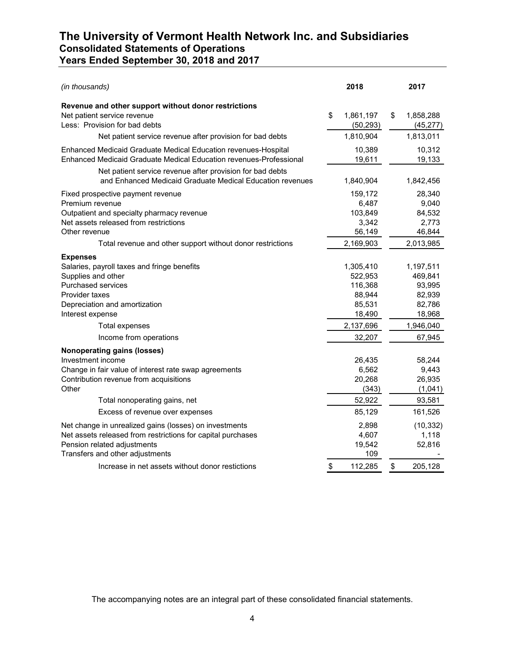# **The University of Vermont Health Network Inc. and Subsidiaries Consolidated Statements of Operations Years Ended September 30, 2018 and 2017**

| (in thousands)                                                                                                                                                                                                            | 2018                                                        | 2017                                                      |
|---------------------------------------------------------------------------------------------------------------------------------------------------------------------------------------------------------------------------|-------------------------------------------------------------|-----------------------------------------------------------|
| Revenue and other support without donor restrictions<br>Net patient service revenue<br>Less: Provision for bad debts                                                                                                      | \$<br>1,861,197<br>(50, 293)                                | \$<br>1,858,288<br>(45, 277)                              |
| Net patient service revenue after provision for bad debts                                                                                                                                                                 | 1,810,904                                                   | 1,813,011                                                 |
| <b>Enhanced Medicaid Graduate Medical Education revenues-Hospital</b><br>Enhanced Medicaid Graduate Medical Education revenues-Professional                                                                               | 10,389<br>19,611                                            | 10,312<br>19,133                                          |
| Net patient service revenue after provision for bad debts<br>and Enhanced Medicaid Graduate Medical Education revenues                                                                                                    | 1,840,904                                                   | 1,842,456                                                 |
| Fixed prospective payment revenue<br>Premium revenue<br>Outpatient and specialty pharmacy revenue<br>Net assets released from restrictions<br>Other revenue<br>Total revenue and other support without donor restrictions | 159,172<br>6,487<br>103,849<br>3,342<br>56,149<br>2,169,903 | 28,340<br>9,040<br>84,532<br>2,773<br>46,844<br>2,013,985 |
| <b>Expenses</b>                                                                                                                                                                                                           |                                                             |                                                           |
| Salaries, payroll taxes and fringe benefits<br>Supplies and other<br><b>Purchased services</b>                                                                                                                            | 1,305,410<br>522,953<br>116,368                             | 1,197,511<br>469,841<br>93,995                            |
| Provider taxes<br>Depreciation and amortization<br>Interest expense                                                                                                                                                       | 88,944<br>85,531<br>18,490                                  | 82,939<br>82,786<br>18,968                                |
| Total expenses                                                                                                                                                                                                            | 2,137,696                                                   | 1,946,040                                                 |
| Income from operations                                                                                                                                                                                                    | 32,207                                                      | 67,945                                                    |
| <b>Nonoperating gains (losses)</b><br>Investment income<br>Change in fair value of interest rate swap agreements<br>Contribution revenue from acquisitions<br>Other                                                       | 26,435<br>6,562<br>20,268<br>(343)                          | 58,244<br>9,443<br>26,935<br>(1,041)                      |
| Total nonoperating gains, net                                                                                                                                                                                             | 52,922                                                      | 93,581                                                    |
| Excess of revenue over expenses                                                                                                                                                                                           | 85,129                                                      | 161,526                                                   |
| Net change in unrealized gains (losses) on investments<br>Net assets released from restrictions for capital purchases<br>Pension related adjustments<br>Transfers and other adjustments                                   | 2,898<br>4,607<br>19,542<br>109                             | (10, 332)<br>1,118<br>52,816                              |
| Increase in net assets without donor restictions                                                                                                                                                                          | \$<br>112,285                                               | \$<br>205,128                                             |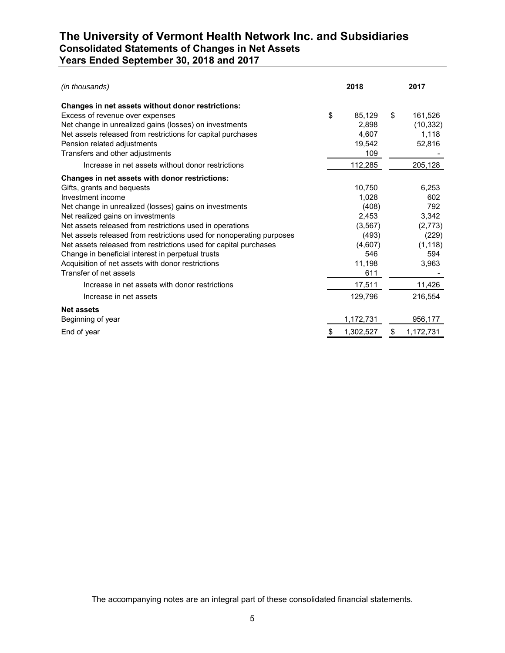# **The University of Vermont Health Network Inc. and Subsidiaries Consolidated Statements of Changes in Net Assets Years Ended September 30, 2018 and 2017**

| (in thousands)                                                       | 2018            | 2017            |
|----------------------------------------------------------------------|-----------------|-----------------|
| Changes in net assets without donor restrictions:                    |                 |                 |
| Excess of revenue over expenses                                      | \$<br>85,129    | \$<br>161,526   |
| Net change in unrealized gains (losses) on investments               | 2,898           | (10, 332)       |
| Net assets released from restrictions for capital purchases          | 4,607           | 1,118           |
| Pension related adjustments                                          | 19,542          | 52,816          |
| Transfers and other adjustments                                      | 109             |                 |
| Increase in net assets without donor restrictions                    | 112,285         | 205,128         |
| Changes in net assets with donor restrictions:                       |                 |                 |
| Gifts, grants and bequests                                           | 10.750          | 6,253           |
| Investment income                                                    | 1,028           | 602             |
| Net change in unrealized (losses) gains on investments               | (408)           | 792             |
| Net realized gains on investments                                    | 2,453           | 3,342           |
| Net assets released from restrictions used in operations             | (3, 567)        | (2,773)         |
| Net assets released from restrictions used for nonoperating purposes | (493)           | (229)           |
| Net assets released from restrictions used for capital purchases     | (4,607)         | (1, 118)        |
| Change in beneficial interest in perpetual trusts                    | 546             | 594             |
| Acquisition of net assets with donor restrictions                    | 11,198          | 3,963           |
| Transfer of net assets                                               | 611             |                 |
| Increase in net assets with donor restrictions                       | 17,511          | 11,426          |
| Increase in net assets                                               | 129,796         | 216,554         |
| <b>Net assets</b>                                                    |                 |                 |
| Beginning of year                                                    | 1,172,731       | 956,177         |
| End of year                                                          | \$<br>1,302,527 | \$<br>1,172,731 |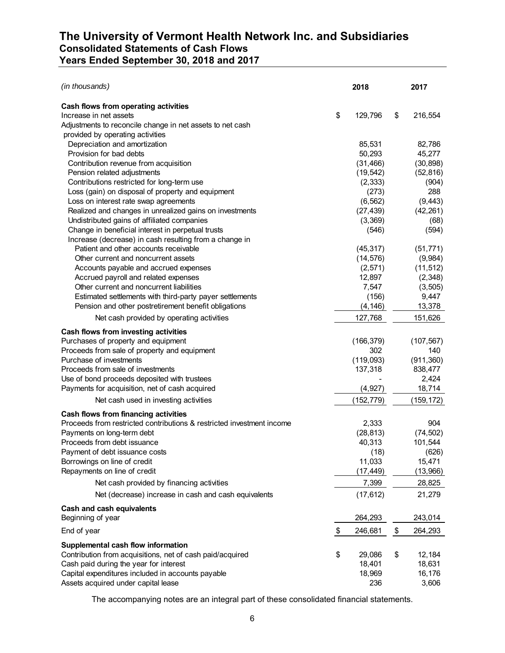# **The University of Vermont Health Network Inc. and Subsidiaries Consolidated Statements of Cash Flows Years Ended September 30, 2018 and 2017**

| (in thousands)                                                        | 2018          | 2017          |
|-----------------------------------------------------------------------|---------------|---------------|
| Cash flows from operating activities                                  |               |               |
| Increase in net assets                                                | \$<br>129,796 | \$<br>216,554 |
| Adjustments to reconcile change in net assets to net cash             |               |               |
| provided by operating activities                                      |               |               |
| Depreciation and amortization                                         | 85,531        | 82,786        |
| Provision for bad debts                                               | 50,293        | 45,277        |
| Contribution revenue from acquisition                                 | (31, 466)     | (30, 898)     |
| Pension related adjustments                                           | (19, 542)     | (52, 816)     |
| Contributions restricted for long-term use                            | (2, 333)      | (904)         |
| Loss (gain) on disposal of property and equipment                     | (273)         | 288           |
| Loss on interest rate swap agreements                                 | (6, 562)      | (9, 443)      |
| Realized and changes in unrealized gains on investments               | (27, 439)     | (42, 261)     |
| Undistributed gains of affiliated companies                           | (3,369)       | (68)          |
| Change in beneficial interest in perpetual trusts                     | (546)         | (594)         |
| Increase (decrease) in cash resulting from a change in                |               |               |
| Patient and other accounts receivable                                 | (45, 317)     | (51, 771)     |
| Other current and noncurrent assets                                   | (14, 576)     | (9,984)       |
| Accounts payable and accrued expenses                                 | (2,571)       | (11, 512)     |
| Accrued payroll and related expenses                                  | 12,897        | (2,348)       |
| Other current and noncurrent liabilities                              | 7,547         | (3, 505)      |
| Estimated settlements with third-party payer settlements              | (156)         | 9,447         |
| Pension and other postretirement benefit obligations                  | (4, 146)      | 13,378        |
| Net cash provided by operating activities                             | 127,768       | 151,626       |
| Cash flows from investing activities                                  |               |               |
| Purchases of property and equipment                                   | (166, 379)    | (107, 567)    |
| Proceeds from sale of property and equipment                          | 302           | 140           |
| Purchase of investments                                               | (119,093)     | (911, 360)    |
| Proceeds from sale of investments                                     | 137,318       | 838,477       |
| Use of bond proceeds deposited with trustees                          |               | 2,424         |
| Payments for acquisition, net of cash acquired                        | (4, 927)      | 18,714        |
| Net cash used in investing activities                                 | (152, 779)    | (159,172)     |
| Cash flows from financing activities                                  |               |               |
| Proceeds from restricted contributions & restricted investment income | 2,333         | 904           |
| Payments on long-term debt                                            | (28, 813)     | (74, 502)     |
| Proceeds from debt issuance                                           | 40,313        | 101,544       |
| Payment of debt issuance costs                                        | (18)          | (626)         |
| Borrowings on line of credit                                          | 11,033        | 15,471        |
| Repayments on line of credit                                          | (17, 449)     | (13,966)      |
| Net cash provided by financing activities                             | 7,399         | 28,825        |
| Net (decrease) increase in cash and cash equivalents                  | (17, 612)     | 21,279        |
| Cash and cash equivalents                                             |               |               |
| Beginning of year                                                     | 264,293       | 243,014       |
| End of year                                                           | \$<br>246,681 | \$<br>264,293 |
| Supplemental cash flow information                                    |               |               |
| Contribution from acquisitions, net of cash paid/acquired             | \$<br>29,086  | \$<br>12,184  |
| Cash paid during the year for interest                                | 18,401        | 18,631        |
| Capital expenditures included in accounts payable                     | 18,969        | 16,176        |
| Assets acquired under capital lease                                   | 236           | 3,606         |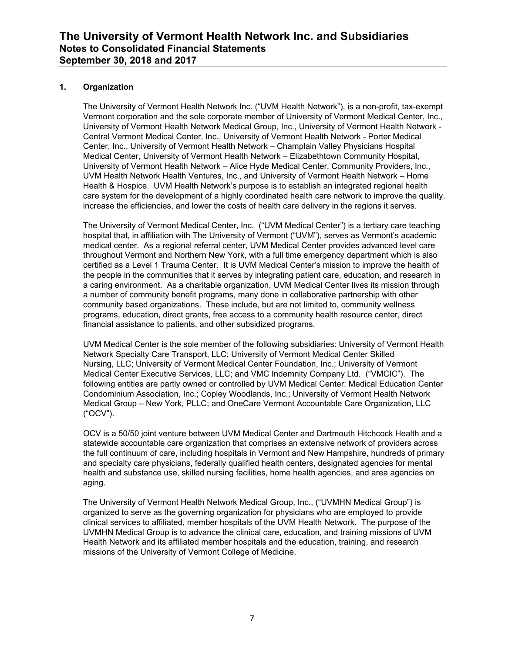### **1. Organization**

The University of Vermont Health Network Inc. ("UVM Health Network"), is a non-profit, tax-exempt Vermont corporation and the sole corporate member of University of Vermont Medical Center, Inc., University of Vermont Health Network Medical Group, Inc., University of Vermont Health Network - Central Vermont Medical Center, Inc., University of Vermont Health Network - Porter Medical Center, Inc., University of Vermont Health Network – Champlain Valley Physicians Hospital Medical Center, University of Vermont Health Network – Elizabethtown Community Hospital, University of Vermont Health Network – Alice Hyde Medical Center, Community Providers, Inc., UVM Health Network Health Ventures, Inc., and University of Vermont Health Network – Home Health & Hospice. UVM Health Network's purpose is to establish an integrated regional health care system for the development of a highly coordinated health care network to improve the quality, increase the efficiencies, and lower the costs of health care delivery in the regions it serves.

The University of Vermont Medical Center, Inc. ("UVM Medical Center") is a tertiary care teaching hospital that, in affiliation with The University of Vermont ("UVM"), serves as Vermont's academic medical center. As a regional referral center, UVM Medical Center provides advanced level care throughout Vermont and Northern New York, with a full time emergency department which is also certified as a Level 1 Trauma Center. It is UVM Medical Center's mission to improve the health of the people in the communities that it serves by integrating patient care, education, and research in a caring environment. As a charitable organization, UVM Medical Center lives its mission through a number of community benefit programs, many done in collaborative partnership with other community based organizations. These include, but are not limited to, community wellness programs, education, direct grants, free access to a community health resource center, direct financial assistance to patients, and other subsidized programs.

UVM Medical Center is the sole member of the following subsidiaries: University of Vermont Health Network Specialty Care Transport, LLC; University of Vermont Medical Center Skilled Nursing, LLC; University of Vermont Medical Center Foundation, Inc.; University of Vermont Medical Center Executive Services, LLC; and VMC Indemnity Company Ltd. ("VMCIC"). The following entities are partly owned or controlled by UVM Medical Center: Medical Education Center Condominium Association, Inc.; Copley Woodlands, Inc.; University of Vermont Health Network Medical Group – New York, PLLC; and OneCare Vermont Accountable Care Organization, LLC ("OCV").

OCV is a 50/50 joint venture between UVM Medical Center and Dartmouth Hitchcock Health and a statewide accountable care organization that comprises an extensive network of providers across the full continuum of care, including hospitals in Vermont and New Hampshire, hundreds of primary and specialty care physicians, federally qualified health centers, designated agencies for mental health and substance use, skilled nursing facilities, home health agencies, and area agencies on aging.

The University of Vermont Health Network Medical Group, Inc., ("UVMHN Medical Group") is organized to serve as the governing organization for physicians who are employed to provide clinical services to affiliated, member hospitals of the UVM Health Network. The purpose of the UVMHN Medical Group is to advance the clinical care, education, and training missions of UVM Health Network and its affiliated member hospitals and the education, training, and research missions of the University of Vermont College of Medicine.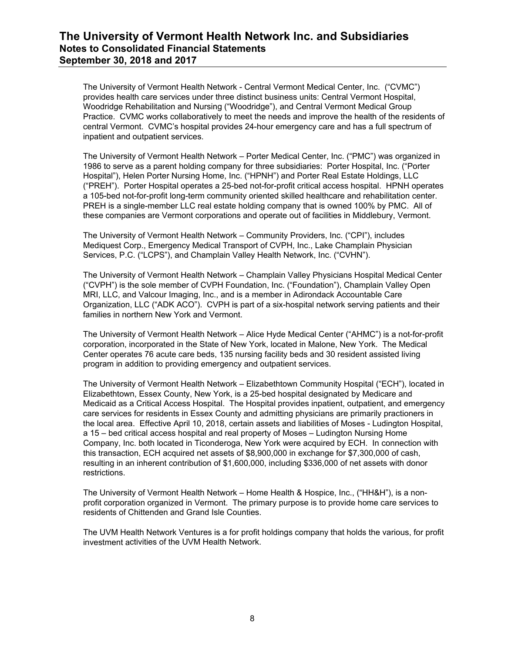The University of Vermont Health Network - Central Vermont Medical Center, Inc. ("CVMC") provides health care services under three distinct business units: Central Vermont Hospital, Woodridge Rehabilitation and Nursing ("Woodridge"), and Central Vermont Medical Group Practice. CVMC works collaboratively to meet the needs and improve the health of the residents of central Vermont. CVMC's hospital provides 24-hour emergency care and has a full spectrum of inpatient and outpatient services.

The University of Vermont Health Network – Porter Medical Center, Inc. ("PMC") was organized in 1986 to serve as a parent holding company for three subsidiaries: Porter Hospital, Inc. ("Porter Hospital"), Helen Porter Nursing Home, Inc. ("HPNH") and Porter Real Estate Holdings, LLC ("PREH"). Porter Hospital operates a 25-bed not-for-profit critical access hospital. HPNH operates a 105-bed not-for-profit long-term community oriented skilled healthcare and rehabilitation center. PREH is a single-member LLC real estate holding company that is owned 100% by PMC. All of these companies are Vermont corporations and operate out of facilities in Middlebury, Vermont.

The University of Vermont Health Network – Community Providers, Inc. ("CPI"), includes Mediquest Corp., Emergency Medical Transport of CVPH, Inc., Lake Champlain Physician Services, P.C. ("LCPS"), and Champlain Valley Health Network, Inc. ("CVHN").

The University of Vermont Health Network – Champlain Valley Physicians Hospital Medical Center ("CVPH") is the sole member of CVPH Foundation, Inc. ("Foundation"), Champlain Valley Open MRI, LLC, and Valcour Imaging, Inc., and is a member in Adirondack Accountable Care Organization, LLC ("ADK ACO"). CVPH is part of a six-hospital network serving patients and their families in northern New York and Vermont.

The University of Vermont Health Network – Alice Hyde Medical Center ("AHMC") is a not-for-profit corporation, incorporated in the State of New York, located in Malone, New York. The Medical Center operates 76 acute care beds, 135 nursing facility beds and 30 resident assisted living program in addition to providing emergency and outpatient services.

The University of Vermont Health Network – Elizabethtown Community Hospital ("ECH"), located in Elizabethtown, Essex County, New York, is a 25-bed hospital designated by Medicare and Medicaid as a Critical Access Hospital. The Hospital provides inpatient, outpatient, and emergency care services for residents in Essex County and admitting physicians are primarily practioners in the local area. Effective April 10, 2018, certain assets and liabilities of Moses - Ludington Hospital, a 15 – bed critical access hospital and real property of Moses – Ludington Nursing Home Company, Inc. both located in Ticonderoga, New York were acquired by ECH. In connection with this transaction, ECH acquired net assets of \$8,900,000 in exchange for \$7,300,000 of cash, resulting in an inherent contribution of \$1,600,000, including \$336,000 of net assets with donor restrictions.

The University of Vermont Health Network – Home Health & Hospice, Inc., ("HH&H"), is a nonprofit corporation organized in Vermont. The primary purpose is to provide home care services to residents of Chittenden and Grand Isle Counties.

The UVM Health Network Ventures is a for profit holdings company that holds the various, for profit investment activities of the UVM Health Network.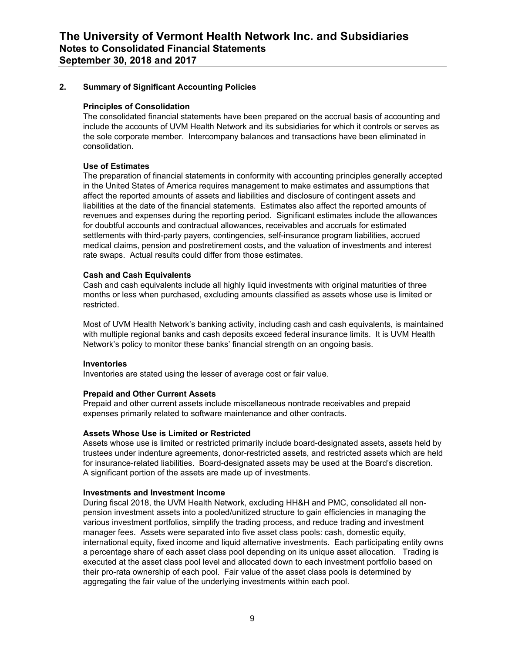### **2. Summary of Significant Accounting Policies**

#### **Principles of Consolidation**

The consolidated financial statements have been prepared on the accrual basis of accounting and include the accounts of UVM Health Network and its subsidiaries for which it controls or serves as the sole corporate member. Intercompany balances and transactions have been eliminated in consolidation.

### **Use of Estimates**

The preparation of financial statements in conformity with accounting principles generally accepted in the United States of America requires management to make estimates and assumptions that affect the reported amounts of assets and liabilities and disclosure of contingent assets and liabilities at the date of the financial statements. Estimates also affect the reported amounts of revenues and expenses during the reporting period. Significant estimates include the allowances for doubtful accounts and contractual allowances, receivables and accruals for estimated settlements with third-party payers, contingencies, self-insurance program liabilities, accrued medical claims, pension and postretirement costs, and the valuation of investments and interest rate swaps. Actual results could differ from those estimates.

### **Cash and Cash Equivalents**

Cash and cash equivalents include all highly liquid investments with original maturities of three months or less when purchased, excluding amounts classified as assets whose use is limited or restricted.

Most of UVM Health Network's banking activity, including cash and cash equivalents, is maintained with multiple regional banks and cash deposits exceed federal insurance limits. It is UVM Health Network's policy to monitor these banks' financial strength on an ongoing basis.

#### **Inventories**

Inventories are stated using the lesser of average cost or fair value.

### **Prepaid and Other Current Assets**

Prepaid and other current assets include miscellaneous nontrade receivables and prepaid expenses primarily related to software maintenance and other contracts.

#### **Assets Whose Use is Limited or Restricted**

Assets whose use is limited or restricted primarily include board-designated assets, assets held by trustees under indenture agreements, donor-restricted assets, and restricted assets which are held for insurance-related liabilities. Board-designated assets may be used at the Board's discretion. A significant portion of the assets are made up of investments.

#### **Investments and Investment Income**

During fiscal 2018, the UVM Health Network, excluding HH&H and PMC, consolidated all nonpension investment assets into a pooled/unitized structure to gain efficiencies in managing the various investment portfolios, simplify the trading process, and reduce trading and investment manager fees. Assets were separated into five asset class pools: cash, domestic equity, international equity, fixed income and liquid alternative investments. Each participating entity owns a percentage share of each asset class pool depending on its unique asset allocation. Trading is executed at the asset class pool level and allocated down to each investment portfolio based on their pro-rata ownership of each pool. Fair value of the asset class pools is determined by aggregating the fair value of the underlying investments within each pool.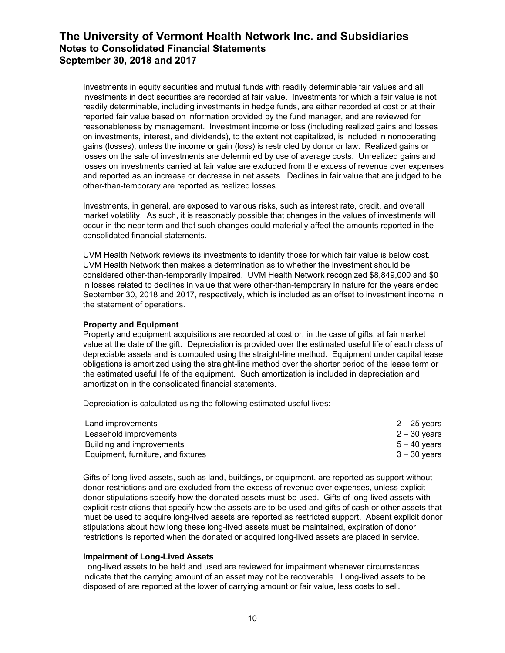Investments in equity securities and mutual funds with readily determinable fair values and all investments in debt securities are recorded at fair value. Investments for which a fair value is not readily determinable, including investments in hedge funds, are either recorded at cost or at their reported fair value based on information provided by the fund manager, and are reviewed for reasonableness by management. Investment income or loss (including realized gains and losses on investments, interest, and dividends), to the extent not capitalized, is included in nonoperating gains (losses), unless the income or gain (loss) is restricted by donor or law. Realized gains or losses on the sale of investments are determined by use of average costs. Unrealized gains and losses on investments carried at fair value are excluded from the excess of revenue over expenses and reported as an increase or decrease in net assets. Declines in fair value that are judged to be other-than-temporary are reported as realized losses.

Investments, in general, are exposed to various risks, such as interest rate, credit, and overall market volatility. As such, it is reasonably possible that changes in the values of investments will occur in the near term and that such changes could materially affect the amounts reported in the consolidated financial statements.

UVM Health Network reviews its investments to identify those for which fair value is below cost. UVM Health Network then makes a determination as to whether the investment should be considered other-than-temporarily impaired. UVM Health Network recognized \$8,849,000 and \$0 in losses related to declines in value that were other-than-temporary in nature for the years ended September 30, 2018 and 2017, respectively, which is included as an offset to investment income in the statement of operations.

### **Property and Equipment**

Property and equipment acquisitions are recorded at cost or, in the case of gifts, at fair market value at the date of the gift. Depreciation is provided over the estimated useful life of each class of depreciable assets and is computed using the straight-line method. Equipment under capital lease obligations is amortized using the straight-line method over the shorter period of the lease term or the estimated useful life of the equipment. Such amortization is included in depreciation and amortization in the consolidated financial statements.

Depreciation is calculated using the following estimated useful lives:

| Land improvements                  | $2 - 25$ years |
|------------------------------------|----------------|
| Leasehold improvements             | $2 - 30$ years |
| Building and improvements          | $5 - 40$ years |
| Equipment, furniture, and fixtures | $3 - 30$ years |

Gifts of long-lived assets, such as land, buildings, or equipment, are reported as support without donor restrictions and are excluded from the excess of revenue over expenses, unless explicit donor stipulations specify how the donated assets must be used. Gifts of long-lived assets with explicit restrictions that specify how the assets are to be used and gifts of cash or other assets that must be used to acquire long-lived assets are reported as restricted support. Absent explicit donor stipulations about how long these long-lived assets must be maintained, expiration of donor restrictions is reported when the donated or acquired long-lived assets are placed in service.

#### **Impairment of Long-Lived Assets**

Long-lived assets to be held and used are reviewed for impairment whenever circumstances indicate that the carrying amount of an asset may not be recoverable. Long-lived assets to be disposed of are reported at the lower of carrying amount or fair value, less costs to sell.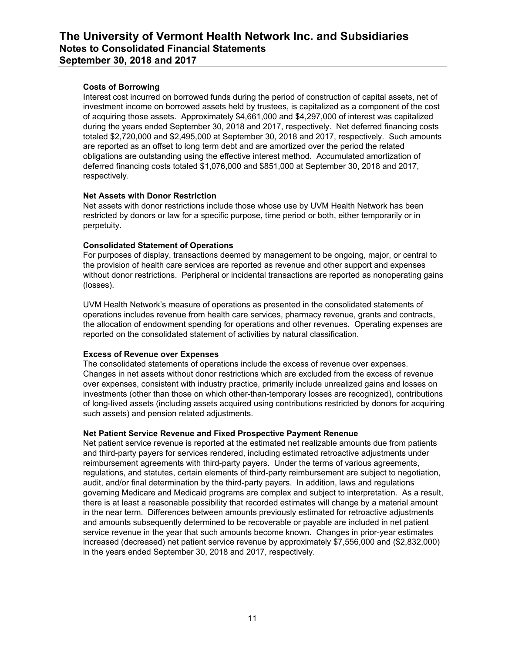### **Costs of Borrowing**

Interest cost incurred on borrowed funds during the period of construction of capital assets, net of investment income on borrowed assets held by trustees, is capitalized as a component of the cost of acquiring those assets. Approximately \$4,661,000 and \$4,297,000 of interest was capitalized during the years ended September 30, 2018 and 2017, respectively. Net deferred financing costs totaled \$2,720,000 and \$2,495,000 at September 30, 2018 and 2017, respectively. Such amounts are reported as an offset to long term debt and are amortized over the period the related obligations are outstanding using the effective interest method. Accumulated amortization of deferred financing costs totaled \$1,076,000 and \$851,000 at September 30, 2018 and 2017, respectively.

### **Net Assets with Donor Restriction**

Net assets with donor restrictions include those whose use by UVM Health Network has been restricted by donors or law for a specific purpose, time period or both, either temporarily or in perpetuity.

### **Consolidated Statement of Operations**

For purposes of display, transactions deemed by management to be ongoing, major, or central to the provision of health care services are reported as revenue and other support and expenses without donor restrictions. Peripheral or incidental transactions are reported as nonoperating gains (losses).

UVM Health Network's measure of operations as presented in the consolidated statements of operations includes revenue from health care services, pharmacy revenue, grants and contracts, the allocation of endowment spending for operations and other revenues. Operating expenses are reported on the consolidated statement of activities by natural classification.

### **Excess of Revenue over Expenses**

The consolidated statements of operations include the excess of revenue over expenses. Changes in net assets without donor restrictions which are excluded from the excess of revenue over expenses, consistent with industry practice, primarily include unrealized gains and losses on investments (other than those on which other-than-temporary losses are recognized), contributions of long-lived assets (including assets acquired using contributions restricted by donors for acquiring such assets) and pension related adjustments.

### **Net Patient Service Revenue and Fixed Prospective Payment Renenue**

Net patient service revenue is reported at the estimated net realizable amounts due from patients and third-party payers for services rendered, including estimated retroactive adjustments under reimbursement agreements with third-party payers. Under the terms of various agreements, regulations, and statutes, certain elements of third-party reimbursement are subject to negotiation, audit, and/or final determination by the third-party payers. In addition, laws and regulations governing Medicare and Medicaid programs are complex and subject to interpretation. As a result, there is at least a reasonable possibility that recorded estimates will change by a material amount in the near term. Differences between amounts previously estimated for retroactive adjustments and amounts subsequently determined to be recoverable or payable are included in net patient service revenue in the year that such amounts become known. Changes in prior-year estimates increased (decreased) net patient service revenue by approximately \$7,556,000 and (\$2,832,000) in the years ended September 30, 2018 and 2017, respectively.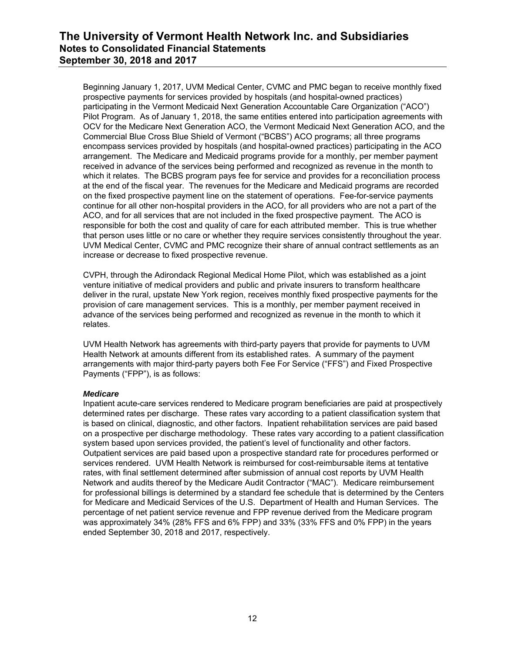Beginning January 1, 2017, UVM Medical Center, CVMC and PMC began to receive monthly fixed prospective payments for services provided by hospitals (and hospital-owned practices) participating in the Vermont Medicaid Next Generation Accountable Care Organization ("ACO") Pilot Program. As of January 1, 2018, the same entities entered into participation agreements with OCV for the Medicare Next Generation ACO, the Vermont Medicaid Next Generation ACO, and the Commercial Blue Cross Blue Shield of Vermont ("BCBS") ACO programs; all three programs encompass services provided by hospitals (and hospital-owned practices) participating in the ACO arrangement. The Medicare and Medicaid programs provide for a monthly, per member payment received in advance of the services being performed and recognized as revenue in the month to which it relates. The BCBS program pays fee for service and provides for a reconciliation process at the end of the fiscal year. The revenues for the Medicare and Medicaid programs are recorded on the fixed prospective payment line on the statement of operations. Fee-for-service payments continue for all other non-hospital providers in the ACO, for all providers who are not a part of the ACO, and for all services that are not included in the fixed prospective payment. The ACO is responsible for both the cost and quality of care for each attributed member. This is true whether that person uses little or no care or whether they require services consistently throughout the year. UVM Medical Center, CVMC and PMC recognize their share of annual contract settlements as an increase or decrease to fixed prospective revenue.

CVPH, through the Adirondack Regional Medical Home Pilot, which was established as a joint venture initiative of medical providers and public and private insurers to transform healthcare deliver in the rural, upstate New York region, receives monthly fixed prospective payments for the provision of care management services. This is a monthly, per member payment received in advance of the services being performed and recognized as revenue in the month to which it relates.

UVM Health Network has agreements with third-party payers that provide for payments to UVM Health Network at amounts different from its established rates. A summary of the payment arrangements with major third-party payers both Fee For Service ("FFS") and Fixed Prospective Payments ("FPP"), is as follows:

### *Medicare*

Inpatient acute-care services rendered to Medicare program beneficiaries are paid at prospectively determined rates per discharge. These rates vary according to a patient classification system that is based on clinical, diagnostic, and other factors. Inpatient rehabilitation services are paid based on a prospective per discharge methodology. These rates vary according to a patient classification system based upon services provided, the patient's level of functionality and other factors. Outpatient services are paid based upon a prospective standard rate for procedures performed or services rendered. UVM Health Network is reimbursed for cost-reimbursable items at tentative rates, with final settlement determined after submission of annual cost reports by UVM Health Network and audits thereof by the Medicare Audit Contractor ("MAC"). Medicare reimbursement for professional billings is determined by a standard fee schedule that is determined by the Centers for Medicare and Medicaid Services of the U.S. Department of Health and Human Services. The percentage of net patient service revenue and FPP revenue derived from the Medicare program was approximately 34% (28% FFS and 6% FPP) and 33% (33% FFS and 0% FPP) in the years ended September 30, 2018 and 2017, respectively.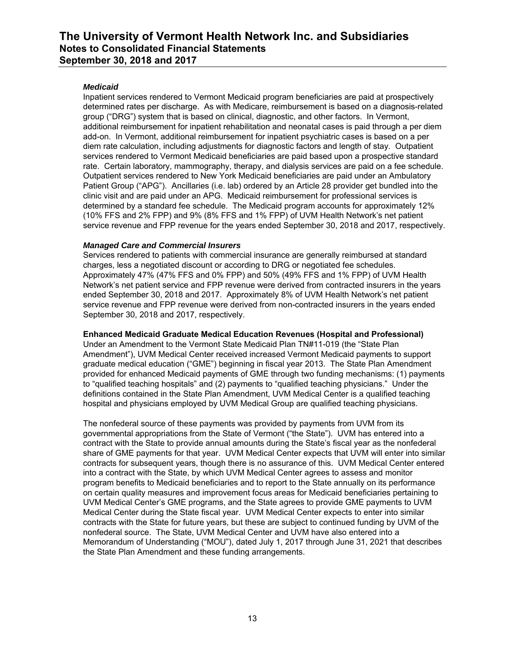### *Medicaid*

Inpatient services rendered to Vermont Medicaid program beneficiaries are paid at prospectively determined rates per discharge. As with Medicare, reimbursement is based on a diagnosis-related group ("DRG") system that is based on clinical, diagnostic, and other factors. In Vermont, additional reimbursement for inpatient rehabilitation and neonatal cases is paid through a per diem add-on. In Vermont, additional reimbursement for inpatient psychiatric cases is based on a per diem rate calculation, including adjustments for diagnostic factors and length of stay. Outpatient services rendered to Vermont Medicaid beneficiaries are paid based upon a prospective standard rate. Certain laboratory, mammography, therapy, and dialysis services are paid on a fee schedule. Outpatient services rendered to New York Medicaid beneficiaries are paid under an Ambulatory Patient Group ("APG"). Ancillaries (i.e. lab) ordered by an Article 28 provider get bundled into the clinic visit and are paid under an APG. Medicaid reimbursement for professional services is determined by a standard fee schedule. The Medicaid program accounts for approximately 12% (10% FFS and 2% FPP) and 9% (8% FFS and 1% FPP) of UVM Health Network's net patient service revenue and FPP revenue for the years ended September 30, 2018 and 2017, respectively.

### *Managed Care and Commercial Insurers*

Services rendered to patients with commercial insurance are generally reimbursed at standard charges, less a negotiated discount or according to DRG or negotiated fee schedules. Approximately 47% (47% FFS and 0% FPP) and 50% (49% FFS and 1% FPP) of UVM Health Network's net patient service and FPP revenue were derived from contracted insurers in the years ended September 30, 2018 and 2017. Approximately 8% of UVM Health Network's net patient service revenue and FPP revenue were derived from non-contracted insurers in the years ended September 30, 2018 and 2017, respectively.

### **Enhanced Medicaid Graduate Medical Education Revenues (Hospital and Professional)**

Under an Amendment to the Vermont State Medicaid Plan TN#11-019 (the "State Plan Amendment"), UVM Medical Center received increased Vermont Medicaid payments to support graduate medical education ("GME") beginning in fiscal year 2013. The State Plan Amendment provided for enhanced Medicaid payments of GME through two funding mechanisms: (1) payments to "qualified teaching hospitals" and (2) payments to "qualified teaching physicians." Under the definitions contained in the State Plan Amendment, UVM Medical Center is a qualified teaching hospital and physicians employed by UVM Medical Group are qualified teaching physicians.

The nonfederal source of these payments was provided by payments from UVM from its governmental appropriations from the State of Vermont ("the State"). UVM has entered into a contract with the State to provide annual amounts during the State's fiscal year as the nonfederal share of GME payments for that year. UVM Medical Center expects that UVM will enter into similar contracts for subsequent years, though there is no assurance of this. UVM Medical Center entered into a contract with the State, by which UVM Medical Center agrees to assess and monitor program benefits to Medicaid beneficiaries and to report to the State annually on its performance on certain quality measures and improvement focus areas for Medicaid beneficiaries pertaining to UVM Medical Center's GME programs, and the State agrees to provide GME payments to UVM Medical Center during the State fiscal year. UVM Medical Center expects to enter into similar contracts with the State for future years, but these are subject to continued funding by UVM of the nonfederal source. The State, UVM Medical Center and UVM have also entered into a Memorandum of Understanding ("MOU"), dated July 1, 2017 through June 31, 2021 that describes the State Plan Amendment and these funding arrangements.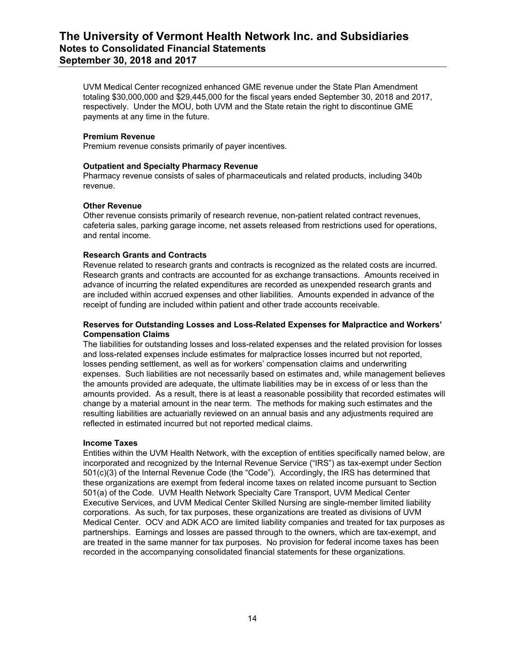UVM Medical Center recognized enhanced GME revenue under the State Plan Amendment totaling \$30,000,000 and \$29,445,000 for the fiscal years ended September 30, 2018 and 2017, respectively. Under the MOU, both UVM and the State retain the right to discontinue GME payments at any time in the future.

#### **Premium Revenue**

Premium revenue consists primarily of payer incentives.

### **Outpatient and Specialty Pharmacy Revenue**

Pharmacy revenue consists of sales of pharmaceuticals and related products, including 340b revenue.

#### **Other Revenue**

Other revenue consists primarily of research revenue, non-patient related contract revenues, cafeteria sales, parking garage income, net assets released from restrictions used for operations, and rental income.

### **Research Grants and Contracts**

Revenue related to research grants and contracts is recognized as the related costs are incurred. Research grants and contracts are accounted for as exchange transactions. Amounts received in advance of incurring the related expenditures are recorded as unexpended research grants and are included within accrued expenses and other liabilities. Amounts expended in advance of the receipt of funding are included within patient and other trade accounts receivable.

#### **Reserves for Outstanding Losses and Loss-Related Expenses for Malpractice and Workers' Compensation Claims**

The liabilities for outstanding losses and loss-related expenses and the related provision for losses and loss-related expenses include estimates for malpractice losses incurred but not reported, losses pending settlement, as well as for workers' compensation claims and underwriting expenses. Such liabilities are not necessarily based on estimates and, while management believes the amounts provided are adequate, the ultimate liabilities may be in excess of or less than the amounts provided. As a result, there is at least a reasonable possibility that recorded estimates will change by a material amount in the near term. The methods for making such estimates and the resulting liabilities are actuarially reviewed on an annual basis and any adjustments required are reflected in estimated incurred but not reported medical claims.

#### **Income Taxes**

Entities within the UVM Health Network, with the exception of entities specifically named below, are incorporated and recognized by the Internal Revenue Service ("IRS") as tax-exempt under Section 501(c)(3) of the Internal Revenue Code (the "Code"). Accordingly, the IRS has determined that these organizations are exempt from federal income taxes on related income pursuant to Section 501(a) of the Code. UVM Health Network Specialty Care Transport, UVM Medical Center Executive Services, and UVM Medical Center Skilled Nursing are single-member limited liability corporations. As such, for tax purposes, these organizations are treated as divisions of UVM Medical Center. OCV and ADK ACO are limited liability companies and treated for tax purposes as partnerships. Earnings and losses are passed through to the owners, which are tax-exempt, and are treated in the same manner for tax purposes. No provision for federal income taxes has been recorded in the accompanying consolidated financial statements for these organizations.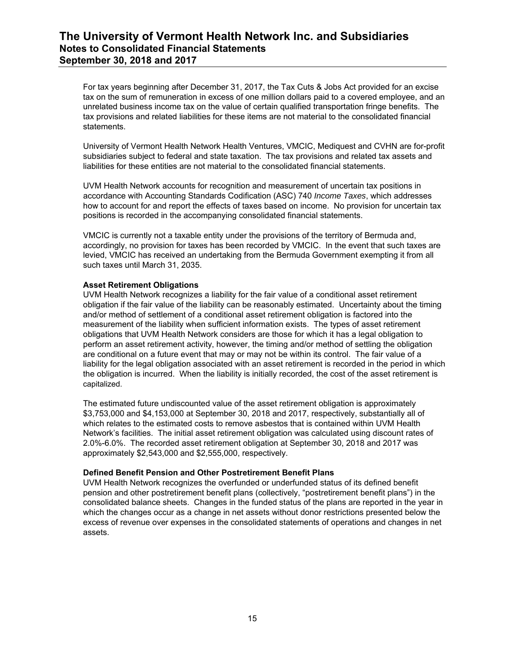For tax years beginning after December 31, 2017, the Tax Cuts & Jobs Act provided for an excise tax on the sum of remuneration in excess of one million dollars paid to a covered employee, and an unrelated business income tax on the value of certain qualified transportation fringe benefits. The tax provisions and related liabilities for these items are not material to the consolidated financial statements.

University of Vermont Health Network Health Ventures, VMCIC, Mediquest and CVHN are for-profit subsidiaries subject to federal and state taxation. The tax provisions and related tax assets and liabilities for these entities are not material to the consolidated financial statements.

UVM Health Network accounts for recognition and measurement of uncertain tax positions in accordance with Accounting Standards Codification (ASC) 740 *Income Taxes*, which addresses how to account for and report the effects of taxes based on income. No provision for uncertain tax positions is recorded in the accompanying consolidated financial statements.

VMCIC is currently not a taxable entity under the provisions of the territory of Bermuda and, accordingly, no provision for taxes has been recorded by VMCIC. In the event that such taxes are levied, VMCIC has received an undertaking from the Bermuda Government exempting it from all such taxes until March 31, 2035.

### **Asset Retirement Obligations**

UVM Health Network recognizes a liability for the fair value of a conditional asset retirement obligation if the fair value of the liability can be reasonably estimated. Uncertainty about the timing and/or method of settlement of a conditional asset retirement obligation is factored into the measurement of the liability when sufficient information exists. The types of asset retirement obligations that UVM Health Network considers are those for which it has a legal obligation to perform an asset retirement activity, however, the timing and/or method of settling the obligation are conditional on a future event that may or may not be within its control. The fair value of a liability for the legal obligation associated with an asset retirement is recorded in the period in which the obligation is incurred. When the liability is initially recorded, the cost of the asset retirement is capitalized.

The estimated future undiscounted value of the asset retirement obligation is approximately \$3,753,000 and \$4,153,000 at September 30, 2018 and 2017, respectively, substantially all of which relates to the estimated costs to remove asbestos that is contained within UVM Health Network's facilities. The initial asset retirement obligation was calculated using discount rates of 2.0%-6.0%. The recorded asset retirement obligation at September 30, 2018 and 2017 was approximately \$2,543,000 and \$2,555,000, respectively.

#### **Defined Benefit Pension and Other Postretirement Benefit Plans**

UVM Health Network recognizes the overfunded or underfunded status of its defined benefit pension and other postretirement benefit plans (collectively, "postretirement benefit plans") in the consolidated balance sheets. Changes in the funded status of the plans are reported in the year in which the changes occur as a change in net assets without donor restrictions presented below the excess of revenue over expenses in the consolidated statements of operations and changes in net assets.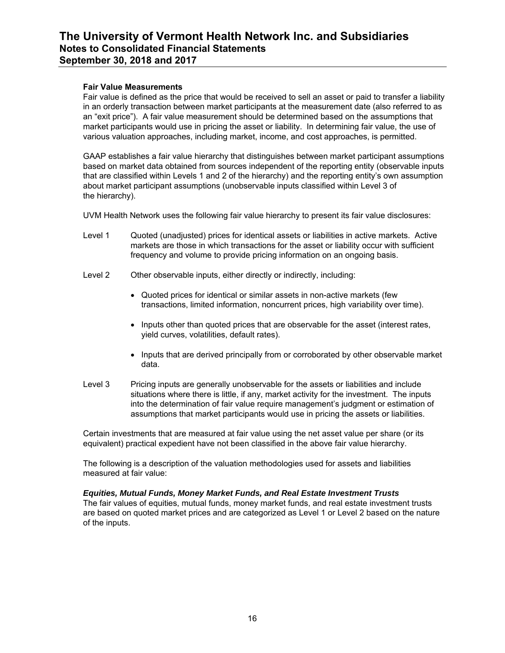#### **Fair Value Measurements**

Fair value is defined as the price that would be received to sell an asset or paid to transfer a liability in an orderly transaction between market participants at the measurement date (also referred to as an "exit price"). A fair value measurement should be determined based on the assumptions that market participants would use in pricing the asset or liability. In determining fair value, the use of various valuation approaches, including market, income, and cost approaches, is permitted.

GAAP establishes a fair value hierarchy that distinguishes between market participant assumptions based on market data obtained from sources independent of the reporting entity (observable inputs that are classified within Levels 1 and 2 of the hierarchy) and the reporting entity's own assumption about market participant assumptions (unobservable inputs classified within Level 3 of the hierarchy).

UVM Health Network uses the following fair value hierarchy to present its fair value disclosures:

- Level 1 Quoted (unadjusted) prices for identical assets or liabilities in active markets. Active markets are those in which transactions for the asset or liability occur with sufficient frequency and volume to provide pricing information on an ongoing basis.
- Level 2 Other observable inputs, either directly or indirectly, including:
	- Quoted prices for identical or similar assets in non-active markets (few transactions, limited information, noncurrent prices, high variability over time).
	- Inputs other than quoted prices that are observable for the asset (interest rates, yield curves, volatilities, default rates).
	- Inputs that are derived principally from or corroborated by other observable market data.
- Level 3 Pricing inputs are generally unobservable for the assets or liabilities and include situations where there is little, if any, market activity for the investment. The inputs into the determination of fair value require management's judgment or estimation of assumptions that market participants would use in pricing the assets or liabilities.

Certain investments that are measured at fair value using the net asset value per share (or its equivalent) practical expedient have not been classified in the above fair value hierarchy.

The following is a description of the valuation methodologies used for assets and liabilities measured at fair value:

#### *Equities, Mutual Funds, Money Market Funds, and Real Estate Investment Trusts*

The fair values of equities, mutual funds, money market funds, and real estate investment trusts are based on quoted market prices and are categorized as Level 1 or Level 2 based on the nature of the inputs.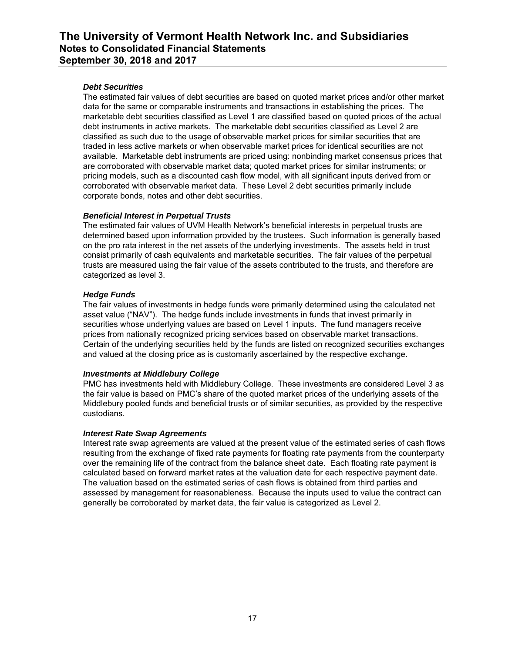### *Debt Securities*

The estimated fair values of debt securities are based on quoted market prices and/or other market data for the same or comparable instruments and transactions in establishing the prices. The marketable debt securities classified as Level 1 are classified based on quoted prices of the actual debt instruments in active markets. The marketable debt securities classified as Level 2 are classified as such due to the usage of observable market prices for similar securities that are traded in less active markets or when observable market prices for identical securities are not available. Marketable debt instruments are priced using: nonbinding market consensus prices that are corroborated with observable market data; quoted market prices for similar instruments; or pricing models, such as a discounted cash flow model, with all significant inputs derived from or corroborated with observable market data. These Level 2 debt securities primarily include corporate bonds, notes and other debt securities.

### *Beneficial Interest in Perpetual Trusts*

The estimated fair values of UVM Health Network's beneficial interests in perpetual trusts are determined based upon information provided by the trustees. Such information is generally based on the pro rata interest in the net assets of the underlying investments. The assets held in trust consist primarily of cash equivalents and marketable securities. The fair values of the perpetual trusts are measured using the fair value of the assets contributed to the trusts, and therefore are categorized as level 3.

### *Hedge Funds*

The fair values of investments in hedge funds were primarily determined using the calculated net asset value ("NAV"). The hedge funds include investments in funds that invest primarily in securities whose underlying values are based on Level 1 inputs. The fund managers receive prices from nationally recognized pricing services based on observable market transactions. Certain of the underlying securities held by the funds are listed on recognized securities exchanges and valued at the closing price as is customarily ascertained by the respective exchange.

#### *Investments at Middlebury College*

PMC has investments held with Middlebury College. These investments are considered Level 3 as the fair value is based on PMC's share of the quoted market prices of the underlying assets of the Middlebury pooled funds and beneficial trusts or of similar securities, as provided by the respective custodians.

#### *Interest Rate Swap Agreements*

Interest rate swap agreements are valued at the present value of the estimated series of cash flows resulting from the exchange of fixed rate payments for floating rate payments from the counterparty over the remaining life of the contract from the balance sheet date. Each floating rate payment is calculated based on forward market rates at the valuation date for each respective payment date. The valuation based on the estimated series of cash flows is obtained from third parties and assessed by management for reasonableness. Because the inputs used to value the contract can generally be corroborated by market data, the fair value is categorized as Level 2.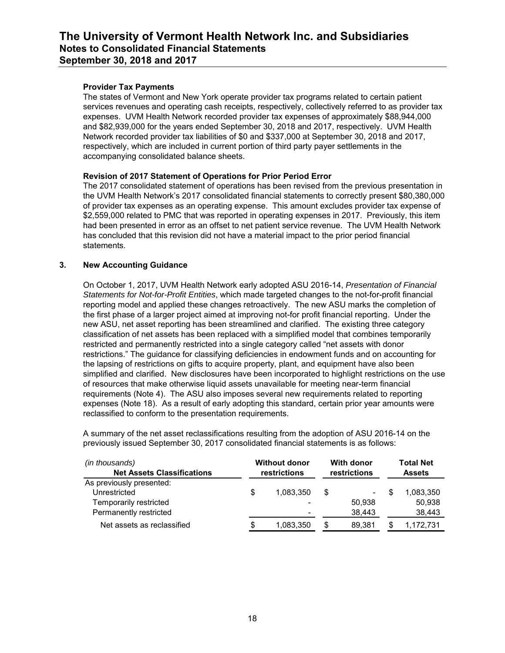### **Provider Tax Payments**

The states of Vermont and New York operate provider tax programs related to certain patient services revenues and operating cash receipts, respectively, collectively referred to as provider tax expenses. UVM Health Network recorded provider tax expenses of approximately \$88,944,000 and \$82,939,000 for the years ended September 30, 2018 and 2017, respectively. UVM Health Network recorded provider tax liabilities of \$0 and \$337,000 at September 30, 2018 and 2017, respectively, which are included in current portion of third party payer settlements in the accompanying consolidated balance sheets.

### **Revision of 2017 Statement of Operations for Prior Period Error**

The 2017 consolidated statement of operations has been revised from the previous presentation in the UVM Health Network's 2017 consolidated financial statements to correctly present \$80,380,000 of provider tax expenses as an operating expense. This amount excludes provider tax expense of \$2,559,000 related to PMC that was reported in operating expenses in 2017. Previously, this item had been presented in error as an offset to net patient service revenue. The UVM Health Network has concluded that this revision did not have a material impact to the prior period financial statements.

### **3. New Accounting Guidance**

On October 1, 2017, UVM Health Network early adopted ASU 2016-14, *Presentation of Financial Statements for Not-for-Profit Entities*, which made targeted changes to the not-for-profit financial reporting model and applied these changes retroactively. The new ASU marks the completion of the first phase of a larger project aimed at improving not-for profit financial reporting. Under the new ASU, net asset reporting has been streamlined and clarified. The existing three category classification of net assets has been replaced with a simplified model that combines temporarily restricted and permanently restricted into a single category called "net assets with donor restrictions." The guidance for classifying deficiencies in endowment funds and on accounting for the lapsing of restrictions on gifts to acquire property, plant, and equipment have also been simplified and clarified. New disclosures have been incorporated to highlight restrictions on the use of resources that make otherwise liquid assets unavailable for meeting near-term financial requirements (Note 4). The ASU also imposes several new requirements related to reporting expenses (Note 18). As a result of early adopting this standard, certain prior year amounts were reclassified to conform to the presentation requirements.

A summary of the net asset reclassifications resulting from the adoption of ASU 2016-14 on the previously issued September 30, 2017 consolidated financial statements is as follows:

| (in thousands)<br><b>Net Assets Classifications</b> |   | <b>Without donor</b><br>restrictions |    | With donor<br>restrictions |  | <b>Total Net</b><br><b>Assets</b> |
|-----------------------------------------------------|---|--------------------------------------|----|----------------------------|--|-----------------------------------|
| As previously presented:                            |   |                                      |    |                            |  |                                   |
| Unrestricted                                        | S | 1,083,350                            | \$ | ۰.                         |  | 1.083.350                         |
| Temporarily restricted                              |   |                                      |    | 50.938                     |  | 50,938                            |
| Permanently restricted                              |   |                                      |    | 38.443                     |  | 38,443                            |
| Net assets as reclassified                          |   | 1,083,350                            | \$ | 89.381                     |  | 1,172,731                         |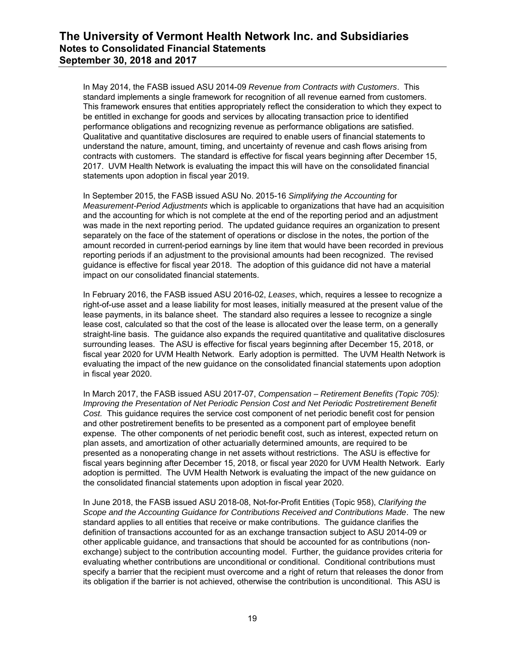In May 2014, the FASB issued ASU 2014-09 *Revenue from Contracts with Customers*. This standard implements a single framework for recognition of all revenue earned from customers. This framework ensures that entities appropriately reflect the consideration to which they expect to be entitled in exchange for goods and services by allocating transaction price to identified performance obligations and recognizing revenue as performance obligations are satisfied. Qualitative and quantitative disclosures are required to enable users of financial statements to understand the nature, amount, timing, and uncertainty of revenue and cash flows arising from contracts with customers. The standard is effective for fiscal years beginning after December 15, 2017. UVM Health Network is evaluating the impact this will have on the consolidated financial statements upon adoption in fiscal year 2019.

In September 2015, the FASB issued ASU No. 2015-16 *Simplifying the Accounting* for *Measurement-Period Adjustments* which is applicable to organizations that have had an acquisition and the accounting for which is not complete at the end of the reporting period and an adjustment was made in the next reporting period. The updated guidance requires an organization to present separately on the face of the statement of operations or disclose in the notes, the portion of the amount recorded in current-period earnings by line item that would have been recorded in previous reporting periods if an adjustment to the provisional amounts had been recognized. The revised guidance is effective for fiscal year 2018. The adoption of this guidance did not have a material impact on our consolidated financial statements.

In February 2016, the FASB issued ASU 2016-02, *Leases*, which, requires a lessee to recognize a right-of-use asset and a lease liability for most leases, initially measured at the present value of the lease payments, in its balance sheet. The standard also requires a lessee to recognize a single lease cost, calculated so that the cost of the lease is allocated over the lease term, on a generally straight-line basis. The guidance also expands the required quantitative and qualitative disclosures surrounding leases. The ASU is effective for fiscal years beginning after December 15, 2018, or fiscal year 2020 for UVM Health Network. Early adoption is permitted. The UVM Health Network is evaluating the impact of the new guidance on the consolidated financial statements upon adoption in fiscal year 2020.

In March 2017, the FASB issued ASU 2017-07, *Compensation – Retirement Benefits (Topic 705): Improving the Presentation of Net Periodic Pension Cost and Net Periodic Postretirement Benefit Cost.* This guidance requires the service cost component of net periodic benefit cost for pension and other postretirement benefits to be presented as a component part of employee benefit expense. The other components of net periodic benefit cost, such as interest, expected return on plan assets, and amortization of other actuarially determined amounts, are required to be presented as a nonoperating change in net assets without restrictions. The ASU is effective for fiscal years beginning after December 15, 2018, or fiscal year 2020 for UVM Health Network. Early adoption is permitted. The UVM Health Network is evaluating the impact of the new guidance on the consolidated financial statements upon adoption in fiscal year 2020.

In June 2018, the FASB issued ASU 2018-08, Not-for-Profit Entities (Topic 958), *Clarifying the Scope and the Accounting Guidance for Contributions Received and Contributions Made*. The new standard applies to all entities that receive or make contributions. The guidance clarifies the definition of transactions accounted for as an exchange transaction subject to ASU 2014-09 or other applicable guidance, and transactions that should be accounted for as contributions (nonexchange) subject to the contribution accounting model. Further, the guidance provides criteria for evaluating whether contributions are unconditional or conditional. Conditional contributions must specify a barrier that the recipient must overcome and a right of return that releases the donor from its obligation if the barrier is not achieved, otherwise the contribution is unconditional. This ASU is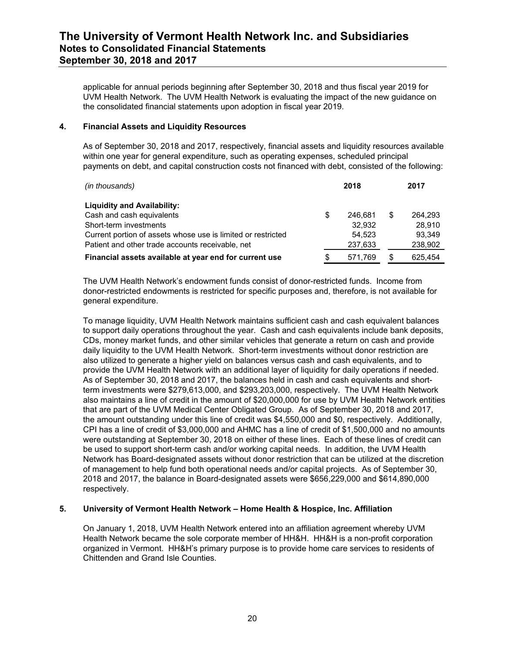applicable for annual periods beginning after September 30, 2018 and thus fiscal year 2019 for UVM Health Network. The UVM Health Network is evaluating the impact of the new guidance on the consolidated financial statements upon adoption in fiscal year 2019.

#### **4. Financial Assets and Liquidity Resources**

As of September 30, 2018 and 2017, respectively, financial assets and liquidity resources available within one year for general expenditure, such as operating expenses, scheduled principal payments on debt, and capital construction costs not financed with debt, consisted of the following:

| (in thousands)                                               |    | 2018    |   | 2017    |  |
|--------------------------------------------------------------|----|---------|---|---------|--|
| <b>Liquidity and Availability:</b>                           |    |         |   |         |  |
| Cash and cash equivalents                                    | \$ | 246.681 | S | 264.293 |  |
| Short-term investments                                       |    | 32.932  |   | 28.910  |  |
| Current portion of assets whose use is limited or restricted |    | 54.523  |   | 93.349  |  |
| Patient and other trade accounts receivable, net             |    | 237,633 |   | 238,902 |  |
| Financial assets available at year end for current use       | S  | 571.769 | S | 625.454 |  |

The UVM Health Network's endowment funds consist of donor-restricted funds. Income from donor-restricted endowments is restricted for specific purposes and, therefore, is not available for general expenditure.

To manage liquidity, UVM Health Network maintains sufficient cash and cash equivalent balances to support daily operations throughout the year. Cash and cash equivalents include bank deposits, CDs, money market funds, and other similar vehicles that generate a return on cash and provide daily liquidity to the UVM Health Network. Short-term investments without donor restriction are also utilized to generate a higher yield on balances versus cash and cash equivalents, and to provide the UVM Health Network with an additional layer of liquidity for daily operations if needed. As of September 30, 2018 and 2017, the balances held in cash and cash equivalents and shortterm investments were \$279,613,000, and \$293,203,000, respectively. The UVM Health Network also maintains a line of credit in the amount of \$20,000,000 for use by UVM Health Network entities that are part of the UVM Medical Center Obligated Group. As of September 30, 2018 and 2017, the amount outstanding under this line of credit was \$4,550,000 and \$0, respectively. Additionally, CPI has a line of credit of \$3,000,000 and AHMC has a line of credit of \$1,500,000 and no amounts were outstanding at September 30, 2018 on either of these lines. Each of these lines of credit can be used to support short-term cash and/or working capital needs. In addition, the UVM Health Network has Board-designated assets without donor restriction that can be utilized at the discretion of management to help fund both operational needs and/or capital projects. As of September 30, 2018 and 2017, the balance in Board-designated assets were \$656,229,000 and \$614,890,000 respectively.

### **5. University of Vermont Health Network – Home Health & Hospice, Inc. Affiliation**

On January 1, 2018, UVM Health Network entered into an affiliation agreement whereby UVM Health Network became the sole corporate member of HH&H. HH&H is a non-profit corporation organized in Vermont. HH&H's primary purpose is to provide home care services to residents of Chittenden and Grand Isle Counties.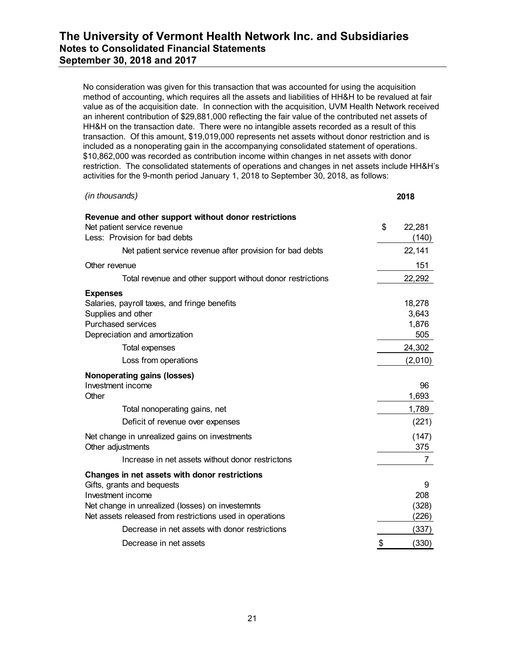No consideration was given for this transaction that was accounted for using the acquisition method of accounting, which requires all the assets and liabilities of HH&H to be revalued at fair value as of the acquisition date. In connection with the acquisition, UVM Health Network received an inherent contribution of \$29,881,000 reflecting the fair value of the contributed net assets of HH&H on the transaction date. There were no intangible assets recorded as a result of this transaction. Of this amount, \$19,019,000 represents net assets without donor restriction and is included as a nonoperating gain in the accompanying consolidated statement of operations. \$10,862,000 was recorded as contribution income within changes in net assets with donor restriction. The consolidated statements of operations and changes in net assets include HH&H's activities for the 9-month period January 1, 2018 to September 30, 2018, as follows:

| (in thousands)                                                                                                                                                                                                   | 2018                            |
|------------------------------------------------------------------------------------------------------------------------------------------------------------------------------------------------------------------|---------------------------------|
| Revenue and other support without donor restrictions<br>Net patient service revenue<br>Less: Provision for bad debts                                                                                             | \$<br>22,281<br>(140)           |
| Net patient service revenue after provision for bad debts                                                                                                                                                        | 22,141                          |
| Other revenue                                                                                                                                                                                                    | 151                             |
| Total revenue and other support without donor restrictions                                                                                                                                                       | 22,292                          |
| <b>Expenses</b><br>Salaries, payroll taxes, and fringe benefits<br>Supplies and other<br><b>Purchased services</b><br>Depreciation and amortization                                                              | 18,278<br>3,643<br>1,876<br>505 |
| <b>Total expenses</b>                                                                                                                                                                                            | 24,302                          |
| Loss from operations                                                                                                                                                                                             | (2,010)                         |
| Nonoperating gains (losses)<br>Investment income<br>Other                                                                                                                                                        | 96<br>1,693                     |
| Total nonoperating gains, net                                                                                                                                                                                    | 1,789                           |
| Deficit of revenue over expenses                                                                                                                                                                                 | (221)                           |
| Net change in unrealized gains on investments<br>Other adjustments                                                                                                                                               | (147)<br>375                    |
| Increase in net assets without donor restrictons                                                                                                                                                                 | 7                               |
| Changes in net assets with donor restrictions<br>Gifts, grants and bequests<br>Investment income<br>Net change in unrealized (losses) on investemnts<br>Net assets released from restrictions used in operations | 9<br>208<br>(328)<br>(226)      |
| Decrease in net assets with donor restrictions                                                                                                                                                                   | (337)                           |
| Decrease in net assets                                                                                                                                                                                           | \$<br>(330)                     |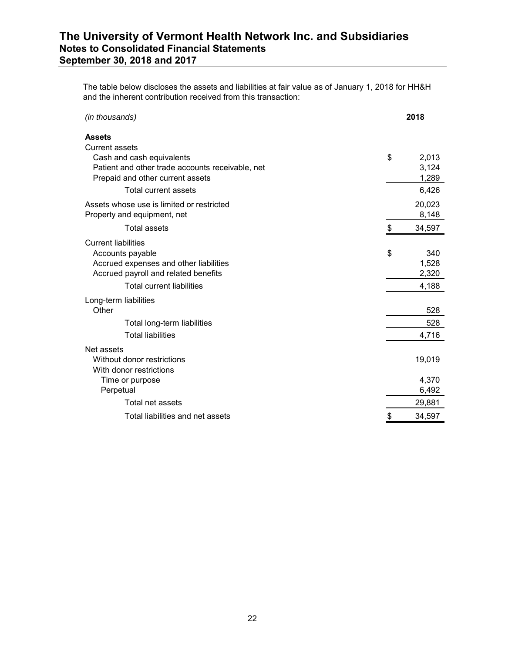The table below discloses the assets and liabilities at fair value as of January 1, 2018 for HH&H and the inherent contribution received from this transaction:

| (in thousands)                                   | 2018         |
|--------------------------------------------------|--------------|
| <b>Assets</b>                                    |              |
| <b>Current assets</b>                            |              |
| Cash and cash equivalents                        | \$<br>2,013  |
| Patient and other trade accounts receivable, net | 3,124        |
| Prepaid and other current assets                 | 1,289        |
| <b>Total current assets</b>                      | 6,426        |
| Assets whose use is limited or restricted        | 20,023       |
| Property and equipment, net                      | 8,148        |
| <b>Total assets</b>                              | \$<br>34,597 |
| <b>Current liabilities</b>                       |              |
| Accounts payable                                 | \$<br>340    |
| Accrued expenses and other liabilities           | 1,528        |
| Accrued payroll and related benefits             | 2,320        |
| <b>Total current liabilities</b>                 | 4,188        |
| Long-term liabilities                            |              |
| Other                                            | 528          |
| Total long-term liabilities                      | 528          |
| <b>Total liabilities</b>                         | 4,716        |
| Net assets                                       |              |
| Without donor restrictions                       | 19,019       |
| With donor restrictions                          |              |
| Time or purpose                                  | 4,370        |
| Perpetual                                        | 6,492        |
| Total net assets                                 | 29,881       |
| Total liabilities and net assets                 | \$<br>34,597 |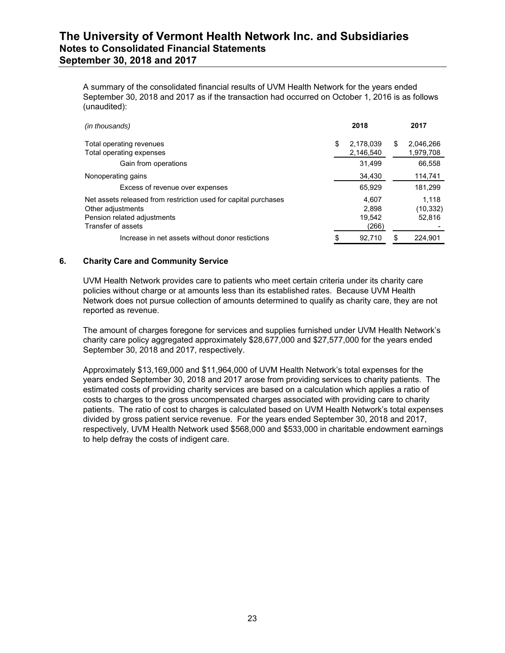A summary of the consolidated financial results of UVM Health Network for the years ended September 30, 2018 and 2017 as if the transaction had occurred on October 1, 2016 is as follows (unaudited):

| (in thousands)                                                                                                                            | 2018                              |   | 2017                         |
|-------------------------------------------------------------------------------------------------------------------------------------------|-----------------------------------|---|------------------------------|
| Total operating revenues<br>Total operating expenses                                                                                      | \$<br>2.178.039<br>2,146,540      | S | 2.046.266<br>1,979,708       |
| Gain from operations                                                                                                                      | 31.499                            |   | 66.558                       |
| Nonoperating gains                                                                                                                        | 34,430                            |   | 114,741                      |
| Excess of revenue over expenses                                                                                                           | 65.929                            |   | 181,299                      |
| Net assets released from restriction used for capital purchases<br>Other adjustments<br>Pension related adjustments<br>Transfer of assets | 4.607<br>2.898<br>19.542<br>(266) |   | 1.118<br>(10, 332)<br>52,816 |
| Increase in net assets without donor restictions                                                                                          | \$<br>92.710                      | S | 224.901                      |

### **6. Charity Care and Community Service**

UVM Health Network provides care to patients who meet certain criteria under its charity care policies without charge or at amounts less than its established rates. Because UVM Health Network does not pursue collection of amounts determined to qualify as charity care, they are not reported as revenue.

The amount of charges foregone for services and supplies furnished under UVM Health Network's charity care policy aggregated approximately \$28,677,000 and \$27,577,000 for the years ended September 30, 2018 and 2017, respectively.

Approximately \$13,169,000 and \$11,964,000 of UVM Health Network's total expenses for the years ended September 30, 2018 and 2017 arose from providing services to charity patients. The estimated costs of providing charity services are based on a calculation which applies a ratio of costs to charges to the gross uncompensated charges associated with providing care to charity patients. The ratio of cost to charges is calculated based on UVM Health Network's total expenses divided by gross patient service revenue. For the years ended September 30, 2018 and 2017, respectively, UVM Health Network used \$568,000 and \$533,000 in charitable endowment earnings to help defray the costs of indigent care.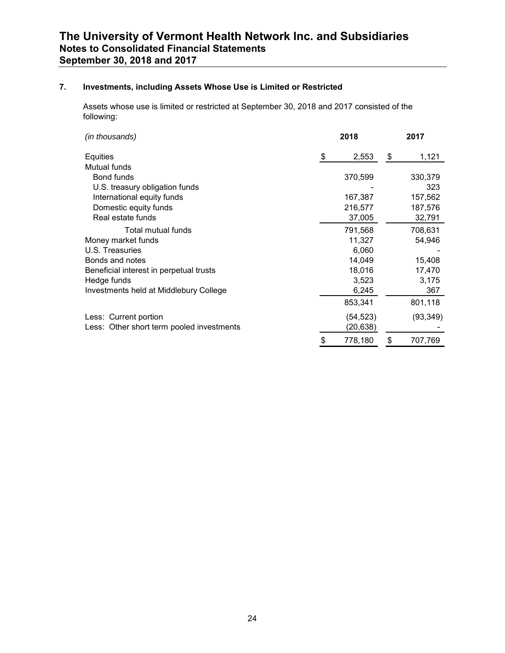## **7. Investments, including Assets Whose Use is Limited or Restricted**

Assets whose use is limited or restricted at September 30, 2018 and 2017 consisted of the following:

| (in thousands)                            | 2018 |          |    | 2017      |  |  |
|-------------------------------------------|------|----------|----|-----------|--|--|
| Equities                                  | \$   | 2,553    | \$ | 1,121     |  |  |
| Mutual funds                              |      |          |    |           |  |  |
| <b>Bond funds</b>                         |      | 370,599  |    | 330,379   |  |  |
| U.S. treasury obligation funds            |      |          |    | 323       |  |  |
| International equity funds                |      | 167,387  |    | 157,562   |  |  |
| Domestic equity funds                     |      | 216,577  |    | 187,576   |  |  |
| Real estate funds                         |      | 37,005   |    | 32,791    |  |  |
| Total mutual funds                        |      | 791,568  |    | 708,631   |  |  |
| Money market funds                        |      | 11,327   |    | 54,946    |  |  |
| U.S. Treasuries                           |      | 6,060    |    |           |  |  |
| Bonds and notes                           |      | 14,049   |    | 15,408    |  |  |
| Beneficial interest in perpetual trusts   |      | 18,016   |    | 17,470    |  |  |
| Hedge funds                               |      | 3,523    |    | 3,175     |  |  |
| Investments held at Middlebury College    |      | 6,245    |    | 367       |  |  |
|                                           |      | 853,341  |    | 801,118   |  |  |
| Less: Current portion                     |      | (54,523) |    | (93, 349) |  |  |
| Less: Other short term pooled investments |      | (20,638) |    |           |  |  |
|                                           |      | 778,180  | \$ | 707,769   |  |  |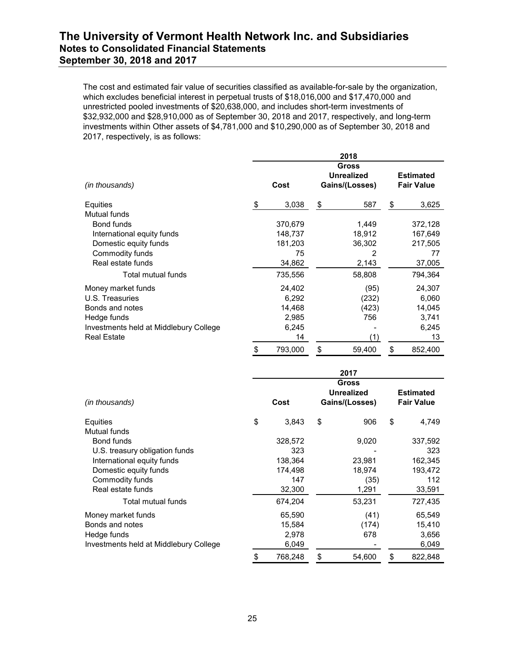The cost and estimated fair value of securities classified as available-for-sale by the organization, which excludes beneficial interest in perpetual trusts of \$18,016,000 and \$17,470,000 and unrestricted pooled investments of \$20,638,000, and includes short-term investments of \$32,932,000 and \$28,910,000 as of September 30, 2018 and 2017, respectively, and long-term investments within Other assets of \$4,781,000 and \$10,290,000 as of September 30, 2018 and 2017, respectively, is as follows:

|                                        |    |         |                            | 2018           |    |                   |  |  |
|----------------------------------------|----|---------|----------------------------|----------------|----|-------------------|--|--|
|                                        |    |         | Gross<br><b>Unrealized</b> |                |    | <b>Estimated</b>  |  |  |
| (in thousands)                         |    | Cost    |                            | Gains/(Losses) |    | <b>Fair Value</b> |  |  |
| Equities                               | S  | 3,038   | \$                         | 587            | \$ | 3,625             |  |  |
| Mutual funds                           |    |         |                            |                |    |                   |  |  |
| Bond funds                             |    | 370,679 |                            | 1,449          |    | 372,128           |  |  |
| International equity funds             |    | 148,737 |                            | 18,912         |    | 167,649           |  |  |
| Domestic equity funds                  |    | 181,203 |                            | 36,302         |    | 217,505           |  |  |
| Commodity funds                        |    | 75      |                            | 2              |    | 77                |  |  |
| Real estate funds                      |    | 34,862  |                            | 2,143          |    | 37,005            |  |  |
| Total mutual funds                     |    | 735,556 |                            | 58,808         |    | 794,364           |  |  |
| Money market funds                     |    | 24,402  |                            | (95)           |    | 24,307            |  |  |
| U.S. Treasuries                        |    | 6,292   |                            | (232)          |    | 6,060             |  |  |
| Bonds and notes                        |    | 14,468  |                            | (423)          |    | 14,045            |  |  |
| Hedge funds                            |    | 2,985   |                            | 756            |    | 3,741             |  |  |
| Investments held at Middlebury College |    | 6,245   |                            |                |    | 6,245             |  |  |
| <b>Real Estate</b>                     |    | 14      |                            | (1)            |    | 13                |  |  |
|                                        | \$ | 793,000 | \$                         | 59,400         | \$ | 852,400           |  |  |

|                                        | 2017 |         |    |                                                     |    |                                       |  |  |  |  |
|----------------------------------------|------|---------|----|-----------------------------------------------------|----|---------------------------------------|--|--|--|--|
| (in thousands)                         |      | Cost    |    | <b>Gross</b><br><b>Unrealized</b><br>Gains/(Losses) |    | <b>Estimated</b><br><b>Fair Value</b> |  |  |  |  |
| Equities                               | \$   | 3,843   | \$ | 906                                                 | \$ | 4,749                                 |  |  |  |  |
| Mutual funds                           |      |         |    |                                                     |    |                                       |  |  |  |  |
| Bond funds                             |      | 328,572 |    | 9,020                                               |    | 337,592                               |  |  |  |  |
| U.S. treasury obligation funds         |      | 323     |    |                                                     |    | 323                                   |  |  |  |  |
| International equity funds             |      | 138,364 |    | 23,981                                              |    | 162,345                               |  |  |  |  |
| Domestic equity funds                  |      | 174,498 |    | 18,974                                              |    | 193,472                               |  |  |  |  |
| Commodity funds                        |      | 147     |    | (35)                                                |    | 112                                   |  |  |  |  |
| Real estate funds                      |      | 32,300  |    | 1,291                                               |    | 33,591                                |  |  |  |  |
| Total mutual funds                     |      | 674,204 |    | 53,231                                              |    | 727,435                               |  |  |  |  |
| Money market funds                     |      | 65,590  |    | (41)                                                |    | 65,549                                |  |  |  |  |
| Bonds and notes                        |      | 15,584  |    | (174)                                               |    | 15,410                                |  |  |  |  |
| Hedge funds                            |      | 2,978   |    | 678                                                 |    | 3,656                                 |  |  |  |  |
| Investments held at Middlebury College |      | 6,049   |    |                                                     |    | 6,049                                 |  |  |  |  |
|                                        | \$   | 768,248 | \$ | 54,600                                              | \$ | 822,848                               |  |  |  |  |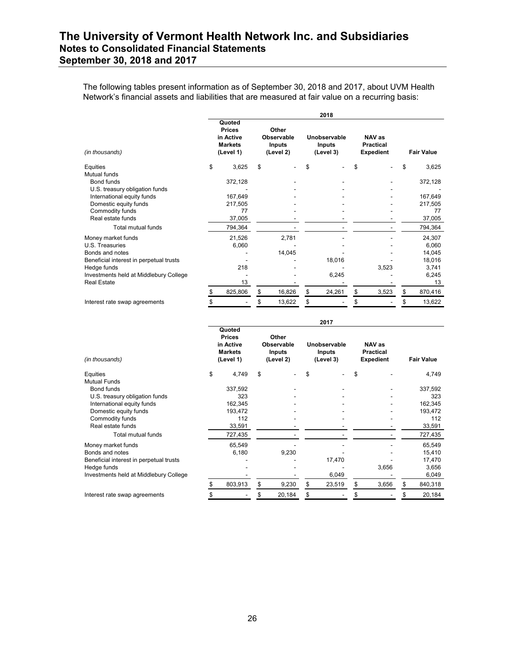The following tables present information as of September 30, 2018 and 2017, about UVM Health Network's financial assets and liabilities that are measured at fair value on a recurring basis:

|                                         | 2018                                                                |    |                                                   |    |                                            |    |                                                |    |                   |  |
|-----------------------------------------|---------------------------------------------------------------------|----|---------------------------------------------------|----|--------------------------------------------|----|------------------------------------------------|----|-------------------|--|
| (in thousands)                          | Quoted<br><b>Prices</b><br>in Active<br><b>Markets</b><br>(Level 1) |    | Other<br>Observable<br><b>Inputs</b><br>(Level 2) |    | Unobservable<br><b>Inputs</b><br>(Level 3) |    | NAV as<br><b>Practical</b><br><b>Expedient</b> |    | <b>Fair Value</b> |  |
| \$<br>Equities                          | 3,625                                                               | \$ |                                                   | \$ |                                            | \$ |                                                | \$ | 3,625             |  |
| Mutual funds                            |                                                                     |    |                                                   |    |                                            |    |                                                |    |                   |  |
| Bond funds                              | 372,128                                                             |    |                                                   |    |                                            |    |                                                |    | 372,128           |  |
| U.S. treasury obligation funds          |                                                                     |    |                                                   |    |                                            |    |                                                |    |                   |  |
| International equity funds              | 167,649                                                             |    |                                                   |    |                                            |    |                                                |    | 167,649           |  |
| Domestic equity funds                   | 217,505                                                             |    |                                                   |    |                                            |    |                                                |    | 217,505           |  |
| Commodity funds                         | 77                                                                  |    |                                                   |    |                                            |    |                                                |    | 77                |  |
| Real estate funds                       | 37,005                                                              |    |                                                   |    |                                            |    |                                                |    | 37,005            |  |
| <b>Total mutual funds</b>               | 794,364                                                             |    |                                                   |    |                                            |    |                                                |    | 794,364           |  |
| Money market funds                      | 21,526                                                              |    | 2,781                                             |    |                                            |    |                                                |    | 24,307            |  |
| U.S. Treasuries                         | 6,060                                                               |    |                                                   |    |                                            |    |                                                |    | 6,060             |  |
| Bonds and notes                         |                                                                     |    | 14,045                                            |    |                                            |    |                                                |    | 14,045            |  |
| Beneficial interest in perpetual trusts |                                                                     |    |                                                   |    | 18,016                                     |    |                                                |    | 18,016            |  |
| Hedge funds                             | 218                                                                 |    |                                                   |    |                                            |    | 3,523                                          |    | 3,741             |  |
| Investments held at Middlebury College  |                                                                     |    |                                                   |    | 6,245                                      |    |                                                |    | 6,245             |  |
| <b>Real Estate</b>                      | 13                                                                  |    |                                                   |    |                                            |    |                                                |    | 13                |  |
|                                         | 825,806<br>S                                                        | \$ | 16,826                                            | \$ | 24,261                                     | \$ | 3,523                                          | \$ | 870,416           |  |
| Interest rate swap agreements           |                                                                     | S  | 13,622                                            | \$ |                                            | \$ |                                                | S  | 13,622            |  |

|                                         |    |                                                                     |    |                                                   |    | 2017                                       |    |                                                |    |                   |  |
|-----------------------------------------|----|---------------------------------------------------------------------|----|---------------------------------------------------|----|--------------------------------------------|----|------------------------------------------------|----|-------------------|--|
| (in thousands)                          |    | Quoted<br><b>Prices</b><br>in Active<br><b>Markets</b><br>(Level 1) |    | Other<br>Observable<br><b>Inputs</b><br>(Level 2) |    | Unobservable<br><b>Inputs</b><br>(Level 3) |    | NAV as<br><b>Practical</b><br><b>Expedient</b> |    | <b>Fair Value</b> |  |
| Equities                                | \$ | 4,749                                                               | \$ |                                                   | \$ |                                            | \$ |                                                |    | 4,749             |  |
| <b>Mutual Funds</b>                     |    |                                                                     |    |                                                   |    |                                            |    |                                                |    |                   |  |
| Bond funds                              |    | 337,592                                                             |    |                                                   |    |                                            |    |                                                |    | 337,592           |  |
| U.S. treasury obligation funds          |    | 323                                                                 |    |                                                   |    |                                            |    |                                                |    | 323               |  |
| International equity funds              |    | 162,345                                                             |    |                                                   |    |                                            |    |                                                |    | 162,345           |  |
| Domestic equity funds                   |    | 193,472                                                             |    |                                                   |    |                                            |    |                                                |    | 193,472           |  |
| Commodity funds                         |    | 112                                                                 |    |                                                   |    |                                            |    |                                                |    | 112               |  |
| Real estate funds                       |    | 33,591                                                              |    |                                                   |    |                                            |    |                                                |    | 33,591            |  |
| <b>Total mutual funds</b>               |    | 727,435                                                             |    |                                                   |    |                                            |    |                                                |    | 727,435           |  |
| Money market funds                      |    | 65,549                                                              |    |                                                   |    |                                            |    |                                                |    | 65,549            |  |
| Bonds and notes                         |    | 6,180                                                               |    | 9,230                                             |    |                                            |    |                                                |    | 15,410            |  |
| Beneficial interest in perpetual trusts |    |                                                                     |    |                                                   |    | 17,470                                     |    |                                                |    | 17,470            |  |
| Hedge funds                             |    |                                                                     |    |                                                   |    |                                            |    | 3,656                                          |    | 3,656             |  |
| Investments held at Middlebury College  |    |                                                                     |    |                                                   |    | 6,049                                      |    |                                                |    | 6,049             |  |
|                                         |    | 803,913                                                             | \$ | 9,230                                             | \$ | 23,519                                     | \$ | 3,656                                          | \$ | 840,318           |  |
| Interest rate swap agreements           |    |                                                                     |    | 20,184                                            | \$ |                                            |    |                                                | S  | 20,184            |  |
|                                         |    |                                                                     |    |                                                   |    |                                            |    |                                                |    |                   |  |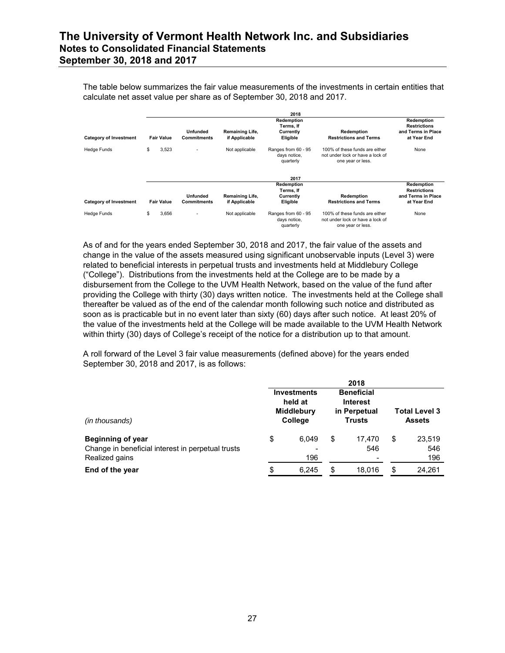The table below summarizes the fair value measurements of the investments in certain entities that calculate net asset value per share as of September 30, 2018 and 2017.

|                               |                   |                                       |                                  | 2018                                             |                                                                                         |                                                                        |
|-------------------------------|-------------------|---------------------------------------|----------------------------------|--------------------------------------------------|-----------------------------------------------------------------------------------------|------------------------------------------------------------------------|
| <b>Category of Investment</b> | <b>Fair Value</b> | <b>Unfunded</b><br><b>Commitments</b> | Remaining Life,<br>if Applicable | Redemption<br>Terms, If<br>Currently<br>Eligible | Redemption<br><b>Restrictions and Terms</b>                                             | Redemption<br><b>Restrictions</b><br>and Terms in Place<br>at Year End |
| Hedge Funds                   | \$<br>3,523       |                                       | Not applicable                   | Ranges from 60 - 95<br>days notice,<br>quarterly | 100% of these funds are either<br>not under lock or have a lock of<br>one year or less. | None                                                                   |
|                               |                   |                                       |                                  | 2017                                             |                                                                                         |                                                                        |
| <b>Category of Investment</b> | <b>Fair Value</b> | <b>Unfunded</b><br>Commitments        | Remaining Life,<br>if Applicable | Redemption<br>Terms, If<br>Currently<br>Eligible | Redemption<br><b>Restrictions and Terms</b>                                             | Redemption<br><b>Restrictions</b><br>and Terms in Place<br>at Year End |
| Hedge Funds                   | \$<br>3,656       |                                       | Not applicable                   | Ranges from 60 - 95<br>days notice,<br>quarterly | 100% of these funds are either<br>not under lock or have a lock of<br>one year or less. | None                                                                   |

As of and for the years ended September 30, 2018 and 2017, the fair value of the assets and change in the value of the assets measured using significant unobservable inputs (Level 3) were related to beneficial interests in perpetual trusts and investments held at Middlebury College ("College"). Distributions from the investments held at the College are to be made by a disbursement from the College to the UVM Health Network, based on the value of the fund after providing the College with thirty (30) days written notice. The investments held at the College shall thereafter be valued as of the end of the calendar month following such notice and distributed as soon as is practicable but in no event later than sixty (60) days after such notice. At least 20% of the value of the investments held at the College will be made available to the UVM Health Network within thirty (30) days of College's receipt of the notice for a distribution up to that amount.

A roll forward of the Level 3 fair value measurements (defined above) for the years ended September 30, 2018 and 2017, is as follows:

|                                                                                                 | 2018 |                                                               |    |                                                                       |                                       |                      |  |  |  |
|-------------------------------------------------------------------------------------------------|------|---------------------------------------------------------------|----|-----------------------------------------------------------------------|---------------------------------------|----------------------|--|--|--|
| (in thousands)                                                                                  |      | <b>Investments</b><br>held at<br><b>Middlebury</b><br>College |    | <b>Beneficial</b><br><b>Interest</b><br>in Perpetual<br><b>Trusts</b> | <b>Total Level 3</b><br><b>Assets</b> |                      |  |  |  |
| <b>Beginning of year</b><br>Change in beneficial interest in perpetual trusts<br>Realized gains | \$   | 6.049<br>$\,$<br>196                                          | \$ | 17.470<br>546                                                         | \$                                    | 23,519<br>546<br>196 |  |  |  |
| End of the year                                                                                 | \$   | 6.245                                                         | S. | 18.016                                                                | \$                                    | 24.261               |  |  |  |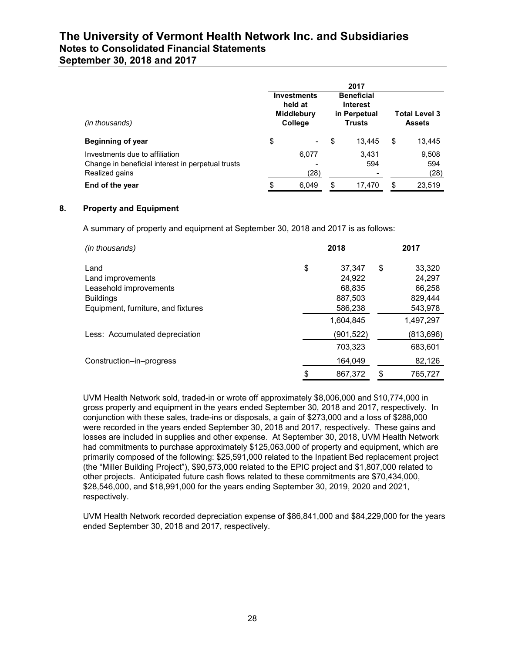**September 30, 2018 and 2017** 

|                                                                                                       | 2017 |                                                               |    |                                                                       |                                       |                      |  |  |  |  |  |
|-------------------------------------------------------------------------------------------------------|------|---------------------------------------------------------------|----|-----------------------------------------------------------------------|---------------------------------------|----------------------|--|--|--|--|--|
| (in thousands)                                                                                        |      | <b>Investments</b><br>held at<br><b>Middlebury</b><br>College |    | <b>Beneficial</b><br><b>Interest</b><br>in Perpetual<br><b>Trusts</b> | <b>Total Level 3</b><br><b>Assets</b> |                      |  |  |  |  |  |
| Beginning of year                                                                                     | \$   | $\blacksquare$                                                | \$ | 13.445                                                                | \$                                    | 13,445               |  |  |  |  |  |
| Investments due to affiliation<br>Change in beneficial interest in perpetual trusts<br>Realized gains |      | 6.077<br>-<br>(28)                                            |    | 3.431<br>594                                                          |                                       | 9,508<br>594<br>(28) |  |  |  |  |  |
| End of the year                                                                                       | \$   | 6.049                                                         | \$ | 17.470                                                                | \$                                    | 23.519               |  |  |  |  |  |

### **8. Property and Equipment**

A summary of property and equipment at September 30, 2018 and 2017 is as follows:

| (in thousands)                             | 2018 |                      |    | 2017                 |
|--------------------------------------------|------|----------------------|----|----------------------|
| Land<br>Land improvements                  | \$   | 37.347<br>24.922     | \$ | 33.320<br>24.297     |
| Leasehold improvements<br><b>Buildings</b> |      | 68.835<br>887,503    |    | 66.258<br>829.444    |
| Equipment, furniture, and fixtures         |      | 586,238<br>1.604.845 |    | 543,978<br>1,497,297 |
| Less: Accumulated depreciation             |      | (901,522)<br>703.323 |    | (813,696)<br>683.601 |
| Construction-in-progress                   |      | 164,049              |    | 82,126               |
|                                            | \$   | 867.372              | \$ | 765.727              |

UVM Health Network sold, traded-in or wrote off approximately \$8,006,000 and \$10,774,000 in gross property and equipment in the years ended September 30, 2018 and 2017, respectively. In conjunction with these sales, trade-ins or disposals, a gain of \$273,000 and a loss of \$288,000 were recorded in the years ended September 30, 2018 and 2017, respectively. These gains and losses are included in supplies and other expense. At September 30, 2018, UVM Health Network had commitments to purchase approximately \$125,063,000 of property and equipment, which are primarily composed of the following: \$25,591,000 related to the Inpatient Bed replacement project (the "Miller Building Project"), \$90,573,000 related to the EPIC project and \$1,807,000 related to other projects. Anticipated future cash flows related to these commitments are \$70,434,000, \$28,546,000, and \$18,991,000 for the years ending September 30, 2019, 2020 and 2021, respectively.

UVM Health Network recorded depreciation expense of \$86,841,000 and \$84,229,000 for the years ended September 30, 2018 and 2017, respectively.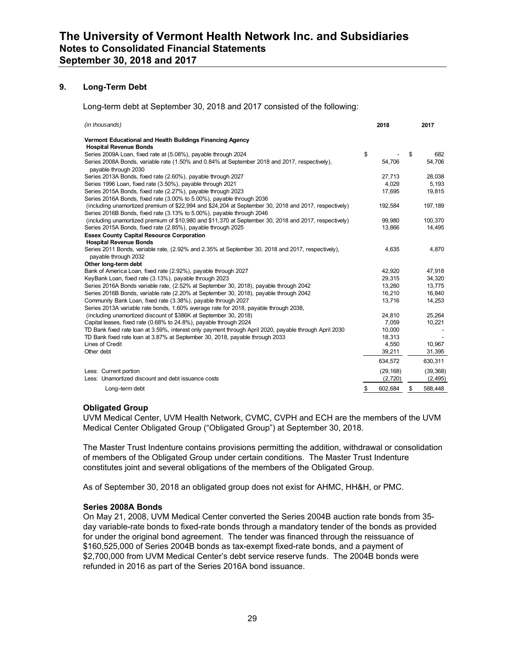### **9. Long-Term Debt**

Long-term debt at September 30, 2018 and 2017 consisted of the following:

| (in thousands)                                                                                                                                                                 | 2018          | 2017          |
|--------------------------------------------------------------------------------------------------------------------------------------------------------------------------------|---------------|---------------|
| Vermont Educational and Health Buildings Financing Agency                                                                                                                      |               |               |
| <b>Hospital Revenue Bonds</b>                                                                                                                                                  |               |               |
| Series 2009A Loan, fixed rate at (5.08%), payable through 2024                                                                                                                 | \$            | \$<br>682     |
| Series 2008A Bonds, variable rate (1.50% and 0.84% at September 2018 and 2017, respectively),<br>pavable through 2030                                                          | 54.706        | 54,706        |
| Series 2013A Bonds, fixed rate (2.60%), payable through 2027                                                                                                                   | 27.713        | 28.038        |
| Series 1996 Loan, fixed rate (3.50%), payable through 2021                                                                                                                     | 4,029         | 5,193         |
| Series 2015A Bonds, fixed rate (2.27%), payable through 2023                                                                                                                   | 17,695        | 19,815        |
| Series 2016A Bonds, fixed rate (3.00% to 5.00%), payable through 2036                                                                                                          |               |               |
| (including unamortized premium of \$22,994 and \$24,204 at September 30, 2018 and 2017, respectively)<br>Series 2016B Bonds, fixed rate (3.13% to 5.00%), payable through 2046 | 192.584       | 197,189       |
| (including unamortized premium of \$10,980 and \$11,370 at September 30, 2018 and 2017, respectively)                                                                          | 99,980        | 100,370       |
| Series 2015A Bonds, fixed rate (2.85%), payable through 2025                                                                                                                   | 13,866        | 14,495        |
| <b>Essex County Capital Resource Corporation</b>                                                                                                                               |               |               |
| <b>Hospital Revenue Bonds</b>                                                                                                                                                  |               |               |
| Series 2011 Bonds, variable rate, (2.92% and 2.35% at September 30, 2018 and 2017, respectively),                                                                              | 4,635         | 4,870         |
| payable through 2032                                                                                                                                                           |               |               |
| Other long-term debt                                                                                                                                                           |               |               |
| Bank of America Loan, fixed rate (2.92%), payable through 2027                                                                                                                 | 42.920        | 47.918        |
| KeyBank Loan, fixed rate (3.13%), payable through 2023                                                                                                                         | 29,315        | 34,320        |
| Series 2016A Bonds variable rate, (2.52% at September 30, 2018), payable through 2042                                                                                          | 13,260        | 13,775        |
| Series 2016B Bonds, variable rate (2.20% at September 30, 2018), payable through 2042                                                                                          | 16.210        | 16.840        |
| Community Bank Loan, fixed rate (3.38%), payable through 2027                                                                                                                  | 13,716        | 14,253        |
| Series 2013A variable rate bonds, 1.60% average rate for 2018, payable through 2038,                                                                                           |               |               |
| (including unamortized discount of \$386K at September 30, 2018)                                                                                                               | 24,810        | 25,264        |
| Capital leases, fixed rate (0.68% to 24.8%), payable through 2024                                                                                                              | 7,059         | 10,221        |
| TD Bank fixed rate loan at 3.59%, interest only payment through April 2020, payable through April 2030                                                                         | 10,000        |               |
| TD Bank fixed rate loan at 3.87% at September 30, 2018, payable through 2033                                                                                                   | 18,313        |               |
| Lines of Credit                                                                                                                                                                | 4,550         | 10.967        |
| Other debt                                                                                                                                                                     | 39,211        | 31,395        |
|                                                                                                                                                                                | 634,572       | 630,311       |
| Less: Current portion                                                                                                                                                          | (29, 168)     | (39, 368)     |
| Less: Unamortized discount and debt issuance costs                                                                                                                             | (2,720)       | (2, 495)      |
| Long-term debt                                                                                                                                                                 | \$<br>602,684 | \$<br>588,448 |

#### **Obligated Group**

UVM Medical Center, UVM Health Network, CVMC, CVPH and ECH are the members of the UVM Medical Center Obligated Group ("Obligated Group") at September 30, 2018.

The Master Trust Indenture contains provisions permitting the addition, withdrawal or consolidation of members of the Obligated Group under certain conditions. The Master Trust Indenture constitutes joint and several obligations of the members of the Obligated Group.

As of September 30, 2018 an obligated group does not exist for AHMC, HH&H, or PMC.

#### **Series 2008A Bonds**

On May 21, 2008, UVM Medical Center converted the Series 2004B auction rate bonds from 35 day variable-rate bonds to fixed-rate bonds through a mandatory tender of the bonds as provided for under the original bond agreement. The tender was financed through the reissuance of \$160,525,000 of Series 2004B bonds as tax-exempt fixed-rate bonds, and a payment of \$2,700,000 from UVM Medical Center's debt service reserve funds. The 2004B bonds were refunded in 2016 as part of the Series 2016A bond issuance.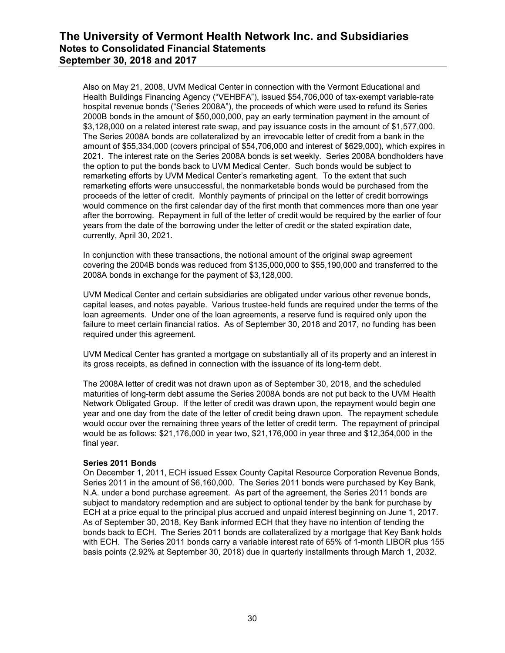Also on May 21, 2008, UVM Medical Center in connection with the Vermont Educational and Health Buildings Financing Agency ("VEHBFA"), issued \$54,706,000 of tax-exempt variable-rate hospital revenue bonds ("Series 2008A"), the proceeds of which were used to refund its Series 2000B bonds in the amount of \$50,000,000, pay an early termination payment in the amount of \$3,128,000 on a related interest rate swap, and pay issuance costs in the amount of \$1,577,000. The Series 2008A bonds are collateralized by an irrevocable letter of credit from a bank in the amount of \$55,334,000 (covers principal of \$54,706,000 and interest of \$629,000), which expires in 2021. The interest rate on the Series 2008A bonds is set weekly. Series 2008A bondholders have the option to put the bonds back to UVM Medical Center. Such bonds would be subject to remarketing efforts by UVM Medical Center's remarketing agent. To the extent that such remarketing efforts were unsuccessful, the nonmarketable bonds would be purchased from the proceeds of the letter of credit. Monthly payments of principal on the letter of credit borrowings would commence on the first calendar day of the first month that commences more than one year after the borrowing. Repayment in full of the letter of credit would be required by the earlier of four years from the date of the borrowing under the letter of credit or the stated expiration date, currently, April 30, 2021.

In conjunction with these transactions, the notional amount of the original swap agreement covering the 2004B bonds was reduced from \$135,000,000 to \$55,190,000 and transferred to the 2008A bonds in exchange for the payment of \$3,128,000.

UVM Medical Center and certain subsidiaries are obligated under various other revenue bonds, capital leases, and notes payable. Various trustee-held funds are required under the terms of the loan agreements. Under one of the loan agreements, a reserve fund is required only upon the failure to meet certain financial ratios. As of September 30, 2018 and 2017, no funding has been required under this agreement.

UVM Medical Center has granted a mortgage on substantially all of its property and an interest in its gross receipts, as defined in connection with the issuance of its long-term debt.

The 2008A letter of credit was not drawn upon as of September 30, 2018, and the scheduled maturities of long-term debt assume the Series 2008A bonds are not put back to the UVM Health Network Obligated Group. If the letter of credit was drawn upon, the repayment would begin one year and one day from the date of the letter of credit being drawn upon. The repayment schedule would occur over the remaining three years of the letter of credit term. The repayment of principal would be as follows: \$21,176,000 in year two, \$21,176,000 in year three and \$12,354,000 in the final year.

#### **Series 2011 Bonds**

On December 1, 2011, ECH issued Essex County Capital Resource Corporation Revenue Bonds, Series 2011 in the amount of \$6,160,000. The Series 2011 bonds were purchased by Key Bank, N.A. under a bond purchase agreement. As part of the agreement, the Series 2011 bonds are subject to mandatory redemption and are subject to optional tender by the bank for purchase by ECH at a price equal to the principal plus accrued and unpaid interest beginning on June 1, 2017. As of September 30, 2018, Key Bank informed ECH that they have no intention of tending the bonds back to ECH. The Series 2011 bonds are collateralized by a mortgage that Key Bank holds with ECH. The Series 2011 bonds carry a variable interest rate of 65% of 1-month LIBOR plus 155 basis points (2.92% at September 30, 2018) due in quarterly installments through March 1, 2032.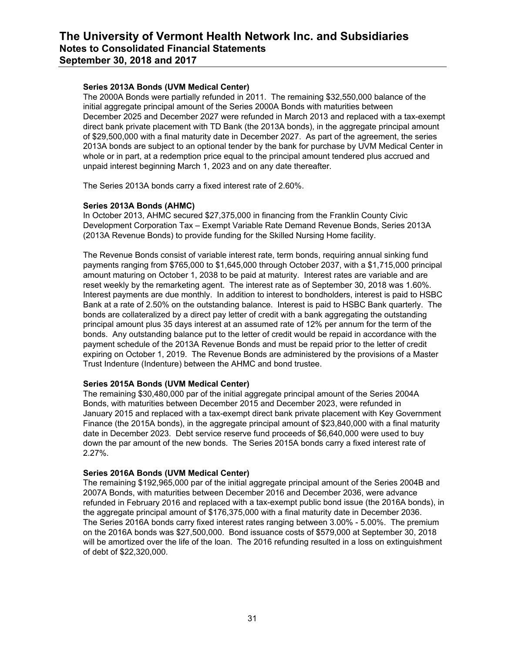### **Series 2013A Bonds (UVM Medical Center)**

The 2000A Bonds were partially refunded in 2011. The remaining \$32,550,000 balance of the initial aggregate principal amount of the Series 2000A Bonds with maturities between December 2025 and December 2027 were refunded in March 2013 and replaced with a tax-exempt direct bank private placement with TD Bank (the 2013A bonds), in the aggregate principal amount of \$29,500,000 with a final maturity date in December 2027. As part of the agreement, the series 2013A bonds are subject to an optional tender by the bank for purchase by UVM Medical Center in whole or in part, at a redemption price equal to the principal amount tendered plus accrued and unpaid interest beginning March 1, 2023 and on any date thereafter.

The Series 2013A bonds carry a fixed interest rate of 2.60%.

### **Series 2013A Bonds (AHMC)**

In October 2013, AHMC secured \$27,375,000 in financing from the Franklin County Civic Development Corporation Tax – Exempt Variable Rate Demand Revenue Bonds, Series 2013A (2013A Revenue Bonds) to provide funding for the Skilled Nursing Home facility.

The Revenue Bonds consist of variable interest rate, term bonds, requiring annual sinking fund payments ranging from \$765,000 to \$1,645,000 through October 2037, with a \$1,715,000 principal amount maturing on October 1, 2038 to be paid at maturity. Interest rates are variable and are reset weekly by the remarketing agent. The interest rate as of September 30, 2018 was 1.60%. Interest payments are due monthly. In addition to interest to bondholders, interest is paid to HSBC Bank at a rate of 2.50% on the outstanding balance. Interest is paid to HSBC Bank quarterly. The bonds are collateralized by a direct pay letter of credit with a bank aggregating the outstanding principal amount plus 35 days interest at an assumed rate of 12% per annum for the term of the bonds. Any outstanding balance put to the letter of credit would be repaid in accordance with the payment schedule of the 2013A Revenue Bonds and must be repaid prior to the letter of credit expiring on October 1, 2019. The Revenue Bonds are administered by the provisions of a Master Trust Indenture (Indenture) between the AHMC and bond trustee.

### **Series 2015A Bonds (UVM Medical Center)**

The remaining \$30,480,000 par of the initial aggregate principal amount of the Series 2004A Bonds, with maturities between December 2015 and December 2023, were refunded in January 2015 and replaced with a tax-exempt direct bank private placement with Key Government Finance (the 2015A bonds), in the aggregate principal amount of \$23,840,000 with a final maturity date in December 2023. Debt service reserve fund proceeds of \$6,640,000 were used to buy down the par amount of the new bonds. The Series 2015A bonds carry a fixed interest rate of 2.27%.

#### **Series 2016A Bonds (UVM Medical Center)**

The remaining \$192,965,000 par of the initial aggregate principal amount of the Series 2004B and 2007A Bonds, with maturities between December 2016 and December 2036, were advance refunded in February 2016 and replaced with a tax-exempt public bond issue (the 2016A bonds), in the aggregate principal amount of \$176,375,000 with a final maturity date in December 2036. The Series 2016A bonds carry fixed interest rates ranging between 3.00% - 5.00%. The premium on the 2016A bonds was \$27,500,000. Bond issuance costs of \$579,000 at September 30, 2018 will be amortized over the life of the loan. The 2016 refunding resulted in a loss on extinguishment of debt of \$22,320,000.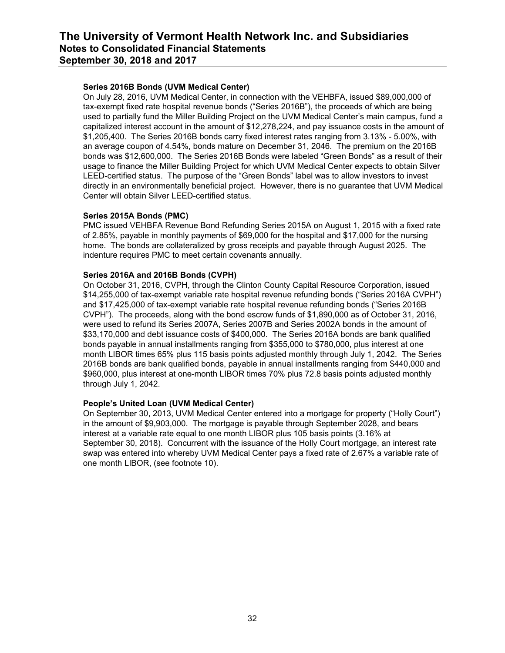### **Series 2016B Bonds (UVM Medical Center)**

On July 28, 2016, UVM Medical Center, in connection with the VEHBFA, issued \$89,000,000 of tax-exempt fixed rate hospital revenue bonds ("Series 2016B"), the proceeds of which are being used to partially fund the Miller Building Project on the UVM Medical Center's main campus, fund a capitalized interest account in the amount of \$12,278,224, and pay issuance costs in the amount of \$1,205,400. The Series 2016B bonds carry fixed interest rates ranging from 3.13% - 5.00%, with an average coupon of 4.54%, bonds mature on December 31, 2046. The premium on the 2016B bonds was \$12,600,000. The Series 2016B Bonds were labeled "Green Bonds" as a result of their usage to finance the Miller Building Project for which UVM Medical Center expects to obtain Silver LEED-certified status. The purpose of the "Green Bonds" label was to allow investors to invest directly in an environmentally beneficial project. However, there is no guarantee that UVM Medical Center will obtain Silver LEED-certified status.

#### **Series 2015A Bonds (PMC)**

PMC issued VEHBFA Revenue Bond Refunding Series 2015A on August 1, 2015 with a fixed rate of 2.85%, payable in monthly payments of \$69,000 for the hospital and \$17,000 for the nursing home. The bonds are collateralized by gross receipts and payable through August 2025. The indenture requires PMC to meet certain covenants annually.

### **Series 2016A and 2016B Bonds (CVPH)**

On October 31, 2016, CVPH, through the Clinton County Capital Resource Corporation, issued \$14,255,000 of tax-exempt variable rate hospital revenue refunding bonds ("Series 2016A CVPH") and \$17,425,000 of tax-exempt variable rate hospital revenue refunding bonds ("Series 2016B CVPH"). The proceeds, along with the bond escrow funds of \$1,890,000 as of October 31, 2016, were used to refund its Series 2007A, Series 2007B and Series 2002A bonds in the amount of \$33,170,000 and debt issuance costs of \$400,000. The Series 2016A bonds are bank qualified bonds payable in annual installments ranging from \$355,000 to \$780,000, plus interest at one month LIBOR times 65% plus 115 basis points adjusted monthly through July 1, 2042. The Series 2016B bonds are bank qualified bonds, payable in annual installments ranging from \$440,000 and \$960,000, plus interest at one-month LIBOR times 70% plus 72.8 basis points adjusted monthly through July 1, 2042.

### **People's United Loan (UVM Medical Center)**

On September 30, 2013, UVM Medical Center entered into a mortgage for property ("Holly Court") in the amount of \$9,903,000. The mortgage is payable through September 2028, and bears interest at a variable rate equal to one month LIBOR plus 105 basis points (3.16% at September 30, 2018). Concurrent with the issuance of the Holly Court mortgage, an interest rate swap was entered into whereby UVM Medical Center pays a fixed rate of 2.67% a variable rate of one month LIBOR, (see footnote 10).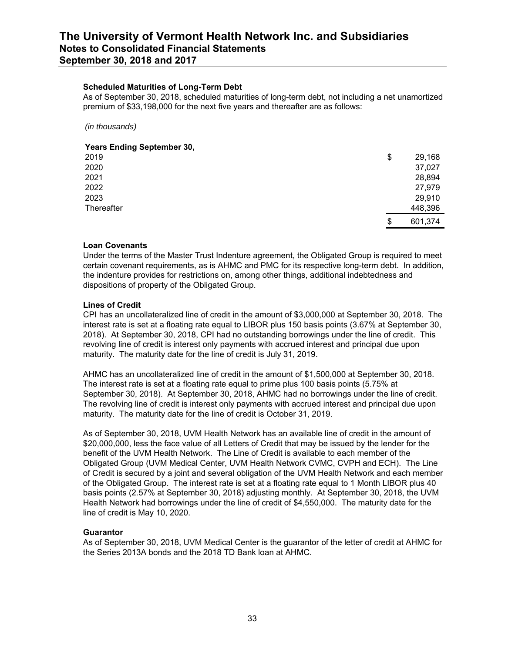#### **Scheduled Maturities of Long-Term Debt**

As of September 30, 2018, scheduled maturities of long-term debt, not including a net unamortized premium of \$33,198,000 for the next five years and thereafter are as follows:

*(in thousands)*

#### **Years Ending September 30,**

| 2019       | \$<br>29,168  |
|------------|---------------|
| 2020       | 37,027        |
| 2021       | 28,894        |
| 2022       | 27,979        |
| 2023       | 29,910        |
| Thereafter | 448,396       |
|            | \$<br>601,374 |

#### **Loan Covenants**

Under the terms of the Master Trust Indenture agreement, the Obligated Group is required to meet certain covenant requirements, as is AHMC and PMC for its respective long-term debt. In addition, the indenture provides for restrictions on, among other things, additional indebtedness and dispositions of property of the Obligated Group.

#### **Lines of Credit**

CPI has an uncollateralized line of credit in the amount of \$3,000,000 at September 30, 2018. The interest rate is set at a floating rate equal to LIBOR plus 150 basis points (3.67% at September 30, 2018). At September 30, 2018, CPI had no outstanding borrowings under the line of credit. This revolving line of credit is interest only payments with accrued interest and principal due upon maturity. The maturity date for the line of credit is July 31, 2019.

AHMC has an uncollateralized line of credit in the amount of \$1,500,000 at September 30, 2018. The interest rate is set at a floating rate equal to prime plus 100 basis points (5.75% at September 30, 2018). At September 30, 2018, AHMC had no borrowings under the line of credit. The revolving line of credit is interest only payments with accrued interest and principal due upon maturity. The maturity date for the line of credit is October 31, 2019.

As of September 30, 2018, UVM Health Network has an available line of credit in the amount of \$20,000,000, less the face value of all Letters of Credit that may be issued by the lender for the benefit of the UVM Health Network. The Line of Credit is available to each member of the Obligated Group (UVM Medical Center, UVM Health Network CVMC, CVPH and ECH). The Line of Credit is secured by a joint and several obligation of the UVM Health Network and each member of the Obligated Group. The interest rate is set at a floating rate equal to 1 Month LIBOR plus 40 basis points (2.57% at September 30, 2018) adjusting monthly. At September 30, 2018, the UVM Health Network had borrowings under the line of credit of \$4,550,000. The maturity date for the line of credit is May 10, 2020.

#### **Guarantor**

As of September 30, 2018, UVM Medical Center is the guarantor of the letter of credit at AHMC for the Series 2013A bonds and the 2018 TD Bank loan at AHMC.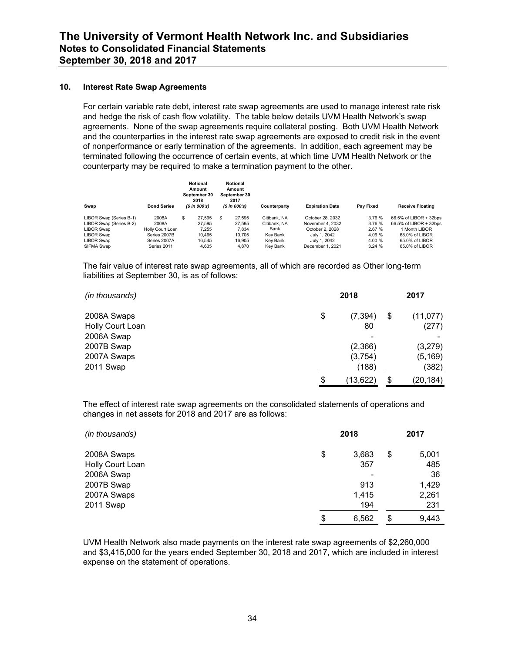#### **10. Interest Rate Swap Agreements**

For certain variable rate debt, interest rate swap agreements are used to manage interest rate risk and hedge the risk of cash flow volatility. The table below details UVM Health Network's swap agreements. None of the swap agreements require collateral posting. Both UVM Health Network and the counterparties in the interest rate swap agreements are exposed to credit risk in the event of nonperformance or early termination of the agreements. In addition, each agreement may be terminated following the occurrence of certain events, at which time UVM Health Network or the counterparty may be required to make a termination payment to the other.

| Swap                    | <b>Bond Series</b> | Notional<br>Amount<br>September 30<br>2018<br>$(S \in 000's)$ |    | Notional<br>Amount<br>September 30<br>2017<br>(\$ in 000's) | Counterparty | <b>Expiration Date</b> | <b>Pav Fixed</b> | <b>Receive Floating</b> |
|-------------------------|--------------------|---------------------------------------------------------------|----|-------------------------------------------------------------|--------------|------------------------|------------------|-------------------------|
| LIBOR Swap (Series B-1) | 2008A              | \$<br>27.595                                                  | £. | 27.595                                                      | Citibank, NA | October 28, 2032       | 3.76 %           | 66.5% of LIBOR + 32bps  |
| LIBOR Swap (Series B-2) | 2008A              | 27.595                                                        |    | 27.595                                                      | Citibank, NA | November 4, 2032       | 3.76 %           | 66.5% of LIBOR + 32bps  |
| LIBOR Swap              | Holly Court Loan   | 7.255                                                         |    | 7.834                                                       | Bank         | October 2, 2028        | 2.67 %           | 1 Month LIBOR           |
| LIBOR Swap              | Series 2007B       | 10.465                                                        |    | 10.705                                                      | Kev Bank     | July 1, 2042           | 4.06 %           | 68.0% of LIBOR          |
| LIBOR Swap              | Series 2007A       | 16.545                                                        |    | 16.905                                                      | Kev Bank     | July 1, 2042           | 4.00 %           | 65.0% of LIBOR          |
| SIFMA Swap              | Series 2011        | 4.635                                                         |    | 4.870                                                       | Kev Bank     | December 1, 2021       | 3.24%            | 65.0% of LIBOR          |

The fair value of interest rate swap agreements, all of which are recorded as Other long-term liabilities at September 30, is as of follows:

| (in thousands)   | 2018            | 2017 |           |  |
|------------------|-----------------|------|-----------|--|
| 2008A Swaps      | \$<br>(7, 394)  | \$   | (11, 077) |  |
| Holly Court Loan | 80              |      | (277)     |  |
| 2006A Swap       |                 |      |           |  |
| 2007B Swap       | (2,366)         |      | (3,279)   |  |
| 2007A Swaps      | (3,754)         |      | (5,169)   |  |
| 2011 Swap        | (188)           |      | (382)     |  |
|                  | \$<br>(13, 622) | \$   | (20,184)  |  |

The effect of interest rate swap agreements on the consolidated statements of operations and changes in net assets for 2018 and 2017 are as follows:

| (in thousands)   | 2018        | 2017        |
|------------------|-------------|-------------|
| 2008A Swaps      | \$<br>3,683 | \$<br>5,001 |
| Holly Court Loan | 357         | 485         |
| 2006A Swap       | ۰           | 36          |
| 2007B Swap       | 913         | 1,429       |
| 2007A Swaps      | 1,415       | 2,261       |
| 2011 Swap        | 194         | 231         |
|                  | \$<br>6.562 | \$<br>9,443 |

UVM Health Network also made payments on the interest rate swap agreements of \$2,260,000 and \$3,415,000 for the years ended September 30, 2018 and 2017, which are included in interest expense on the statement of operations.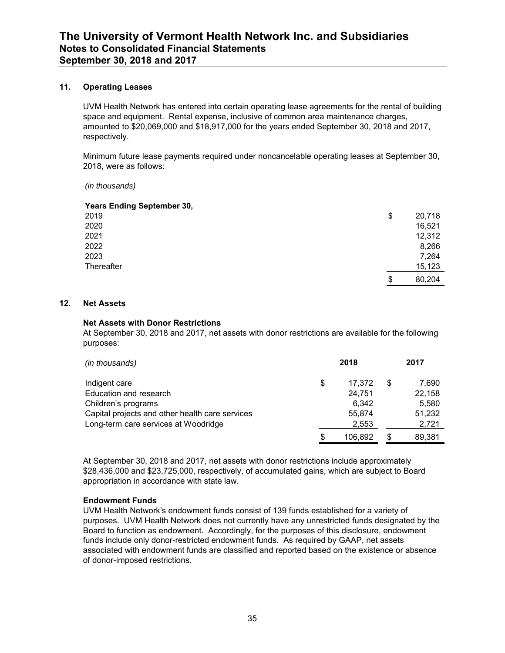### **11. Operating Leases**

UVM Health Network has entered into certain operating lease agreements for the rental of building space and equipment. Rental expense, inclusive of common area maintenance charges, amounted to \$20,069,000 and \$18,917,000 for the years ended September 30, 2018 and 2017, respectively.

Minimum future lease payments required under noncancelable operating leases at September 30, 2018, were as follows:

*(in thousands)*

| <b>Years Ending September 30,</b> |              |
|-----------------------------------|--------------|
| 2019                              | \$<br>20,718 |
| 2020                              | 16,521       |
| 2021                              | 12,312       |
| 2022                              | 8,266        |
| 2023                              | 7,264        |
| Thereafter                        | 15,123       |
|                                   | \$<br>80,204 |

#### **12. Net Assets**

#### **Net Assets with Donor Restrictions**

At September 30, 2018 and 2017, net assets with donor restrictions are available for the following purposes:

| (in thousands)                                  |     | 2018    | 2017        |
|-------------------------------------------------|-----|---------|-------------|
| Indigent care                                   | \$  | 17.372  | \$<br>7,690 |
| Education and research                          |     | 24,751  | 22,158      |
| Children's programs                             |     | 6.342   | 5,580       |
| Capital projects and other health care services |     | 55.874  | 51,232      |
| Long-term care services at Woodridge            |     | 2,553   | 2,721       |
|                                                 | \$. | 106.892 | 89.381      |

At September 30, 2018 and 2017, net assets with donor restrictions include approximately \$28,436,000 and \$23,725,000, respectively, of accumulated gains, which are subject to Board appropriation in accordance with state law.

#### **Endowment Funds**

UVM Health Network's endowment funds consist of 139 funds established for a variety of purposes. UVM Health Network does not currently have any unrestricted funds designated by the Board to function as endowment. Accordingly, for the purposes of this disclosure, endowment funds include only donor-restricted endowment funds. As required by GAAP, net assets associated with endowment funds are classified and reported based on the existence or absence of donor-imposed restrictions.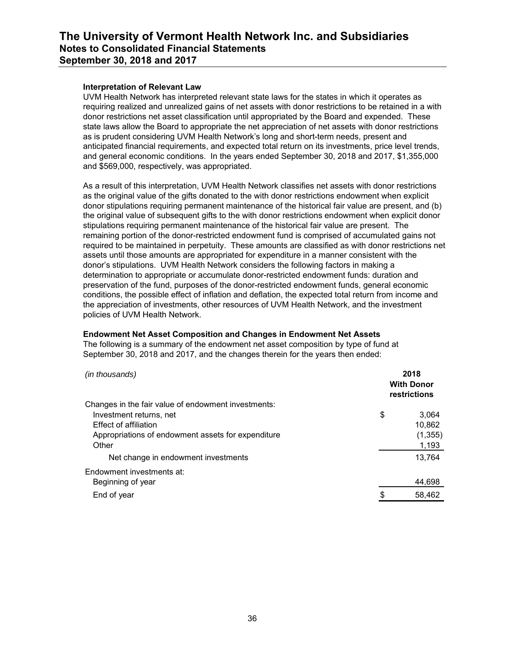#### **Interpretation of Relevant Law**

UVM Health Network has interpreted relevant state laws for the states in which it operates as requiring realized and unrealized gains of net assets with donor restrictions to be retained in a with donor restrictions net asset classification until appropriated by the Board and expended. These state laws allow the Board to appropriate the net appreciation of net assets with donor restrictions as is prudent considering UVM Health Network's long and short-term needs, present and anticipated financial requirements, and expected total return on its investments, price level trends, and general economic conditions. In the years ended September 30, 2018 and 2017, \$1,355,000 and \$569,000, respectively, was appropriated.

As a result of this interpretation, UVM Health Network classifies net assets with donor restrictions as the original value of the gifts donated to the with donor restrictions endowment when explicit donor stipulations requiring permanent maintenance of the historical fair value are present, and (b) the original value of subsequent gifts to the with donor restrictions endowment when explicit donor stipulations requiring permanent maintenance of the historical fair value are present. The remaining portion of the donor-restricted endowment fund is comprised of accumulated gains not required to be maintained in perpetuity. These amounts are classified as with donor restrictions net assets until those amounts are appropriated for expenditure in a manner consistent with the donor's stipulations. UVM Health Network considers the following factors in making a determination to appropriate or accumulate donor-restricted endowment funds: duration and preservation of the fund, purposes of the donor-restricted endowment funds, general economic conditions, the possible effect of inflation and deflation, the expected total return from income and the appreciation of investments, other resources of UVM Health Network, and the investment policies of UVM Health Network.

### **Endowment Net Asset Composition and Changes in Endowment Net Assets**

The following is a summary of the endowment net asset composition by type of fund at September 30, 2018 and 2017, and the changes therein for the years then ended:

| (in thousands)                                          | 2018<br><b>With Donor</b><br>restrictions |
|---------------------------------------------------------|-------------------------------------------|
| Changes in the fair value of endowment investments:     |                                           |
| Investment returns, net<br><b>Effect of affiliation</b> | \$<br>3.064<br>10.862                     |
| Appropriations of endowment assets for expenditure      | (1, 355)                                  |
| Other                                                   | 1,193                                     |
| Net change in endowment investments                     | 13.764                                    |
| Endowment investments at:                               |                                           |
| Beginning of year                                       | 44,698                                    |
| End of year                                             | \$<br>58,462                              |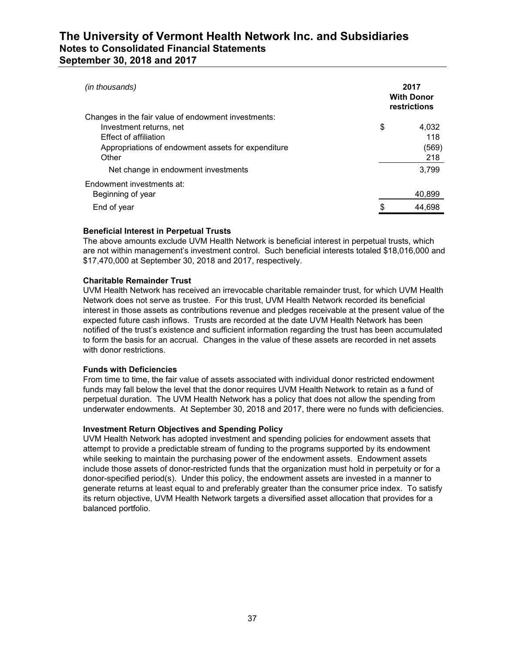| (in thousands)                                      | 2017<br><b>With Donor</b><br>restrictions |
|-----------------------------------------------------|-------------------------------------------|
| Changes in the fair value of endowment investments: |                                           |
| Investment returns, net                             | \$<br>4,032                               |
| <b>Effect of affiliation</b>                        | 118                                       |
| Appropriations of endowment assets for expenditure  | (569)                                     |
| Other                                               | 218                                       |
| Net change in endowment investments                 | 3.799                                     |
| Endowment investments at:                           |                                           |
| Beginning of year                                   | 40,899                                    |
| End of year                                         | \$<br>44.698                              |
|                                                     |                                           |

#### **Beneficial Interest in Perpetual Trusts**

The above amounts exclude UVM Health Network is beneficial interest in perpetual trusts, which are not within management's investment control. Such beneficial interests totaled \$18,016,000 and \$17,470,000 at September 30, 2018 and 2017, respectively.

### **Charitable Remainder Trust**

UVM Health Network has received an irrevocable charitable remainder trust, for which UVM Health Network does not serve as trustee. For this trust, UVM Health Network recorded its beneficial interest in those assets as contributions revenue and pledges receivable at the present value of the expected future cash inflows. Trusts are recorded at the date UVM Health Network has been notified of the trust's existence and sufficient information regarding the trust has been accumulated to form the basis for an accrual. Changes in the value of these assets are recorded in net assets with donor restrictions.

### **Funds with Deficiencies**

From time to time, the fair value of assets associated with individual donor restricted endowment funds may fall below the level that the donor requires UVM Health Network to retain as a fund of perpetual duration. The UVM Health Network has a policy that does not allow the spending from underwater endowments. At September 30, 2018 and 2017, there were no funds with deficiencies.

### **Investment Return Objectives and Spending Policy**

UVM Health Network has adopted investment and spending policies for endowment assets that attempt to provide a predictable stream of funding to the programs supported by its endowment while seeking to maintain the purchasing power of the endowment assets. Endowment assets include those assets of donor-restricted funds that the organization must hold in perpetuity or for a donor-specified period(s). Under this policy, the endowment assets are invested in a manner to generate returns at least equal to and preferably greater than the consumer price index. To satisfy its return objective, UVM Health Network targets a diversified asset allocation that provides for a balanced portfolio.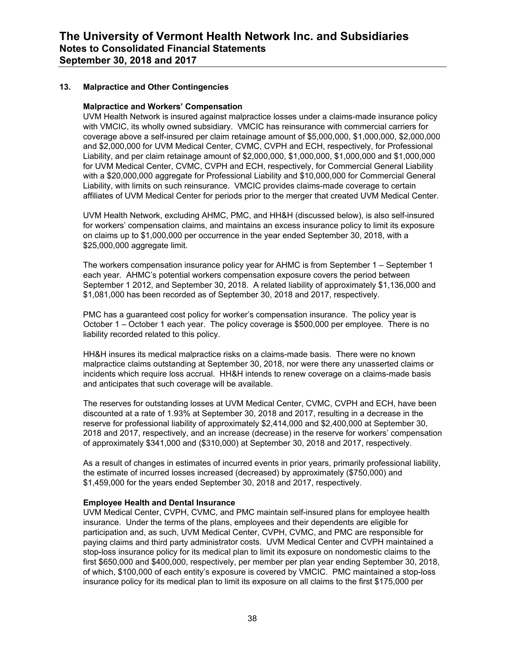### **13. Malpractice and Other Contingencies**

#### **Malpractice and Workers' Compensation**

UVM Health Network is insured against malpractice losses under a claims-made insurance policy with VMCIC, its wholly owned subsidiary. VMCIC has reinsurance with commercial carriers for coverage above a self-insured per claim retainage amount of \$5,000,000, \$1,000,000, \$2,000,000 and \$2,000,000 for UVM Medical Center, CVMC, CVPH and ECH, respectively, for Professional Liability, and per claim retainage amount of \$2,000,000, \$1,000,000, \$1,000,000 and \$1,000,000 for UVM Medical Center, CVMC, CVPH and ECH, respectively, for Commercial General Liability with a \$20,000,000 aggregate for Professional Liability and \$10,000,000 for Commercial General Liability, with limits on such reinsurance. VMCIC provides claims-made coverage to certain affiliates of UVM Medical Center for periods prior to the merger that created UVM Medical Center.

UVM Health Network, excluding AHMC, PMC, and HH&H (discussed below), is also self-insured for workers' compensation claims, and maintains an excess insurance policy to limit its exposure on claims up to \$1,000,000 per occurrence in the year ended September 30, 2018, with a \$25,000,000 aggregate limit.

The workers compensation insurance policy year for AHMC is from September 1 – September 1 each year. AHMC's potential workers compensation exposure covers the period between September 1 2012, and September 30, 2018. A related liability of approximately \$1,136,000 and \$1,081,000 has been recorded as of September 30, 2018 and 2017, respectively.

PMC has a guaranteed cost policy for worker's compensation insurance. The policy year is October 1 – October 1 each year. The policy coverage is \$500,000 per employee. There is no liability recorded related to this policy.

HH&H insures its medical malpractice risks on a claims-made basis. There were no known malpractice claims outstanding at September 30, 2018, nor were there any unasserted claims or incidents which require loss accrual. HH&H intends to renew coverage on a claims-made basis and anticipates that such coverage will be available.

The reserves for outstanding losses at UVM Medical Center, CVMC, CVPH and ECH, have been discounted at a rate of 1.93% at September 30, 2018 and 2017, resulting in a decrease in the reserve for professional liability of approximately \$2,414,000 and \$2,400,000 at September 30, 2018 and 2017, respectively, and an increase (decrease) in the reserve for workers' compensation of approximately \$341,000 and (\$310,000) at September 30, 2018 and 2017, respectively.

As a result of changes in estimates of incurred events in prior years, primarily professional liability, the estimate of incurred losses increased (decreased) by approximately (\$750,000) and \$1,459,000 for the years ended September 30, 2018 and 2017, respectively.

#### **Employee Health and Dental Insurance**

UVM Medical Center, CVPH, CVMC, and PMC maintain self-insured plans for employee health insurance. Under the terms of the plans, employees and their dependents are eligible for participation and, as such, UVM Medical Center, CVPH, CVMC, and PMC are responsible for paying claims and third party administrator costs. UVM Medical Center and CVPH maintained a stop-loss insurance policy for its medical plan to limit its exposure on nondomestic claims to the first \$650,000 and \$400,000, respectively, per member per plan year ending September 30, 2018, of which, \$100,000 of each entity's exposure is covered by VMCIC. PMC maintained a stop-loss insurance policy for its medical plan to limit its exposure on all claims to the first \$175,000 per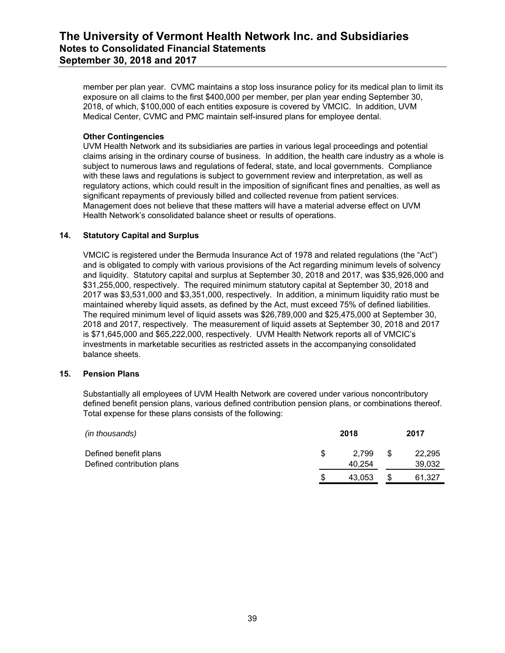member per plan year. CVMC maintains a stop loss insurance policy for its medical plan to limit its exposure on all claims to the first \$400,000 per member, per plan year ending September 30, 2018, of which, \$100,000 of each entities exposure is covered by VMCIC. In addition, UVM Medical Center, CVMC and PMC maintain self-insured plans for employee dental.

### **Other Contingencies**

UVM Health Network and its subsidiaries are parties in various legal proceedings and potential claims arising in the ordinary course of business. In addition, the health care industry as a whole is subject to numerous laws and regulations of federal, state, and local governments. Compliance with these laws and regulations is subject to government review and interpretation, as well as regulatory actions, which could result in the imposition of significant fines and penalties, as well as significant repayments of previously billed and collected revenue from patient services. Management does not believe that these matters will have a material adverse effect on UVM Health Network's consolidated balance sheet or results of operations.

### **14. Statutory Capital and Surplus**

VMCIC is registered under the Bermuda Insurance Act of 1978 and related regulations (the "Act") and is obligated to comply with various provisions of the Act regarding minimum levels of solvency and liquidity. Statutory capital and surplus at September 30, 2018 and 2017, was \$35,926,000 and \$31,255,000, respectively. The required minimum statutory capital at September 30, 2018 and 2017 was \$3,531,000 and \$3,351,000, respectively. In addition, a minimum liquidity ratio must be maintained whereby liquid assets, as defined by the Act, must exceed 75% of defined liabilities. The required minimum level of liquid assets was \$26,789,000 and \$25,475,000 at September 30, 2018 and 2017, respectively. The measurement of liquid assets at September 30, 2018 and 2017 is \$71,645,000 and \$65,222,000, respectively. UVM Health Network reports all of VMCIC's investments in marketable securities as restricted assets in the accompanying consolidated balance sheets.

#### **15. Pension Plans**

Substantially all employees of UVM Health Network are covered under various noncontributory defined benefit pension plans, various defined contribution pension plans, or combinations thereof. Total expense for these plans consists of the following:

| (in thousands)                                      |    | 2018            |   | 2017             |
|-----------------------------------------------------|----|-----------------|---|------------------|
| Defined benefit plans<br>Defined contribution plans | S. | 2.799<br>40.254 | S | 22,295<br>39,032 |
|                                                     | S  | 43,053          |   | 61,327           |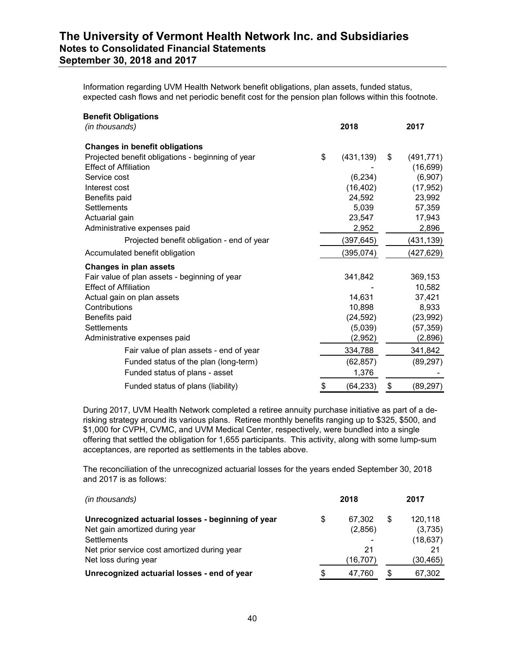Information regarding UVM Health Network benefit obligations, plan assets, funded status, expected cash flows and net periodic benefit cost for the pension plan follows within this footnote.

| <b>Benefit Obligations</b>                        |                  |                  |
|---------------------------------------------------|------------------|------------------|
| (in thousands)                                    | 2018             | 2017             |
| <b>Changes in benefit obligations</b>             |                  |                  |
| Projected benefit obligations - beginning of year | \$<br>(431, 139) | \$<br>(491, 771) |
| <b>Effect of Affiliation</b>                      |                  | (16, 699)        |
| Service cost                                      | (6,234)          | (6,907)          |
| Interest cost                                     | (16, 402)        | (17, 952)        |
| Benefits paid                                     | 24,592           | 23,992           |
| <b>Settlements</b>                                | 5,039            | 57,359           |
| Actuarial gain                                    | 23,547           | 17,943           |
| Administrative expenses paid                      | 2,952            | 2,896            |
| Projected benefit obligation - end of year        | (397,645)        | (431,139)        |
| Accumulated benefit obligation                    | (395, 074)       | (427,629)        |
| <b>Changes in plan assets</b>                     |                  |                  |
| Fair value of plan assets - beginning of year     | 341,842          | 369,153          |
| <b>Effect of Affiliation</b>                      |                  | 10,582           |
| Actual gain on plan assets                        | 14.631           | 37,421           |
| Contributions                                     | 10,898           | 8,933            |
| Benefits paid                                     | (24, 592)        | (23, 992)        |
| <b>Settlements</b>                                | (5,039)          | (57, 359)        |
| Administrative expenses paid                      | (2,952)          | (2,896)          |
| Fair value of plan assets - end of year           | 334,788          | 341,842          |
| Funded status of the plan (long-term)             | (62, 857)        | (89, 297)        |
| Funded status of plans - asset                    | 1,376            |                  |
| Funded status of plans (liability)                | \$<br>(64, 233)  | \$<br>(89, 297)  |

During 2017, UVM Health Network completed a retiree annuity purchase initiative as part of a derisking strategy around its various plans. Retiree monthly benefits ranging up to \$325, \$500, and \$1,000 for CVPH, CVMC, and UVM Medical Center, respectively, were bundled into a single offering that settled the obligation for 1,655 participants. This activity, along with some lump-sum acceptances, are reported as settlements in the tables above.

The reconciliation of the unrecognized actuarial losses for the years ended September 30, 2018 and 2017 is as follows:

| (in thousands)                                    |    | 2018     | 2017          |
|---------------------------------------------------|----|----------|---------------|
| Unrecognized actuarial losses - beginning of year | \$ | 67.302   | \$<br>120,118 |
| Net gain amortized during year                    |    | (2,856)  | (3,735)       |
| Settlements                                       |    |          | (18, 637)     |
| Net prior service cost amortized during year      |    | 21       |               |
| Net loss during year                              |    | (16,707) | (30, 465)     |
| Unrecognized actuarial losses - end of year       | S  | 47.760   | 67,302        |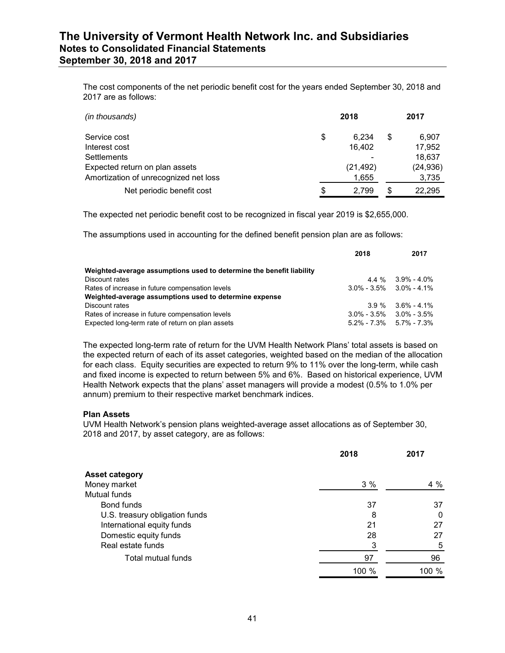The cost components of the net periodic benefit cost for the years ended September 30, 2018 and 2017 are as follows:

| (in thousands)                        |    | 2018      | 2017        |
|---------------------------------------|----|-----------|-------------|
| Service cost                          | \$ | 6.234     | \$<br>6,907 |
| Interest cost                         |    | 16.402    | 17,952      |
| <b>Settlements</b>                    |    |           | 18,637      |
| Expected return on plan assets        |    | (21, 492) | (24, 936)   |
| Amortization of unrecognized net loss |    | 1,655     | 3,735       |
| Net periodic benefit cost             | S  | 2.799     | 22.295      |

The expected net periodic benefit cost to be recognized in fiscal year 2019 is \$2,655,000.

The assumptions used in accounting for the defined benefit pension plan are as follows:

|                                                                      | 2018 | 2017                            |
|----------------------------------------------------------------------|------|---------------------------------|
| Weighted-average assumptions used to determine the benefit liability |      |                                 |
| Discount rates                                                       |      | $4.4\%$ 3.9% - 4.0%             |
| Rates of increase in future compensation levels                      |      | $3.0\% - 3.5\% - 3.0\% - 4.1\%$ |
| Weighted-average assumptions used to determine expense               |      |                                 |
| Discount rates                                                       |      | $3.9\%$ $3.6\%$ - 4.1%          |
| Rates of increase in future compensation levels                      |      | $3.0\% - 3.5\%$ $3.0\% - 3.5\%$ |
| Expected long-term rate of return on plan assets                     |      | $5.2\% - 7.3\% - 5.7\% - 7.3\%$ |

The expected long-term rate of return for the UVM Health Network Plans' total assets is based on the expected return of each of its asset categories, weighted based on the median of the allocation for each class. Equity securities are expected to return 9% to 11% over the long-term, while cash and fixed income is expected to return between 5% and 6%. Based on historical experience, UVM Health Network expects that the plans' asset managers will provide a modest (0.5% to 1.0% per annum) premium to their respective market benchmark indices.

#### **Plan Assets**

UVM Health Network's pension plans weighted-average asset allocations as of September 30, 2018 and 2017, by asset category, are as follows:

|                                | 2018  | 2017  |
|--------------------------------|-------|-------|
| <b>Asset category</b>          |       |       |
| Money market                   | 3%    | 4 %   |
| Mutual funds                   |       |       |
| Bond funds                     | 37    | 37    |
| U.S. treasury obligation funds | 8     | 0     |
| International equity funds     | 21    | 27    |
| Domestic equity funds          | 28    | 27    |
| Real estate funds              | 3     | 5     |
| Total mutual funds             | 97    | 96    |
|                                | 100 % | 100 % |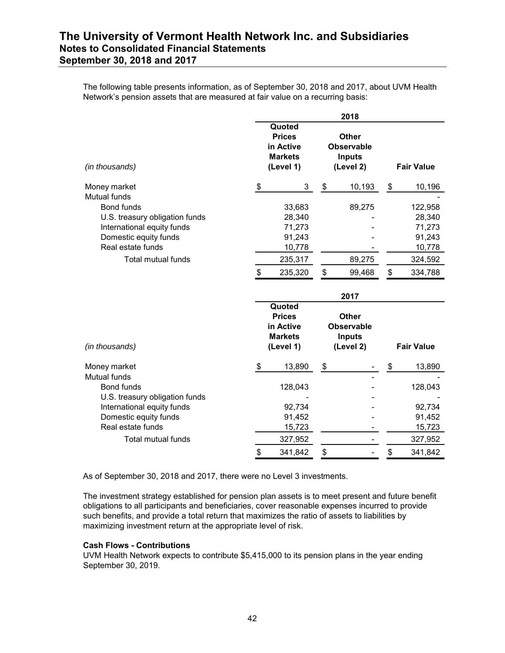The following table presents information, as of September 30, 2018 and 2017, about UVM Health Network's pension assets that are measured at fair value on a recurring basis:

|                                            |                                                                     | 2018                                                            |                   |
|--------------------------------------------|---------------------------------------------------------------------|-----------------------------------------------------------------|-------------------|
| (in thousands)                             | Quoted<br><b>Prices</b><br>in Active<br><b>Markets</b><br>(Level 1) | <b>Other</b><br><b>Observable</b><br><b>Inputs</b><br>(Level 2) | <b>Fair Value</b> |
| Money market<br><b>Mutual funds</b>        | \$<br>3                                                             | \$<br>10,193                                                    | \$<br>10,196      |
| <b>Bond funds</b>                          | 33,683                                                              | 89,275                                                          | 122,958           |
| U.S. treasury obligation funds             | 28,340                                                              |                                                                 | 28,340            |
| International equity funds                 | 71,273                                                              |                                                                 | 71,273            |
| Domestic equity funds                      | 91,243                                                              |                                                                 | 91,243            |
| Real estate funds                          | 10,778                                                              |                                                                 | 10,778            |
| <b>Total mutual funds</b>                  | 235,317                                                             | 89,275                                                          | 324,592           |
|                                            | \$<br>235,320                                                       | \$<br>99,468                                                    | \$<br>334,788     |
|                                            |                                                                     |                                                                 |                   |
|                                            |                                                                     | 2017                                                            |                   |
| (in thousands)                             | Quoted<br><b>Prices</b><br>in Active<br><b>Markets</b><br>(Level 1) | <b>Other</b><br><b>Observable</b><br><b>Inputs</b><br>(Level 2) | <b>Fair Value</b> |
| Money market                               | \$<br>13,890                                                        | \$                                                              | \$<br>13,890      |
| Mutual funds<br><b>Bond funds</b>          | 128,043                                                             |                                                                 | 128,043           |
| U.S. treasury obligation funds             |                                                                     |                                                                 |                   |
| International equity funds                 | 92,734                                                              |                                                                 | 92,734            |
| Domestic equity funds<br>Real estate funds | 91,452                                                              |                                                                 | 91,452            |
| Total mutual funds                         | 15,723<br>327,952                                                   |                                                                 | 15,723<br>327,952 |

As of September 30, 2018 and 2017, there were no Level 3 investments.

The investment strategy established for pension plan assets is to meet present and future benefit obligations to all participants and beneficiaries, cover reasonable expenses incurred to provide such benefits, and provide a total return that maximizes the ratio of assets to liabilities by maximizing investment return at the appropriate level of risk.

#### **Cash Flows - Contributions**

UVM Health Network expects to contribute \$5,415,000 to its pension plans in the year ending September 30, 2019.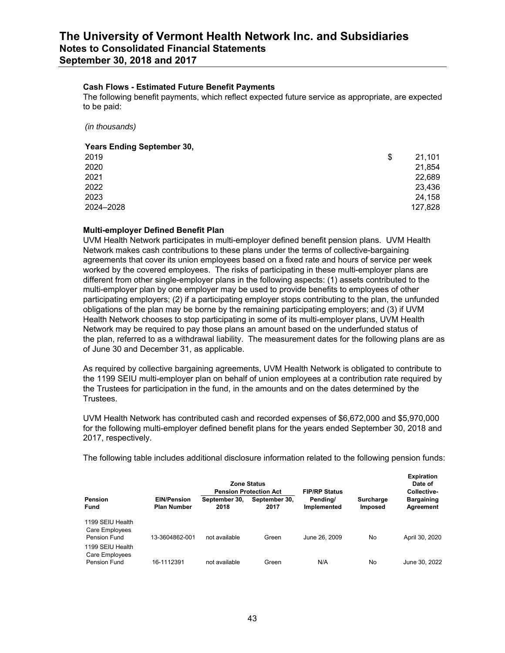#### **Cash Flows - Estimated Future Benefit Payments**

The following benefit payments, which reflect expected future service as appropriate, are expected to be paid:

*(in thousands)*

#### **Years Ending September 30,**

| \$<br>21,101 |
|--------------|
| 21,854       |
| 22,689       |
| 23,436       |
| 24,158       |
| 127,828      |
|              |

#### **Multi-employer Defined Benefit Plan**

UVM Health Network participates in multi-employer defined benefit pension plans. UVM Health Network makes cash contributions to these plans under the terms of collective-bargaining agreements that cover its union employees based on a fixed rate and hours of service per week worked by the covered employees. The risks of participating in these multi-employer plans are different from other single-employer plans in the following aspects: (1) assets contributed to the multi-employer plan by one employer may be used to provide benefits to employees of other participating employers; (2) if a participating employer stops contributing to the plan, the unfunded obligations of the plan may be borne by the remaining participating employers; and (3) if UVM Health Network chooses to stop participating in some of its multi-employer plans, UVM Health Network may be required to pay those plans an amount based on the underfunded status of the plan, referred to as a withdrawal liability. The measurement dates for the following plans are as of June 30 and December 31, as applicable.

As required by collective bargaining agreements, UVM Health Network is obligated to contribute to the 1199 SEIU multi-employer plan on behalf of union employees at a contribution rate required by the Trustees for participation in the fund, in the amounts and on the dates determined by the Trustees.

UVM Health Network has contributed cash and recorded expenses of \$6,672,000 and \$5,970,000 for the following multi-employer defined benefit plans for the years ended September 30, 2018 and 2017, respectively.

The following table includes additional disclosure information related to the following pension funds:

|                                                    |                                          |                       | <b>Zone Status</b><br><b>Pension Protection Act</b> | <b>FIP/RP Status</b>    |                             | <b>Expiration</b><br>Date of<br>Collective- |
|----------------------------------------------------|------------------------------------------|-----------------------|-----------------------------------------------------|-------------------------|-----------------------------|---------------------------------------------|
| Pension<br>Fund                                    | <b>EIN/Pension</b><br><b>Plan Number</b> | September 30.<br>2018 | September 30,<br>2017                               | Pending/<br>Implemented | <b>Surcharge</b><br>Imposed | <b>Bargaining</b><br>Agreement              |
| 1199 SEIU Health<br>Care Employees<br>Pension Fund | 13-3604862-001                           | not available         | Green                                               | June 26, 2009           | No                          | April 30, 2020                              |
| 1199 SEIU Health<br>Care Employees<br>Pension Fund | 16-1112391                               | not available         | Green                                               | N/A                     | No                          | June 30, 2022                               |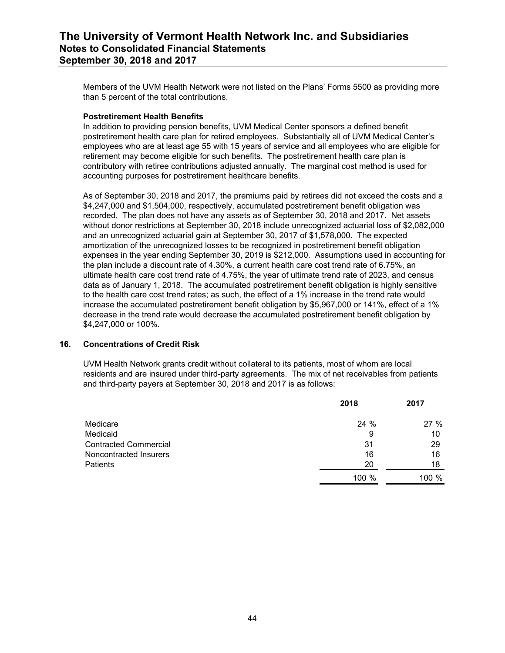Members of the UVM Health Network were not listed on the Plans' Forms 5500 as providing more than 5 percent of the total contributions.

### **Postretirement Health Benefits**

In addition to providing pension benefits, UVM Medical Center sponsors a defined benefit postretirement health care plan for retired employees. Substantially all of UVM Medical Center's employees who are at least age 55 with 15 years of service and all employees who are eligible for retirement may become eligible for such benefits. The postretirement health care plan is contributory with retiree contributions adjusted annually. The marginal cost method is used for accounting purposes for postretirement healthcare benefits.

As of September 30, 2018 and 2017, the premiums paid by retirees did not exceed the costs and a \$4,247,000 and \$1,504,000, respectively, accumulated postretirement benefit obligation was recorded. The plan does not have any assets as of September 30, 2018 and 2017. Net assets without donor restrictions at September 30, 2018 include unrecognized actuarial loss of \$2,082,000 and an unrecognized actuarial gain at September 30, 2017 of \$1,578,000. The expected amortization of the unrecognized losses to be recognized in postretirement benefit obligation expenses in the year ending September 30, 2019 is \$212,000. Assumptions used in accounting for the plan include a discount rate of 4.30%, a current health care cost trend rate of 6.75%, an ultimate health care cost trend rate of 4.75%, the year of ultimate trend rate of 2023, and census data as of January 1, 2018. The accumulated postretirement benefit obligation is highly sensitive to the health care cost trend rates; as such, the effect of a 1% increase in the trend rate would increase the accumulated postretirement benefit obligation by \$5,967,000 or 141%, effect of a 1% decrease in the trend rate would decrease the accumulated postretirement benefit obligation by \$4,247,000 or 100%.

#### **16. Concentrations of Credit Risk**

UVM Health Network grants credit without collateral to its patients, most of whom are local residents and are insured under third-party agreements. The mix of net receivables from patients and third-party payers at September 30, 2018 and 2017 is as follows:

|                              | 2018  | 2017  |  |
|------------------------------|-------|-------|--|
| Medicare                     | 24 %  | 27%   |  |
| Medicaid                     | 9     | 10    |  |
| <b>Contracted Commercial</b> | 31    | 29    |  |
| Noncontracted Insurers       | 16    | 16    |  |
| <b>Patients</b>              | 20    | 18    |  |
|                              | 100 % | 100 % |  |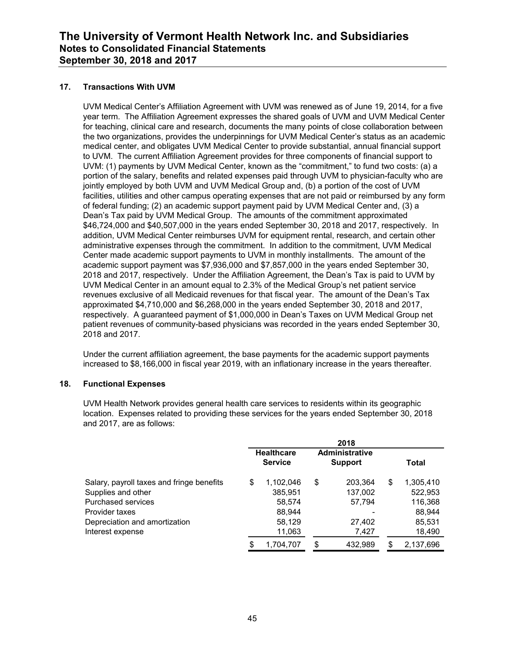### **17. Transactions With UVM**

UVM Medical Center's Affiliation Agreement with UVM was renewed as of June 19, 2014, for a five year term. The Affiliation Agreement expresses the shared goals of UVM and UVM Medical Center for teaching, clinical care and research, documents the many points of close collaboration between the two organizations, provides the underpinnings for UVM Medical Center's status as an academic medical center, and obligates UVM Medical Center to provide substantial, annual financial support to UVM. The current Affiliation Agreement provides for three components of financial support to UVM: (1) payments by UVM Medical Center, known as the "commitment," to fund two costs: (a) a portion of the salary, benefits and related expenses paid through UVM to physician-faculty who are jointly employed by both UVM and UVM Medical Group and, (b) a portion of the cost of UVM facilities, utilities and other campus operating expenses that are not paid or reimbursed by any form of federal funding; (2) an academic support payment paid by UVM Medical Center and, (3) a Dean's Tax paid by UVM Medical Group. The amounts of the commitment approximated \$46,724,000 and \$40,507,000 in the years ended September 30, 2018 and 2017, respectively. In addition, UVM Medical Center reimburses UVM for equipment rental, research, and certain other administrative expenses through the commitment. In addition to the commitment, UVM Medical Center made academic support payments to UVM in monthly installments. The amount of the academic support payment was \$7,936,000 and \$7,857,000 in the years ended September 30, 2018 and 2017, respectively. Under the Affiliation Agreement, the Dean's Tax is paid to UVM by UVM Medical Center in an amount equal to 2.3% of the Medical Group's net patient service revenues exclusive of all Medicaid revenues for that fiscal year. The amount of the Dean's Tax approximated \$4,710,000 and \$6,268,000 in the years ended September 30, 2018 and 2017, respectively. A guaranteed payment of \$1,000,000 in Dean's Taxes on UVM Medical Group net patient revenues of community-based physicians was recorded in the years ended September 30, 2018 and 2017.

Under the current affiliation agreement, the base payments for the academic support payments increased to \$8,166,000 in fiscal year 2019, with an inflationary increase in the years thereafter.

#### **18. Functional Expenses**

UVM Health Network provides general health care services to residents within its geographic location. Expenses related to providing these services for the years ended September 30, 2018 and 2017, are as follows:

|                                           | 2018 |                                     |    |                                  |       |           |  |  |
|-------------------------------------------|------|-------------------------------------|----|----------------------------------|-------|-----------|--|--|
|                                           |      | <b>Healthcare</b><br><b>Service</b> |    | Administrative<br><b>Support</b> | Total |           |  |  |
| Salary, payroll taxes and fringe benefits | \$   | 1,102,046                           | \$ | 203,364                          | \$    | 1,305,410 |  |  |
| Supplies and other                        |      | 385,951                             |    | 137,002                          |       | 522,953   |  |  |
| <b>Purchased services</b>                 |      | 58,574                              |    | 57,794                           |       | 116,368   |  |  |
| Provider taxes                            |      | 88,944                              |    |                                  |       | 88,944    |  |  |
| Depreciation and amortization             |      | 58,129                              |    | 27,402                           |       | 85,531    |  |  |
| Interest expense                          |      | 11,063                              |    | 7,427                            |       | 18,490    |  |  |
|                                           | \$   | 1,704,707                           | \$ | 432,989                          | S     | 2,137,696 |  |  |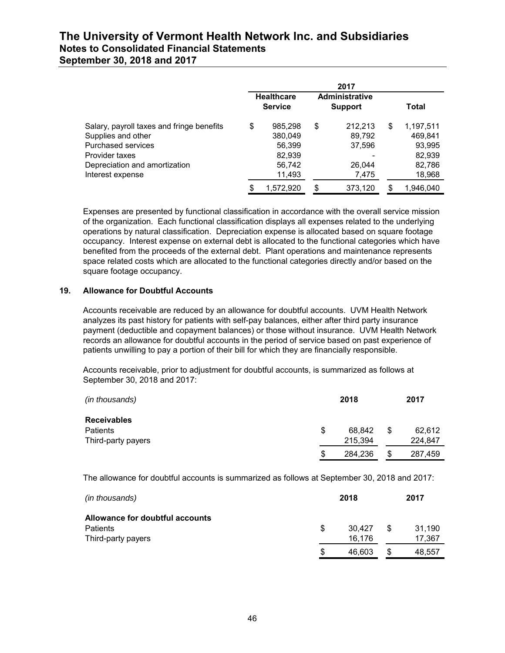|                                                                                                                                                              | 2017 |                                                                                |    |                                                |              |                                                              |  |
|--------------------------------------------------------------------------------------------------------------------------------------------------------------|------|--------------------------------------------------------------------------------|----|------------------------------------------------|--------------|--------------------------------------------------------------|--|
|                                                                                                                                                              |      | <b>Administrative</b><br><b>Healthcare</b><br><b>Service</b><br><b>Support</b> |    |                                                | <b>Total</b> |                                                              |  |
| Salary, payroll taxes and fringe benefits<br>Supplies and other<br>Purchased services<br>Provider taxes<br>Depreciation and amortization<br>Interest expense | \$   | 985,298<br>380,049<br>56,399<br>82,939<br>56,742<br>11,493                     | \$ | 212.213<br>89,792<br>37,596<br>26.044<br>7,475 | \$           | 1,197,511<br>469,841<br>93,995<br>82,939<br>82,786<br>18,968 |  |
|                                                                                                                                                              | \$   | 1.572.920                                                                      | \$ | 373,120                                        | S            | 1.946.040                                                    |  |

Expenses are presented by functional classification in accordance with the overall service mission of the organization. Each functional classification displays all expenses related to the underlying operations by natural classification. Depreciation expense is allocated based on square footage occupancy. Interest expense on external debt is allocated to the functional categories which have benefited from the proceeds of the external debt. Plant operations and maintenance represents space related costs which are allocated to the functional categories directly and/or based on the square footage occupancy.

### **19. Allowance for Doubtful Accounts**

Accounts receivable are reduced by an allowance for doubtful accounts. UVM Health Network analyzes its past history for patients with self-pay balances, either after third party insurance payment (deductible and copayment balances) or those without insurance. UVM Health Network records an allowance for doubtful accounts in the period of service based on past experience of patients unwilling to pay a portion of their bill for which they are financially responsible.

Accounts receivable, prior to adjustment for doubtful accounts, is summarized as follows at September 30, 2018 and 2017:

| (in thousands)     |   | 2018    |    | 2017    |
|--------------------|---|---------|----|---------|
| <b>Receivables</b> |   |         |    |         |
| Patients           | S | 68.842  | S  | 62,612  |
| Third-party payers |   | 215,394 |    | 224.847 |
|                    | S | 284,236 | \$ | 287,459 |

The allowance for doubtful accounts is summarized as follows at September 30, 2018 and 2017:

| (in thousands)                  |     | 2018   |   |        |
|---------------------------------|-----|--------|---|--------|
| Allowance for doubtful accounts |     |        |   |        |
| <b>Patients</b>                 | \$. | 30.427 | S | 31.190 |
| Third-party payers              |     | 16,176 |   | 17.367 |
|                                 | S   | 46,603 |   | 48.557 |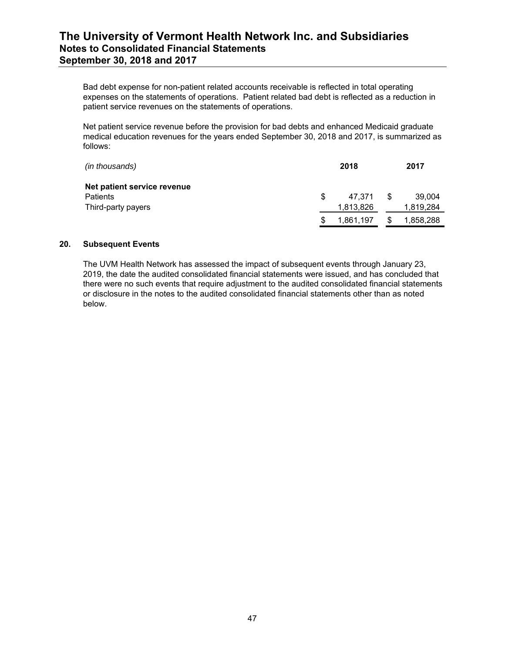Bad debt expense for non-patient related accounts receivable is reflected in total operating expenses on the statements of operations. Patient related bad debt is reflected as a reduction in patient service revenues on the statements of operations.

Net patient service revenue before the provision for bad debts and enhanced Medicaid graduate medical education revenues for the years ended September 30, 2018 and 2017, is summarized as follows:

| (in thousands)              |     | 2018      |   | 2017      |
|-----------------------------|-----|-----------|---|-----------|
| Net patient service revenue |     |           |   |           |
| <b>Patients</b>             | \$. | 47.371    | S | 39,004    |
| Third-party payers          |     | 1,813,826 |   | 1,819,284 |
|                             |     | 1,861,197 |   | 1,858,288 |

### **20. Subsequent Events**

The UVM Health Network has assessed the impact of subsequent events through January 23, 2019, the date the audited consolidated financial statements were issued, and has concluded that there were no such events that require adjustment to the audited consolidated financial statements or disclosure in the notes to the audited consolidated financial statements other than as noted below.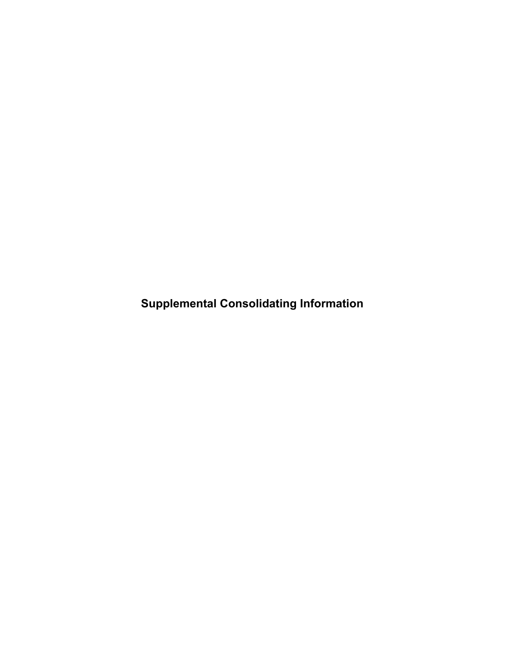**Supplemental Consolidating Information**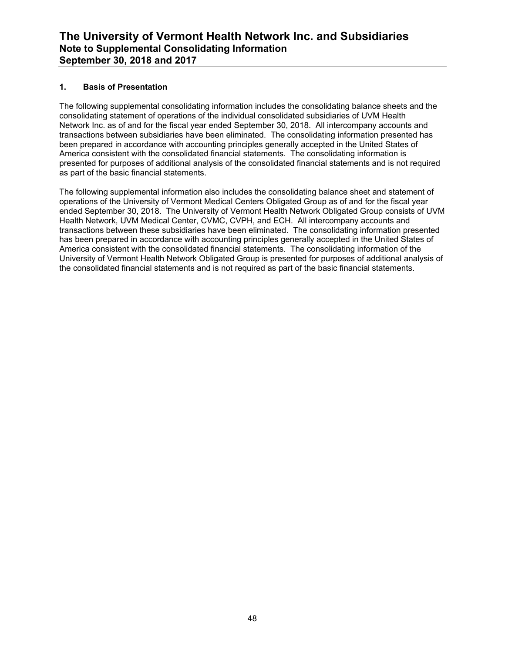### **1. Basis of Presentation**

The following supplemental consolidating information includes the consolidating balance sheets and the consolidating statement of operations of the individual consolidated subsidiaries of UVM Health Network Inc. as of and for the fiscal year ended September 30, 2018. All intercompany accounts and transactions between subsidiaries have been eliminated. The consolidating information presented has been prepared in accordance with accounting principles generally accepted in the United States of America consistent with the consolidated financial statements. The consolidating information is presented for purposes of additional analysis of the consolidated financial statements and is not required as part of the basic financial statements.

The following supplemental information also includes the consolidating balance sheet and statement of operations of the University of Vermont Medical Centers Obligated Group as of and for the fiscal year ended September 30, 2018. The University of Vermont Health Network Obligated Group consists of UVM Health Network, UVM Medical Center, CVMC, CVPH, and ECH. All intercompany accounts and transactions between these subsidiaries have been eliminated. The consolidating information presented has been prepared in accordance with accounting principles generally accepted in the United States of America consistent with the consolidated financial statements. The consolidating information of the University of Vermont Health Network Obligated Group is presented for purposes of additional analysis of the consolidated financial statements and is not required as part of the basic financial statements.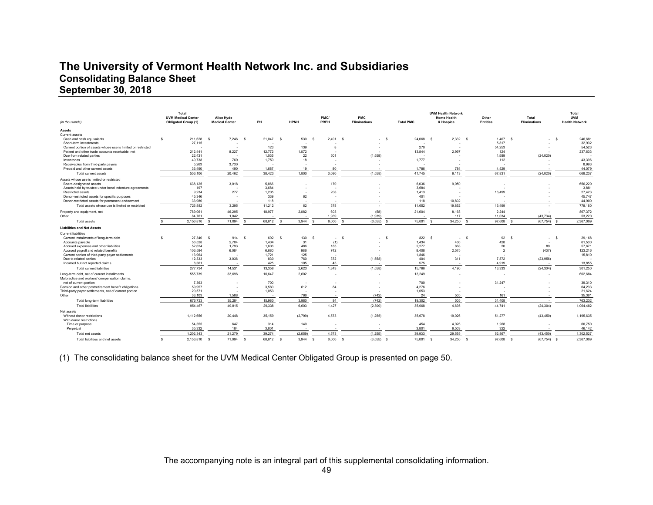# **The University of Vermont Health Network Inc. and Subsidiaries Consolidating Balance Sheet September 30, 2018**

| (in thousands)                                                                               | Total<br><b>UVM Medical Center</b><br><b>Obligated Group (1)</b> | Alice Hyde<br><b>Medical Center</b> | PH             | <b>HPNH</b>     | PMC/<br>PREH             | PMC<br>Eliminations      | <b>Total PMC</b> | <b>UVM Health Network</b><br><b>Home Health</b><br>& Hospice | Other<br><b>Entities</b> | Total<br>Eliminations          | Total<br><b>UVM</b><br><b>Health Network</b> |
|----------------------------------------------------------------------------------------------|------------------------------------------------------------------|-------------------------------------|----------------|-----------------|--------------------------|--------------------------|------------------|--------------------------------------------------------------|--------------------------|--------------------------------|----------------------------------------------|
| Assets                                                                                       |                                                                  |                                     |                |                 |                          |                          |                  |                                                              |                          |                                |                                              |
| Current assets                                                                               |                                                                  |                                     |                |                 |                          |                          |                  |                                                              |                          |                                |                                              |
| Cash and cash equivalents<br>Short-term investments                                          | 211.628<br>27.115                                                | 7,246<br>- s                        | 21,047<br>- s  | 530<br><b>S</b> | 2,491<br>- 5             | - \$                     | 24,068<br>- s    | 2,332<br>$\mathbf{S}$                                        | 1.407<br>- S<br>5.817    | - S                            | 246,681<br>- S<br>32,932                     |
| Current portion of assets whose use is limited or restricted                                 |                                                                  |                                     | 123            | 139             | 8                        |                          | 270              |                                                              | 54.253                   |                                | 54.523                                       |
| Patient and other trade accounts receivable, net                                             | 212,441                                                          | 8,227                               | 12,772         | 1.072           | ٠                        |                          | 13,844           | 2,997                                                        | 124                      |                                | 237,633                                      |
| Due from related parties                                                                     | 22,431                                                           |                                     | 1,035          | 22              | 501                      | (1,558)                  |                  |                                                              | 1,589                    | (24, 020)                      |                                              |
| Inventories                                                                                  | 40,738                                                           | 769                                 | 1,759          | 18              |                          |                          | 1,777            |                                                              | 112                      |                                | 43,396                                       |
| Receivables from third-party payers                                                          | 5.263                                                            | 3,730                               |                |                 | $\overline{\phantom{a}}$ |                          |                  |                                                              |                          |                                | 8,993                                        |
| Prepaid and other current assets                                                             | 36.490                                                           | 490                                 | 1,687          | 19              | 80                       |                          | 1.786            | 784                                                          | 4.529                    |                                | 44.079                                       |
| Total current assets                                                                         | 556,106                                                          | 20,462                              | 38,423         | 1,800           | 3,080                    | (1,558)                  | 41,745           | 6,113                                                        | 67,831                   | (24, 020)                      | 668,237                                      |
| Assets whose use is limited or restricted                                                    |                                                                  |                                     |                |                 |                          |                          |                  |                                                              |                          |                                |                                              |
| Board-designated assets                                                                      | 638,125                                                          | 3,018                               | 5,866          | . .             | 170                      |                          | 6,036            | 9,050                                                        |                          |                                | 656,229                                      |
| Assets held by trustee under bond indenture agreements                                       | 197<br>9.234                                                     | 277                                 | 3.684<br>1.205 | ٠.              | 208                      |                          | 3,684<br>1.413   |                                                              | 16.499                   |                                | 3,881<br>27.423                              |
| <b>Restricted assets</b><br>Donor-restricted assets for specific purposes                    | 45.346                                                           |                                     | 339            | 62              | ٠                        |                          | 401              |                                                              |                          |                                | 45,747                                       |
| Donor-restricted assets for permanent endowment                                              | 33,980                                                           |                                     | 118            | . .             | . .                      |                          | 118              | 10,802                                                       |                          |                                | 44.900                                       |
| Total assets whose use is limited or restricted                                              | 726.882                                                          | 3.295                               | 11.212         | 62              | 378                      |                          | 11.652           | 19.852                                                       | 16.499                   |                                | 778.180                                      |
| Property and equipment, net                                                                  | 789.061                                                          | 46,295                              | 18.977         | 2.082           | 603                      | (58)                     | 21,604           | 8.168                                                        | 2.244                    |                                | 867.372                                      |
| Other                                                                                        | 84.761                                                           | 1.042                               |                |                 | 1.939                    | (1,939)                  |                  | 117                                                          | 11.034                   | (43.734)                       | 53.220                                       |
| <b>Total assets</b>                                                                          | 2.156.810                                                        | 71.094                              | 68.612         | 3.944           | 6.000                    | (3, 555)                 | 75,001           | 34.250                                                       | 97.608                   | (67.754)                       | 2.367.009                                    |
| <b>Liabilities and Net Assets</b>                                                            |                                                                  |                                     |                |                 |                          |                          |                  |                                                              |                          |                                |                                              |
| <b>Current liabilities</b>                                                                   |                                                                  |                                     |                |                 |                          |                          |                  |                                                              |                          |                                |                                              |
| Current installments of long-term debt                                                       | 27,340<br>-S                                                     | 914<br>- S                          | 692<br>- \$    | 130<br>-S       | - \$<br>$\sim$           | - \$<br>- s              | 822              | $\mathbf{s}$<br>$\sim$                                       | 92<br>- \$               | -S<br>$\overline{\phantom{a}}$ | 29,168<br>- \$                               |
| Accounts payable                                                                             | 56.528                                                           | 2,704                               | 1.404          | 31              | (1)                      |                          | 1.434            | 436                                                          | 428                      |                                | 61,530                                       |
| Accrued expenses and other liabilities                                                       | 52,624                                                           | 1,793                               | 1,606          | 486             | 185                      |                          | 2,277            | 868                                                          | 20                       | 89                             | 57,671                                       |
| Accrued payroll and related benefits                                                         | 106.584<br>13,964                                                | 6,084                               | 6.680          | 986<br>125      | 742                      |                          | 8,408            | 2.575                                                        | $\overline{2}$           | (437)                          | 123,216<br>15,810                            |
| Current portion of third-party payer settlements<br>Due to related parties                   | 12,333                                                           | 3,036                               | 1,721<br>830   | 760             | 372                      | (1, 558)                 | 1,846<br>404     | 311                                                          | 7,872                    | (23, 956)                      |                                              |
| Incurred but not reported claims                                                             | 8,361                                                            |                                     | 425            | 105             | 45                       |                          | 575              |                                                              | 4,919                    |                                | 13,855                                       |
| <b>Total current liabilities</b>                                                             | 277,734                                                          | 14,531                              | 13,358         | 2,623           | 1,343                    | (1,558)                  | 15,766           | 4,190                                                        | 13,333                   | (24, 304)                      | 301,250                                      |
| Long-term debt, net of current installments<br>Malpractice and workers' compensation claims, | 555.739                                                          | 33,696                              | 10.647         | 2,602           | ٠                        |                          | 13,249           |                                                              |                          |                                | 602,684                                      |
| net of current portion                                                                       | 7.363                                                            |                                     | 700            |                 |                          |                          | 700              |                                                              | 31,247                   |                                | 39,310                                       |
| Pension and other postretirement benefit obligations                                         | 59,957                                                           |                                     | 3,580          | 612             | 84                       |                          | 4,276            |                                                              |                          |                                | 64,233                                       |
| Third-party payer settlements, net of current portion                                        | 20,571                                                           |                                     | 1,053          |                 |                          |                          | 1,053            |                                                              |                          |                                | 21,624                                       |
| Other                                                                                        | 33.103                                                           | 1.588                               |                | 766             |                          | (742)                    | 24               | 505                                                          | 161                      |                                | 35.381                                       |
| Total long-term liabilities                                                                  | 676.733                                                          | 35.284                              | 15,980         | 3.980           | 84                       | (742)                    | 19.302           | 505                                                          | 31,408                   |                                | 763.232                                      |
| <b>Total liabilities</b>                                                                     | 954.467                                                          | 49.815                              | 29.338         | 6.603           | 1.427                    | (2.300)                  | 35,068           | 4.695                                                        | 44.741                   | (24.304)                       | 1.064.482                                    |
| Net assets                                                                                   |                                                                  |                                     |                |                 |                          |                          |                  |                                                              |                          |                                |                                              |
| Without donor restrictions<br>With donor restrictions                                        | 1.112.656                                                        | 20,448                              | 35.159         | (2,799)         | 4,573                    | (1, 255)                 | 35,678           | 19.026                                                       | 51,277                   | (43, 450)                      | 1.195.635                                    |
| Time or purpose                                                                              | 54,355                                                           | 647                                 | 314            | 140             | <b>.</b>                 |                          | 454              | 4,026                                                        | 1,268                    |                                | 60,750                                       |
| Perpetual                                                                                    | 35.332                                                           | 184                                 | 3.801          |                 |                          |                          | 3.801            | 6.503                                                        | 322                      |                                | 46.142                                       |
| Total net assets                                                                             | 1.202.343                                                        | 21.279                              | 39,274         | (2.659)         | 4.573                    | (1,255)                  | 39.933           | 29.555                                                       | 52.867                   | (43, 450)                      | 1.302.527                                    |
| Total liabilities and net assets                                                             | 2,156,810                                                        | 71,094<br><sub>S</sub>              | 68,612         | 3.944<br>s      | 6,000                    | (3, 555)<br>$\mathbf{s}$ | 75,001           | 34,250                                                       | 97,608                   | (67, 754)                      | 2.367.009                                    |

(1) The consolidating balance sheet for the UVM Medical Center Obligated Group is presented on page 50.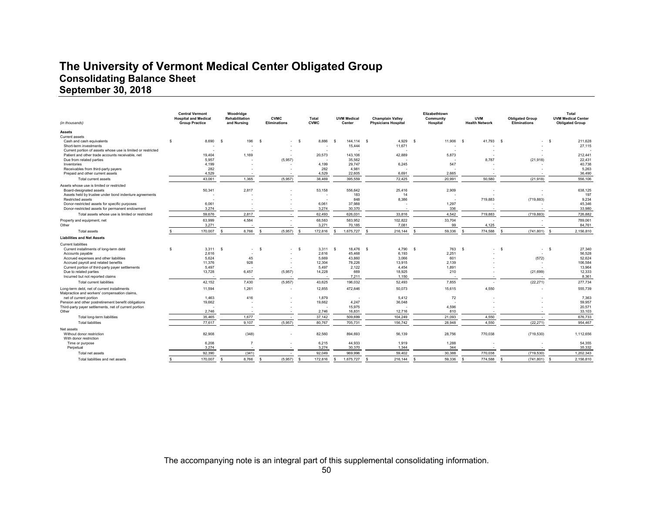# **The University of Vermont Medical Center Obligated Group Consolidating Balance Sheet September 30, 2018**

| (in thousands)                                                                 | <b>Central Vermont</b><br><b>Hospital and Medical</b><br><b>Group Practice</b> | Woodridae<br>Rehabilitation<br>and Nursing | <b>CVMC</b><br><b>Eliminations</b> | Total<br><b>CVMC</b> | <b>UVM Medical</b><br>Center | <b>Champlain Valley</b><br><b>Physicians Hospital</b> | Elizabethtown<br>Community<br>Hospital | <b>UVM</b><br><b>Health Network</b> | <b>Obligated Group</b><br><b>Eliminations</b> | Total<br><b>UVM Medical Center</b><br><b>Obligated Group</b> |
|--------------------------------------------------------------------------------|--------------------------------------------------------------------------------|--------------------------------------------|------------------------------------|----------------------|------------------------------|-------------------------------------------------------|----------------------------------------|-------------------------------------|-----------------------------------------------|--------------------------------------------------------------|
| Assets                                                                         |                                                                                |                                            |                                    |                      |                              |                                                       |                                        |                                     |                                               |                                                              |
| Current assets                                                                 |                                                                                |                                            |                                    |                      |                              |                                                       |                                        |                                     |                                               |                                                              |
| Cash and cash equivalents                                                      | s<br>8.690                                                                     | 196<br>-S                                  |                                    | 8.886<br>-S          | 144.114<br>s                 | 4.929<br>-S                                           | 11,906<br>- S                          | 41.793<br>- \$                      | - \$                                          | 211,628<br>- \$                                              |
| Short-term investments                                                         |                                                                                |                                            |                                    |                      | 15,444                       | 11,671                                                |                                        |                                     |                                               | 27,115                                                       |
| Current portion of assets whose use is limited or restricted                   |                                                                                |                                            |                                    |                      |                              |                                                       |                                        |                                     |                                               |                                                              |
| Patient and other trade accounts receivable, net                               | 19,404                                                                         | 1,169                                      |                                    | 20,573               | 143,106                      | 42,889                                                | 5,873                                  |                                     |                                               | 212,441                                                      |
| Due from related parties                                                       | 5,957                                                                          |                                            | (5,957)                            | ٠                    | 35,562                       |                                                       |                                        | 8,787                               | (21, 918)                                     | 22,431                                                       |
| Inventories                                                                    | 4,199                                                                          |                                            |                                    | 4.199                | 29.747                       | 6,245                                                 | 547                                    |                                     |                                               | 40,738                                                       |
| Receivables from third-party payers                                            | 282                                                                            |                                            |                                    | 282                  | 4.981                        |                                                       |                                        |                                     |                                               | 5.263                                                        |
| Prepaid and other current assets                                               | 4.529                                                                          |                                            |                                    | 4,529                | 22.605                       | 6.691                                                 | 2,665                                  |                                     |                                               | 36,490                                                       |
| Total current assets                                                           | 43,061                                                                         | 1,365                                      | (5,957)                            | 38,469               | 395,559                      | 72,425                                                | 20.991                                 | 50.580                              | (21.918)                                      | 556,106                                                      |
| Assets whose use is limited or restricted                                      |                                                                                |                                            |                                    |                      |                              |                                                       |                                        |                                     |                                               |                                                              |
| Board-designated assets                                                        | 50,341                                                                         | 2,817                                      |                                    | 53,158               | 556.642                      | 25.416                                                | 2.909                                  |                                     |                                               | 638.125                                                      |
| Assets held by trustee under bond indenture agreements                         |                                                                                |                                            |                                    |                      | 183                          | 14                                                    |                                        |                                     |                                               | 197                                                          |
| <b>Restricted assets</b>                                                       |                                                                                |                                            |                                    |                      | 848                          | 8.386                                                 |                                        | 719.883                             | (719, 883)                                    | 9,234                                                        |
| Donor-restricted assets for specific purposes                                  | 6,061                                                                          |                                            |                                    | 6,061                | 37,988                       |                                                       | 1,297                                  |                                     |                                               | 45,346                                                       |
| Donor-restricted assets for permanent endowment                                | 3.274                                                                          |                                            |                                    | 3.274                | 30.370                       |                                                       | 336                                    |                                     |                                               | 33,980                                                       |
|                                                                                |                                                                                |                                            |                                    |                      |                              |                                                       |                                        |                                     |                                               |                                                              |
| Total assets whose use is limited or restricted                                | 59,676                                                                         | 2,817                                      |                                    | 62,493               | 626,031                      | 33,816                                                | 4,542                                  | 719,883                             | (719, 883)                                    | 726,882                                                      |
| Property and equipment, net                                                    | 63.999                                                                         | 4.584                                      |                                    | 68,583               | 583.952                      | 102.822                                               | 33,704                                 |                                     |                                               | 789.061                                                      |
| Other                                                                          | 3,271                                                                          |                                            |                                    | 3,271                | 70,185                       | 7,081                                                 | 99                                     | 4,125                               |                                               | 84.761                                                       |
| <b>Total assets</b>                                                            | 170,007                                                                        | 8,766<br>S                                 | (5,957)                            | 172,816              | 1,675,727                    | 216,144<br>s.                                         | 59,336                                 | 774,588                             | (741, 801)                                    | 2,156,810<br>$\mathbf{S}$                                    |
| <b>Liabilities and Net Assets</b>                                              |                                                                                |                                            |                                    |                      |                              |                                                       |                                        |                                     |                                               |                                                              |
| <b>Current liabilities</b>                                                     |                                                                                |                                            |                                    |                      |                              |                                                       |                                        |                                     |                                               |                                                              |
| Current installments of long-term debt                                         | -S<br>3,311                                                                    | - s<br>×.                                  | $\overline{\phantom{a}}$           | 3,311<br>-S          | 18,476 \$<br>$\mathbf{s}$    | 4,790                                                 | 763<br>- S                             | - \$                                | $-$ \$<br>$\sim$                              | 27,340<br>- \$                                               |
| Accounts pavable                                                               | 2.616                                                                          |                                            |                                    | 2.616                | 45.468                       | 6.193                                                 | 2.251                                  |                                     |                                               | 56.528                                                       |
| Accrued expenses and other liabilities                                         | 5.624                                                                          | 45                                         |                                    | 5.669                | 43,860                       | 3.066                                                 | 601                                    |                                     | (572)                                         | 52,624                                                       |
| Accrued payroll and related benefits                                           | 11,376                                                                         | 928                                        |                                    | 12,304               | 78,226                       | 13.915                                                | 2.139                                  |                                     |                                               | 106,584                                                      |
| Current portion of third-party payer settlements                               | 5,497                                                                          |                                            |                                    | 5,497                | 2,122                        | 4,454                                                 | 1,891                                  |                                     |                                               | 13,964                                                       |
| Due to related parties                                                         | 13,728                                                                         | 6,457                                      | (5,957)                            | 14,228               | 669                          | 18,925                                                | 210                                    |                                     | (21, 699)                                     | 12,333                                                       |
| Incurred but not reported claims                                               |                                                                                |                                            |                                    |                      | 7.211                        | 1.150                                                 |                                        |                                     |                                               | 8.361                                                        |
| <b>Total current liabilities</b>                                               | 42,152                                                                         | 7,430                                      | (5,957)                            | 43,625               | 196,032                      | 52,493                                                | 7,855                                  |                                     | (22, 271)                                     | 277,734                                                      |
|                                                                                |                                                                                |                                            |                                    |                      |                              |                                                       |                                        |                                     |                                               |                                                              |
| Long-term debt, net of current installments                                    | 11,594                                                                         | 1,261                                      |                                    | 12,855               | 472,646                      | 50,073                                                | 15,615                                 | 4,550                               |                                               | 555,739                                                      |
| Malpractice and workers' compensation claims,                                  |                                                                                | 416                                        |                                    | 1.879                |                              |                                                       |                                        |                                     |                                               |                                                              |
| net of current portion<br>Pension and other postretirement benefit obligations | 1,463<br>19,662                                                                |                                            |                                    | 19,662               | 4,247                        | 5,412<br>36,048                                       | 72                                     |                                     |                                               | 7,363<br>59,957                                              |
|                                                                                |                                                                                |                                            |                                    |                      | 15,975                       |                                                       | 4,596                                  |                                     |                                               | 20,571                                                       |
| Third-party payer settlements, net of current portion<br>Other                 | 2.746                                                                          |                                            |                                    | 2.746                | 16.831                       | 12.716                                                | 810                                    |                                     |                                               | 33,103                                                       |
|                                                                                |                                                                                |                                            |                                    |                      |                              |                                                       |                                        |                                     |                                               |                                                              |
| Total long-term liabilities                                                    | 35,465                                                                         | 1,677                                      |                                    | 37,142               | 509,699                      | 104,249                                               | 21,093                                 | 4,550                               | ٠.                                            | 676,733                                                      |
| <b>Total liabilities</b>                                                       | 77.617                                                                         | 9.107                                      | (5.957)                            | 80.767               | 705.731                      | 156.742                                               | 28.948                                 | 4.550                               | (22.271)                                      | 954.467                                                      |
| Net assets                                                                     |                                                                                |                                            |                                    |                      |                              |                                                       |                                        |                                     |                                               |                                                              |
| Without donor restriction                                                      | 82,908                                                                         | (348)                                      | ٠                                  | 82,560               | 894,693                      | 56,139                                                | 28,756                                 | 770,038                             | (719, 530)                                    | 1,112,656                                                    |
| With donor restriction                                                         |                                                                                |                                            |                                    |                      |                              |                                                       |                                        |                                     |                                               |                                                              |
| Time or purpose                                                                | 6.208                                                                          |                                            |                                    | 6.215                | 44.933                       | 1.919                                                 | 1.288                                  |                                     |                                               | 54,355                                                       |
| Perpetual                                                                      | 3.274                                                                          |                                            |                                    | 3,274                | 30.370                       | 1.344                                                 | 344                                    |                                     |                                               | 35,332                                                       |
| Total net assets                                                               | 92,390                                                                         | (341)                                      |                                    | 92,049               | 969,996                      | 59,402                                                | 30,388                                 | 770.038                             | (719, 530)                                    | 1,202,343                                                    |
| Total liabilities and net assets                                               | 170,007                                                                        | 8,766                                      | (5,957)<br>s.                      | 172,816              | 1,675,727                    | s.<br>216,144                                         | 59,336                                 | 774,588                             | (741, 801)                                    | 2,156,810<br>$\mathbf{S}$                                    |
|                                                                                |                                                                                |                                            |                                    |                      |                              |                                                       |                                        |                                     |                                               |                                                              |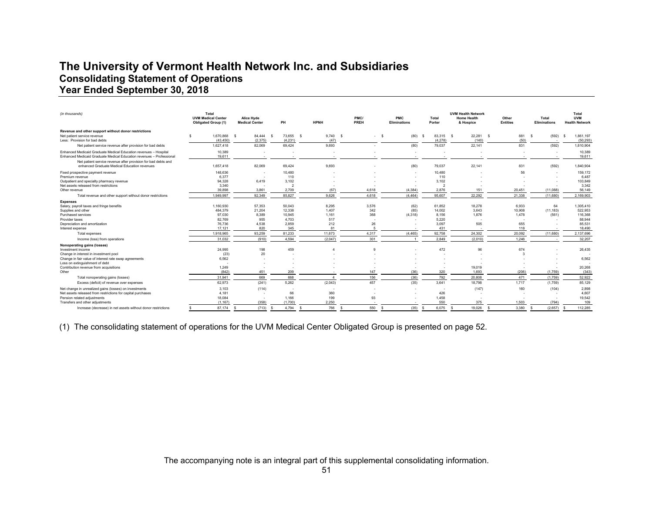# **The University of Vermont Health Network Inc. and Subsidiaries Consolidating Statement of Operations Year Ended September 30, 2018**

| (in thousands)                                                                                                                           | Total<br><b>UVM Medical Center</b><br><b>Obligated Group (1)</b> | Alice Hyde<br><b>Medical Center</b> | PH                          | <b>HPNH</b>     | PMC/<br>PREH | PMC<br><b>Eliminations</b> | Total<br>Porter               | <b>UVM Health Network</b><br><b>Home Health</b><br>& Hospice | Other<br><b>Entities</b> | Total<br><b>Eliminations</b> | Total<br><b>UVM</b><br><b>Health Network</b> |
|------------------------------------------------------------------------------------------------------------------------------------------|------------------------------------------------------------------|-------------------------------------|-----------------------------|-----------------|--------------|----------------------------|-------------------------------|--------------------------------------------------------------|--------------------------|------------------------------|----------------------------------------------|
| Revenue and other support without donor restrictions<br>Net patient service revenue<br>Less: Provision for bad debts                     | 1.670.868 \$<br>s<br>(43, 450)                                   | 84.444<br>(2, 375)                  | 73.655 \$<br>- S<br>(4,231) | 9.740 S<br>(47) | $\sim$       | (80)<br>- S                | 83.315 \$<br>- 53<br>(4, 278) | 22.281<br>(140)                                              | 881<br>- S<br>(50)       | (592)<br>- \$                | 1.861.197<br>- S<br>(50, 293)                |
| Net patient service revenue after provision for bad debts                                                                                | 1,627,418                                                        | 82,069                              | 69,424                      | 9,693           |              | (80)                       | 79,037                        | 22,141                                                       | 831                      | (592)                        | 1,810,904                                    |
| Enhanced Medicaid Graduate Medical Education revenues - Hospital<br>Enhanced Medicaid Graduate Medical Education revenues - Professional | 10,389<br>19.611                                                 |                                     |                             |                 |              |                            |                               |                                                              |                          |                              | 10,389<br>19.611                             |
| Net patient service revenue after provision for bad debts and<br>enhanced Graduate Medical Education revenues                            | 1,657,418                                                        | 82,069                              | 69,424                      | 9,693           |              | (80)                       | 79,037                        | 22,141                                                       | 831                      | (592)                        | 1,840,904                                    |
| Fixed prospective payment revenue<br>Premium revenue                                                                                     | 148,636<br>6,377                                                 | $\sim$                              | 10.480<br>110               |                 |              |                            | 10.480<br>110                 |                                                              | 56                       |                              | 159.172<br>6,487                             |
| Outpatient and specialty pharmacy revenue<br>Net assets released from restrictions<br>Other revenue                                      | 94.328<br>3,340<br>39.898                                        | 6.419<br>3.861                      | 3,102<br>2.709              | (67)            | 4.618        | (4.384)                    | 3,102<br>2.876                | 151                                                          | 20.451                   | (11.088)                     | 103,849<br>3,342<br>56.149                   |
| Total revenue and other support without donor restrictions                                                                               | 1.949.997                                                        | 92.349                              | 85.827                      | 9.626           | 4.618        | (4.464)                    | 95,607                        | 22.292                                                       | 21.338                   | (11.680)                     | 2.169.903                                    |
| <b>Expenses</b>                                                                                                                          |                                                                  |                                     |                             |                 |              |                            |                               |                                                              |                          |                              |                                              |
| Salary, payroll taxes and fringe benefits<br>Supplies and other                                                                          | 1.160.930<br>484.379                                             | 57.353<br>21.204                    | 50.043<br>12.338            | 8.295<br>1.407  | 3,576<br>342 | (62)<br>(85)               | 61.852<br>14.002              | 18,278<br>3.643                                              | 6.933<br>10,908          | 64<br>(11, 183)              | 1.305.410<br>522,953                         |
| Purchased services<br>Provider taxes                                                                                                     | 97.030<br>82.769                                                 | 8,389<br>955                        | 10,945<br>4,703             | 1,161<br>517    | 368          | (4,318)                    | 8,156<br>5.220                | 1,876                                                        | 1,478                    | (561)                        | 116,368<br>88,944                            |
| Depreciation and amortization                                                                                                            | 76.736                                                           | 4,538                               | 2,859                       | 212             | 26           |                            | 3.097                         | 505                                                          | 655                      |                              | 85,531                                       |
| Interest expense                                                                                                                         | 17.121                                                           | 820                                 | 345                         | 81              |              |                            | 431                           |                                                              | 118                      |                              | 18,490                                       |
| Total expenses                                                                                                                           | 1.918.965                                                        | 93,259                              | 81,233                      | 11.673          | 4.317        | (4, 465)                   | 92,758                        | 24.302                                                       | 20.092                   | (11.680)                     | 2.137.696                                    |
| Income (loss) from operations                                                                                                            | 31.032                                                           | (910)                               | 4.594                       | (2.047)         | 301          |                            | 2,849                         | (2.010)                                                      | 1.246                    |                              | 32.207                                       |
| Nonoperating gains (losses)                                                                                                              |                                                                  |                                     |                             |                 |              |                            |                               |                                                              |                          |                              |                                              |
| Investment income                                                                                                                        | 24.995                                                           | 198                                 | 459                         |                 | c            |                            | 472                           | 96                                                           | 674                      |                              | 26,435                                       |
| Change in interest in investment pool                                                                                                    | (23)                                                             | 20                                  |                             |                 |              |                            |                               |                                                              | -3                       |                              |                                              |
| Change in fair value of interest rate swap agreements                                                                                    | 6.562                                                            |                                     |                             |                 |              |                            |                               |                                                              |                          |                              | 6,562                                        |
| Loss on extinguishment of debt<br>Contribution revenue from acquisitions                                                                 | 1.249                                                            |                                     |                             |                 |              |                            |                               | 19,019                                                       |                          |                              | 20,268                                       |
| Other                                                                                                                                    | (842)                                                            | 451                                 | 209                         |                 | 147          | (36)                       | 320                           | 1.693                                                        | (206)                    | (1.759)                      | (343)                                        |
| Total nonoperating gains (losses)                                                                                                        | 31.941                                                           | 669                                 | 668                         |                 | 156          | (36)                       | 792                           | 20,808                                                       | 471                      | (1,759)                      | 52,922                                       |
| Excess (deficit) of revenue over expenses                                                                                                | 62,973                                                           | (241)                               | 5,262                       | (2,043)         | 457          | (35)                       | 3,641                         | 18,798                                                       | 1.717                    | (1,759)                      | 85,129                                       |
| Net change in unrealized gains (losses) on investments                                                                                   | 3.103                                                            | (114)                               | $\overline{\phantom{a}}$    |                 |              |                            |                               | (147)                                                        | 160                      | (104)                        | 2,898                                        |
| Net assets released from restrictions for capital purchases                                                                              | 4.181                                                            |                                     | 66                          | 360             |              |                            | 426                           |                                                              |                          |                              | 4,607                                        |
| Pension related adjustments<br>Transfers and other adjustments                                                                           | 18,084<br>(1.167)                                                | (358)                               | 1,166<br>(1,700)            | 199<br>2.250    | 93           |                            | 1,458<br>550                  | 375                                                          | 1.503                    | (794)                        | 19,542<br>109                                |
| Increase (decrease) in net assets without donor restrictions                                                                             | 87,174                                                           | (713)<br>s                          | 4,794<br>- \$               | 766             | 550<br>- \$  | (35)                       | 6,075<br>- \$                 | 19.026<br>- S                                                | 3,380<br>- S             | (2,657)                      | 112,285<br>- S                               |

(1) The consolidating statement of operations for the UVM Medical Center Obligated Group is presented on page 52.